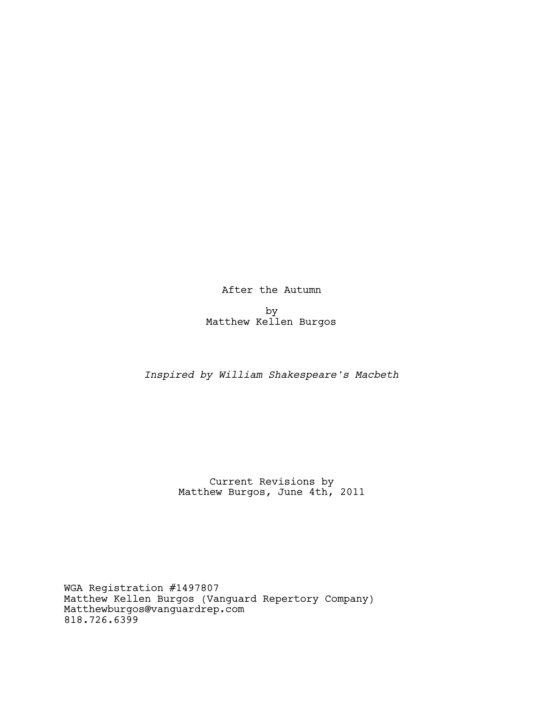After the Autumn

by Matthew Kellen Burgos

# *Inspired by William Shakespeare's Macbeth*

Current Revisions by Matthew Burgos, June 4th, 2011

WGA Registration #1497807 Matthew Kellen Burgos (Vanguard Repertory Company) Matthewburgos@vanguardrep.com 818.726.6399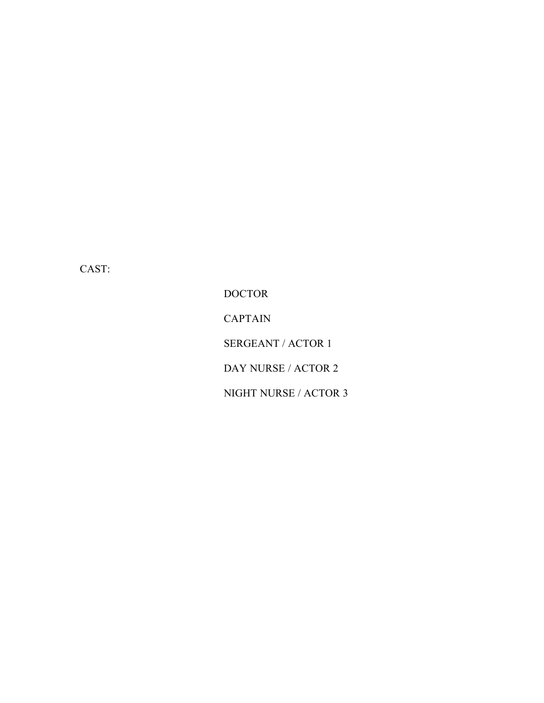CAST:

DOCTOR CAPTAIN SERGEANT / ACTOR 1 DAY NURSE / ACTOR 2 NIGHT NURSE / ACTOR 3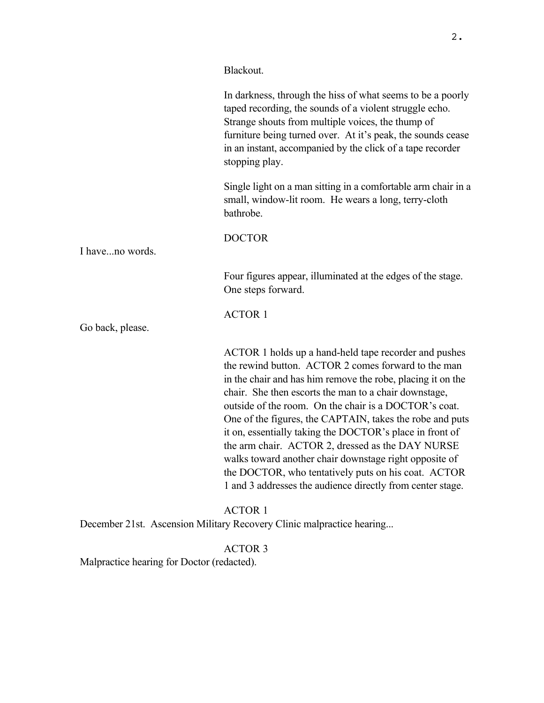Blackout.

|                                            | In darkness, through the hiss of what seems to be a poorly<br>taped recording, the sounds of a violent struggle echo.<br>Strange shouts from multiple voices, the thump of<br>furniture being turned over. At it's peak, the sounds cease<br>in an instant, accompanied by the click of a tape recorder<br>stopping play.                                                                                                                                                                                                                                                                                                                                |
|--------------------------------------------|----------------------------------------------------------------------------------------------------------------------------------------------------------------------------------------------------------------------------------------------------------------------------------------------------------------------------------------------------------------------------------------------------------------------------------------------------------------------------------------------------------------------------------------------------------------------------------------------------------------------------------------------------------|
|                                            | Single light on a man sitting in a comfortable arm chair in a<br>small, window-lit room. He wears a long, terry-cloth<br>bathrobe.                                                                                                                                                                                                                                                                                                                                                                                                                                                                                                                       |
|                                            | <b>DOCTOR</b>                                                                                                                                                                                                                                                                                                                                                                                                                                                                                                                                                                                                                                            |
| I haveno words.                            |                                                                                                                                                                                                                                                                                                                                                                                                                                                                                                                                                                                                                                                          |
|                                            | Four figures appear, illuminated at the edges of the stage.<br>One steps forward.                                                                                                                                                                                                                                                                                                                                                                                                                                                                                                                                                                        |
|                                            | <b>ACTOR 1</b>                                                                                                                                                                                                                                                                                                                                                                                                                                                                                                                                                                                                                                           |
| Go back, please.                           |                                                                                                                                                                                                                                                                                                                                                                                                                                                                                                                                                                                                                                                          |
|                                            | ACTOR 1 holds up a hand-held tape recorder and pushes<br>the rewind button. ACTOR 2 comes forward to the man<br>in the chair and has him remove the robe, placing it on the<br>chair. She then escorts the man to a chair downstage,<br>outside of the room. On the chair is a DOCTOR's coat.<br>One of the figures, the CAPTAIN, takes the robe and puts<br>it on, essentially taking the DOCTOR's place in front of<br>the arm chair. ACTOR 2, dressed as the DAY NURSE<br>walks toward another chair downstage right opposite of<br>the DOCTOR, who tentatively puts on his coat. ACTOR<br>1 and 3 addresses the audience directly from center stage. |
|                                            | <b>ACTOR 1</b><br>December 21st. Ascension Military Recovery Clinic malpractice hearing                                                                                                                                                                                                                                                                                                                                                                                                                                                                                                                                                                  |
|                                            | <b>ACTOR 3</b>                                                                                                                                                                                                                                                                                                                                                                                                                                                                                                                                                                                                                                           |
| Malpractice hearing for Doctor (redacted). |                                                                                                                                                                                                                                                                                                                                                                                                                                                                                                                                                                                                                                                          |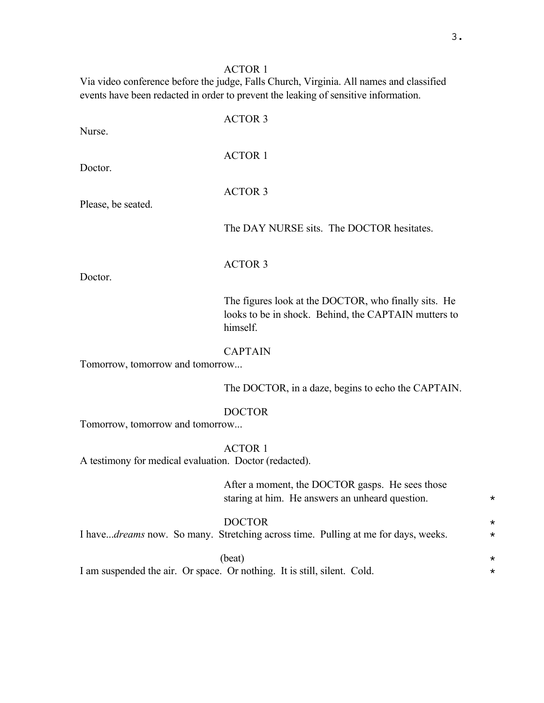# ACTOR 1

Via video conference before the judge, Falls Church, Virginia. All names and classified events have been redacted in order to prevent the leaking of sensitive information.

| Nurse.                                                 | <b>ACTOR 3</b>                                                                                                           |                      |
|--------------------------------------------------------|--------------------------------------------------------------------------------------------------------------------------|----------------------|
| Doctor.                                                | <b>ACTOR 1</b>                                                                                                           |                      |
| Please, be seated.                                     | <b>ACTOR 3</b>                                                                                                           |                      |
|                                                        | The DAY NURSE sits. The DOCTOR hesitates.                                                                                |                      |
| Doctor.                                                | <b>ACTOR 3</b>                                                                                                           |                      |
|                                                        | The figures look at the DOCTOR, who finally sits. He<br>looks to be in shock. Behind, the CAPTAIN mutters to<br>himself. |                      |
| Tomorrow, tomorrow and tomorrow                        | <b>CAPTAIN</b>                                                                                                           |                      |
|                                                        | The DOCTOR, in a daze, begins to echo the CAPTAIN.                                                                       |                      |
| Tomorrow, tomorrow and tomorrow                        | <b>DOCTOR</b>                                                                                                            |                      |
| A testimony for medical evaluation. Doctor (redacted). | <b>ACTOR 1</b>                                                                                                           |                      |
|                                                        | After a moment, the DOCTOR gasps. He sees those<br>staring at him. He answers an unheard question.                       | $^\star$             |
|                                                        | <b>DOCTOR</b><br>I havedreams now. So many. Stretching across time. Pulling at me for days, weeks.                       | $^\star$<br>$^\star$ |
|                                                        | (beat)<br>I am suspended the air. Or space. Or nothing. It is still, silent. Cold.                                       | *<br>$^\star$        |
|                                                        |                                                                                                                          |                      |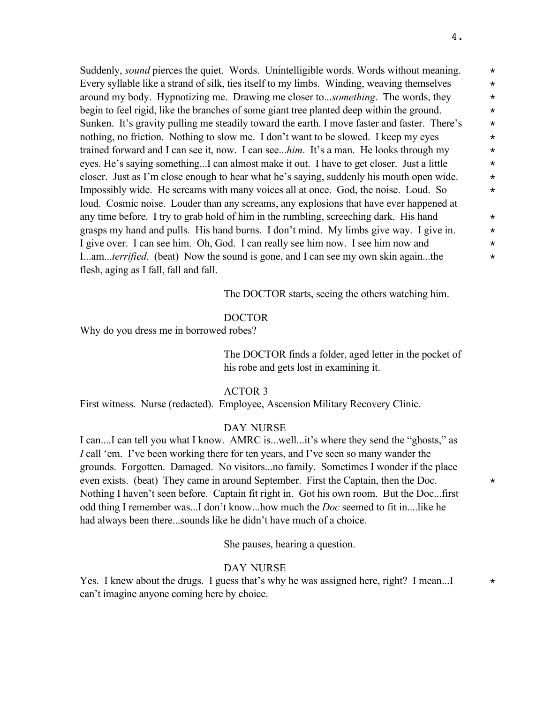Suddenly, *sound* pierces the quiet. Words. Unintelligible words. Words without meaning. \* Every syllable like a strand of silk, ties itself to my limbs. Winding, weaving themselves  $*$ around my body. Hypnotizing me. Drawing me closer to...*something*. The words, they \* begin to feel rigid, like the branches of some giant tree planted deep within the ground. Sunken. It's gravity pulling me steadily toward the earth. I move faster and faster. There's  $\star$ nothing, no friction. Nothing to slow me. I don't want to be slowed. I keep my eyes  $*$ trained forward and I can see it, now. I can see...*him*. It's a man. He looks through my \* eyes. He's saying something...I can almost make it out. I have to get closer. Just a little  $*$ closer. Just as I'm close enough to hear what he's saying, suddenly his mouth open wide.  $*$ Impossibly wide. He screams with many voices all at once. God, the noise. Loud. So  $\star$ loud. Cosmic noise. Louder than any screams, any explosions that have ever happened at any time before. I try to grab hold of him in the rumbling, screeching dark. His hand  $*$ grasps my hand and pulls. His hand burns. I don't mind. My limbs give way. I give in.  $*$ I give over. I can see him. Oh, God. I can really see him now. I see him now and  $*$ I...am...*terrified*. (beat) Now the sound is gone, and I can see my own skin again...the  $*$ flesh, aging as I fall, fall and fall.

The DOCTOR starts, seeing the others watching him.

### DOCTOR

Why do you dress me in borrowed robes?

The DOCTOR finds a folder, aged letter in the pocket of his robe and gets lost in examining it.

#### ACTOR 3

First witness. Nurse (redacted). Employee, Ascension Military Recovery Clinic.

#### DAY NURSE

I can....I can tell you what I know. AMRC is...well...it's where they send the "ghosts," as *I* call 'em. I've been working there for ten years, and I've seen so many wander the grounds. Forgotten. Damaged. No visitors...no family. Sometimes I wonder if the place even exists. (beat) They came in around September. First the Captain, then the Doc.  $\star$ Nothing I haven't seen before. Captain fit right in. Got his own room. But the Doc...first odd thing I remember was...I don't know...how much the *Doc* seemed to fit in....like he had always been there...sounds like he didn't have much of a choice.

She pauses, hearing a question.

### DAY NURSE

Yes. I knew about the drugs. I guess that's why he was assigned here, right? I mean...I  $*$ can't imagine anyone coming here by choice.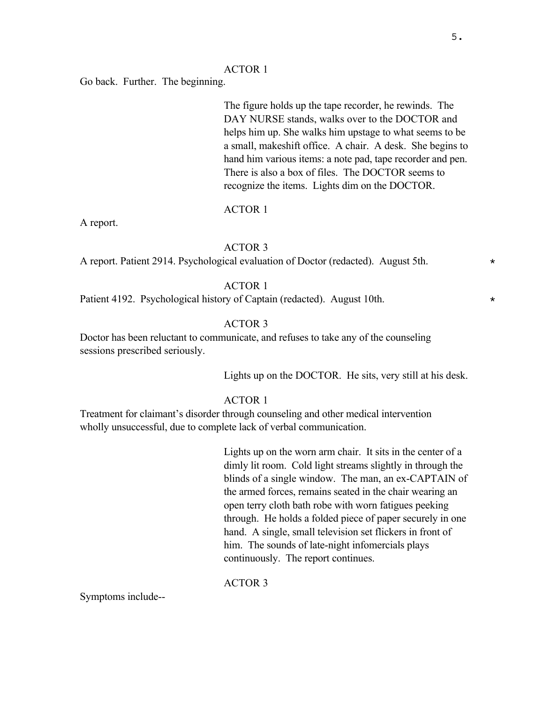### ACTOR 1

Go back. Further. The beginning.

The figure holds up the tape recorder, he rewinds. The DAY NURSE stands, walks over to the DOCTOR and helps him up. She walks him upstage to what seems to be a small, makeshift office. A chair. A desk. She begins to hand him various items: a note pad, tape recorder and pen. There is also a box of files. The DOCTOR seems to recognize the items. Lights dim on the DOCTOR.

### ACTOR 1

A report.

### ACTOR 3

A report. Patient 2914. Psychological evaluation of Doctor (redacted). August 5th. \*

# ACTOR 1

Patient 4192. Psychological history of Captain (redacted). August 10th.  $\star$ 

# ACTOR 3

Doctor has been reluctant to communicate, and refuses to take any of the counseling sessions prescribed seriously.

Lights up on the DOCTOR. He sits, very still at his desk.

# ACTOR 1

Treatment for claimant's disorder through counseling and other medical intervention wholly unsuccessful, due to complete lack of verbal communication.

> Lights up on the worn arm chair. It sits in the center of a dimly lit room. Cold light streams slightly in through the blinds of a single window. The man, an ex-CAPTAIN of the armed forces, remains seated in the chair wearing an open terry cloth bath robe with worn fatigues peeking through. He holds a folded piece of paper securely in one hand. A single, small television set flickers in front of him. The sounds of late-night infomercials plays continuously. The report continues.

### ACTOR 3

Symptoms include--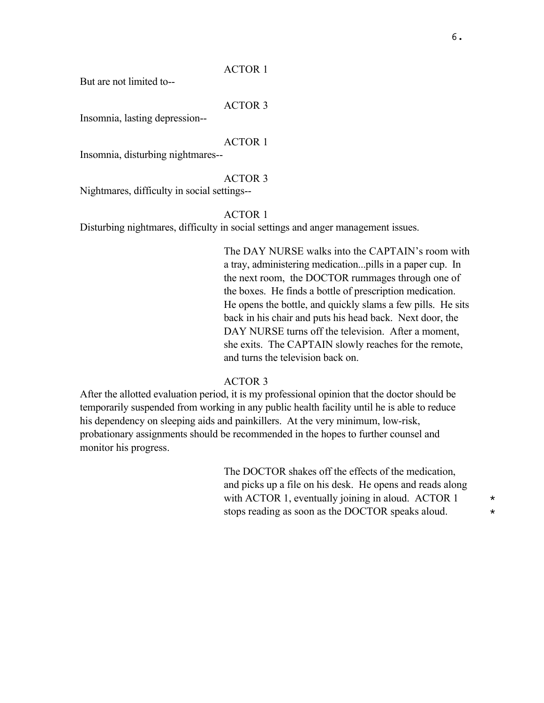### ACTOR 1

But are not limited to--

### ACTOR 3

Insomnia, lasting depression--

### ACTOR 1

Insomnia, disturbing nightmares--

#### ACTOR 3

Nightmares, difficulty in social settings--

### ACTOR 1

Disturbing nightmares, difficulty in social settings and anger management issues.

The DAY NURSE walks into the CAPTAIN's room with a tray, administering medication...pills in a paper cup. In the next room, the DOCTOR rummages through one of the boxes. He finds a bottle of prescription medication. He opens the bottle, and quickly slams a few pills. He sits back in his chair and puts his head back. Next door, the DAY NURSE turns off the television. After a moment, she exits. The CAPTAIN slowly reaches for the remote, and turns the television back on.

## ACTOR 3

After the allotted evaluation period, it is my professional opinion that the doctor should be temporarily suspended from working in any public health facility until he is able to reduce his dependency on sleeping aids and painkillers. At the very minimum, low-risk, probationary assignments should be recommended in the hopes to further counsel and monitor his progress.

> The DOCTOR shakes off the effects of the medication, and picks up a file on his desk. He opens and reads along with ACTOR 1, eventually joining in aloud. ACTOR 1  $*$ stops reading as soon as the DOCTOR speaks aloud.  $*$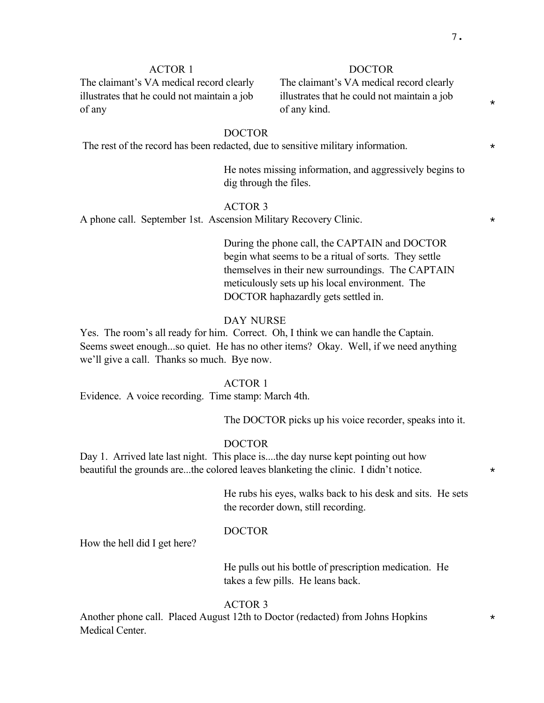\*

# ACTOR 1

The claimant's VA medical record clearly illustrates that he could not maintain a job of any

### DOCTOR

The claimant's VA medical record clearly illustrates that he could not maintain a job of any kind.

# DOCTOR

The rest of the record has been redacted, due to sensitive military information.  $*$ 

He notes missing information, and aggressively begins to dig through the files.

### ACTOR 3

A phone call. September 1st. Ascension Military Recovery Clinic.  $*$ 

During the phone call, the CAPTAIN and DOCTOR begin what seems to be a ritual of sorts. They settle themselves in their new surroundings. The CAPTAIN meticulously sets up his local environment. The DOCTOR haphazardly gets settled in.

### DAY NURSE

Yes. The room's all ready for him. Correct. Oh, I think we can handle the Captain. Seems sweet enough...so quiet. He has no other items? Okay. Well, if we need anything we'll give a call. Thanks so much. Bye now.

### ACTOR 1

Evidence. A voice recording. Time stamp: March 4th.

The DOCTOR picks up his voice recorder, speaks into it.

### DOCTOR

Day 1. Arrived late last night. This place is....the day nurse kept pointing out how beautiful the grounds are...the colored leaves blanketing the clinic. I didn't notice.  $*$ 

> He rubs his eyes, walks back to his desk and sits. He sets the recorder down, still recording.

#### DOCTOR

How the hell did I get here?

He pulls out his bottle of prescription medication. He takes a few pills. He leans back.

### ACTOR 3

Another phone call. Placed August 12th to Doctor (redacted) from Johns Hopkins  $*$ Medical Center.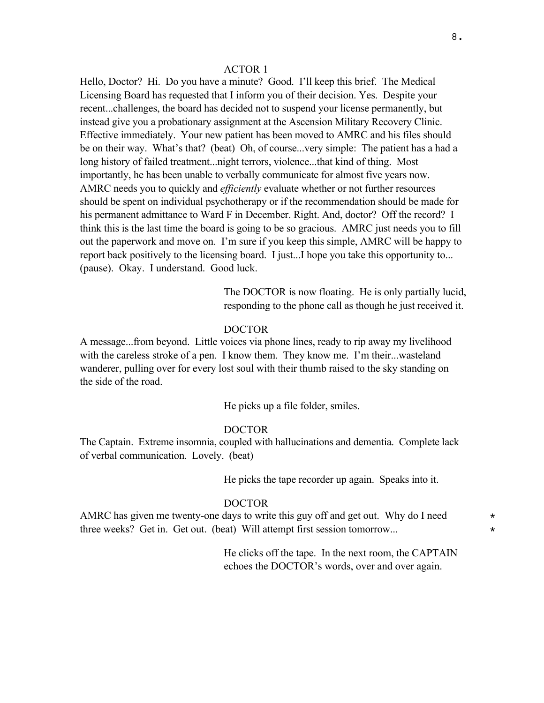### ACTOR 1

Hello, Doctor? Hi. Do you have a minute? Good. I'll keep this brief. The Medical Licensing Board has requested that I inform you of their decision. Yes. Despite your recent...challenges, the board has decided not to suspend your license permanently, but instead give you a probationary assignment at the Ascension Military Recovery Clinic. Effective immediately. Your new patient has been moved to AMRC and his files should be on their way. What's that? (beat) Oh, of course...very simple: The patient has a had a long history of failed treatment...night terrors, violence...that kind of thing. Most importantly, he has been unable to verbally communicate for almost five years now. AMRC needs you to quickly and *efficiently* evaluate whether or not further resources should be spent on individual psychotherapy or if the recommendation should be made for his permanent admittance to Ward F in December. Right. And, doctor? Off the record? I think this is the last time the board is going to be so gracious. AMRC just needs you to fill out the paperwork and move on. I'm sure if you keep this simple, AMRC will be happy to report back positively to the licensing board. I just...I hope you take this opportunity to... (pause). Okay. I understand. Good luck.

> The DOCTOR is now floating. He is only partially lucid, responding to the phone call as though he just received it.

### DOCTOR

A message...from beyond. Little voices via phone lines, ready to rip away my livelihood with the careless stroke of a pen. I know them. They know me. I'm their...wasteland wanderer, pulling over for every lost soul with their thumb raised to the sky standing on the side of the road.

He picks up a file folder, smiles.

### DOCTOR

The Captain. Extreme insomnia, coupled with hallucinations and dementia. Complete lack of verbal communication. Lovely. (beat)

He picks the tape recorder up again. Speaks into it.

#### DOCTOR

AMRC has given me twenty-one days to write this guy off and get out. Why do I need  $*$ three weeks? Get in. Get out. (beat) Will attempt first session tomorrow... \*

> He clicks off the tape. In the next room, the CAPTAIN echoes the DOCTOR's words, over and over again.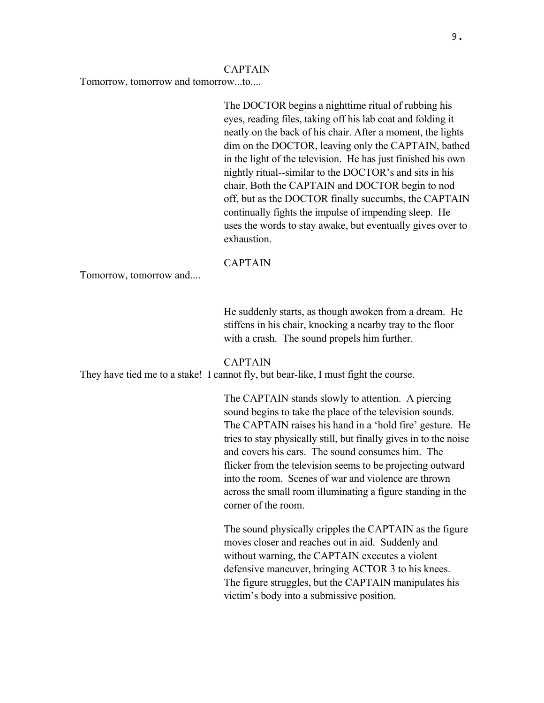#### CAPTAIN

Tomorrow, tomorrow and tomorrow...to....

The DOCTOR begins a nighttime ritual of rubbing his eyes, reading files, taking off his lab coat and folding it neatly on the back of his chair. After a moment, the lights dim on the DOCTOR, leaving only the CAPTAIN, bathed in the light of the television. He has just finished his own nightly ritual--similar to the DOCTOR's and sits in his chair. Both the CAPTAIN and DOCTOR begin to nod off, but as the DOCTOR finally succumbs, the CAPTAIN continually fights the impulse of impending sleep. He uses the words to stay awake, but eventually gives over to exhaustion.

CAPTAIN

Tomorrow, tomorrow and....

He suddenly starts, as though awoken from a dream. He stiffens in his chair, knocking a nearby tray to the floor with a crash. The sound propels him further.

### CAPTAIN

They have tied me to a stake! I cannot fly, but bear-like, I must fight the course.

The CAPTAIN stands slowly to attention. A piercing sound begins to take the place of the television sounds. The CAPTAIN raises his hand in a 'hold fire' gesture. He tries to stay physically still, but finally gives in to the noise and covers his ears. The sound consumes him. The flicker from the television seems to be projecting outward into the room. Scenes of war and violence are thrown across the small room illuminating a figure standing in the corner of the room.

The sound physically cripples the CAPTAIN as the figure moves closer and reaches out in aid. Suddenly and without warning, the CAPTAIN executes a violent defensive maneuver, bringing ACTOR 3 to his knees. The figure struggles, but the CAPTAIN manipulates his victim's body into a submissive position.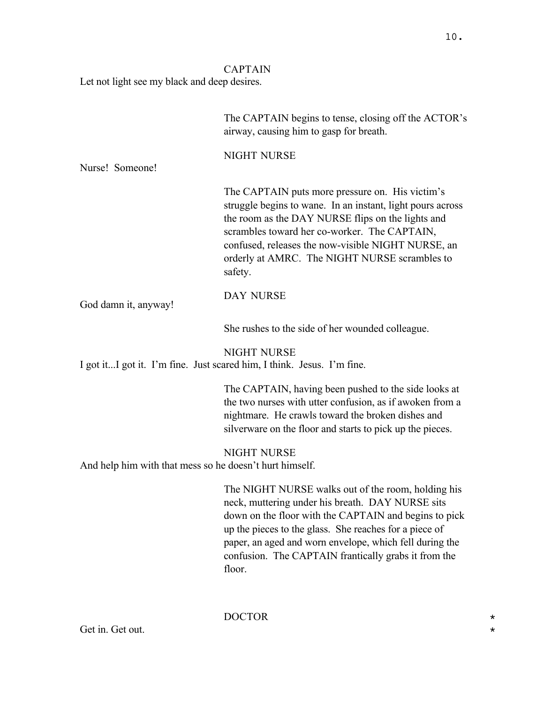# CAPTAIN

Let not light see my black and deep desires.

|                                                                                              | The CAPTAIN begins to tense, closing off the ACTOR's<br>airway, causing him to gasp for breath.                                                                                                                                                                                                                                                        |  |
|----------------------------------------------------------------------------------------------|--------------------------------------------------------------------------------------------------------------------------------------------------------------------------------------------------------------------------------------------------------------------------------------------------------------------------------------------------------|--|
| Nurse! Someone!                                                                              | NIGHT NURSE                                                                                                                                                                                                                                                                                                                                            |  |
|                                                                                              | The CAPTAIN puts more pressure on. His victim's<br>struggle begins to wane. In an instant, light pours across<br>the room as the DAY NURSE flips on the lights and<br>scrambles toward her co-worker. The CAPTAIN,<br>confused, releases the now-visible NIGHT NURSE, an<br>orderly at AMRC. The NIGHT NURSE scrambles to<br>safety.                   |  |
| God damn it, anyway!                                                                         | <b>DAY NURSE</b>                                                                                                                                                                                                                                                                                                                                       |  |
|                                                                                              | She rushes to the side of her wounded colleague.                                                                                                                                                                                                                                                                                                       |  |
| <b>NIGHT NURSE</b><br>I got itI got it. I'm fine. Just scared him, I think. Jesus. I'm fine. |                                                                                                                                                                                                                                                                                                                                                        |  |
|                                                                                              | The CAPTAIN, having been pushed to the side looks at<br>the two nurses with utter confusion, as if awoken from a<br>nightmare. He crawls toward the broken dishes and<br>silverware on the floor and starts to pick up the pieces.                                                                                                                     |  |
| <b>NIGHT NURSE</b><br>And help him with that mess so he doesn't hurt himself.                |                                                                                                                                                                                                                                                                                                                                                        |  |
|                                                                                              | The NIGHT NURSE walks out of the room, holding his<br>neck, muttering under his breath. DAY NURSE sits<br>down on the floor with the CAPTAIN and begins to pick<br>up the pieces to the glass. She reaches for a piece of<br>paper, an aged and worn envelope, which fell during the<br>confusion. The CAPTAIN frantically grabs it from the<br>floor. |  |

Get in. Get out.

DOCTOR \*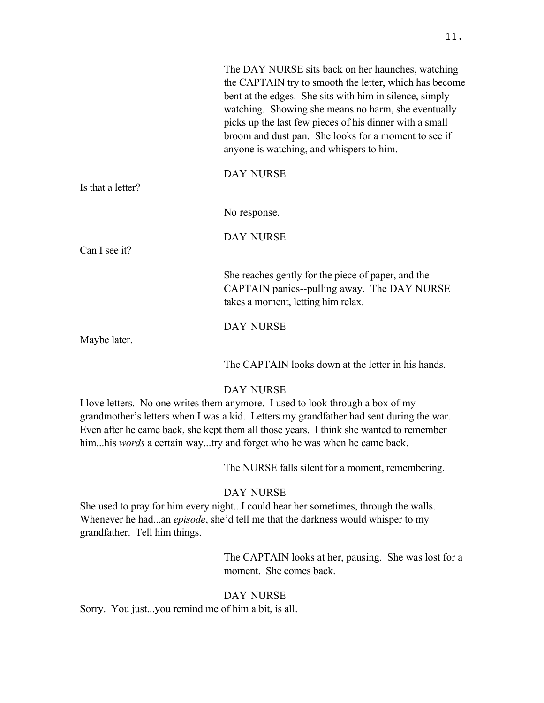|                   | The DAY NURSE sits back on her haunches, watching<br>the CAPTAIN try to smooth the letter, which has become<br>bent at the edges. She sits with him in silence, simply<br>watching. Showing she means no harm, she eventually<br>picks up the last few pieces of his dinner with a small<br>broom and dust pan. She looks for a moment to see if<br>anyone is watching, and whispers to him. |
|-------------------|----------------------------------------------------------------------------------------------------------------------------------------------------------------------------------------------------------------------------------------------------------------------------------------------------------------------------------------------------------------------------------------------|
| Is that a letter? | <b>DAY NURSE</b>                                                                                                                                                                                                                                                                                                                                                                             |
|                   | No response.                                                                                                                                                                                                                                                                                                                                                                                 |
| Can I see it?     | <b>DAY NURSE</b>                                                                                                                                                                                                                                                                                                                                                                             |
|                   | She reaches gently for the piece of paper, and the<br>CAPTAIN panics--pulling away. The DAY NURSE<br>takes a moment, letting him relax.                                                                                                                                                                                                                                                      |
|                   | <b>DAY NURSE</b>                                                                                                                                                                                                                                                                                                                                                                             |
| Maybe later.      | The CAPTAIN looks down at the letter in his hands.                                                                                                                                                                                                                                                                                                                                           |

# DAY NURSE

I love letters. No one writes them anymore. I used to look through a box of my grandmother's letters when I was a kid. Letters my grandfather had sent during the war. Even after he came back, she kept them all those years. I think she wanted to remember him...his *words* a certain way...try and forget who he was when he came back.

The NURSE falls silent for a moment, remembering.

# DAY NURSE

She used to pray for him every night...I could hear her sometimes, through the walls. Whenever he had...an *episode*, she'd tell me that the darkness would whisper to my grandfather. Tell him things.

> The CAPTAIN looks at her, pausing. She was lost for a moment. She comes back.

# DAY NURSE

Sorry. You just...you remind me of him a bit, is all.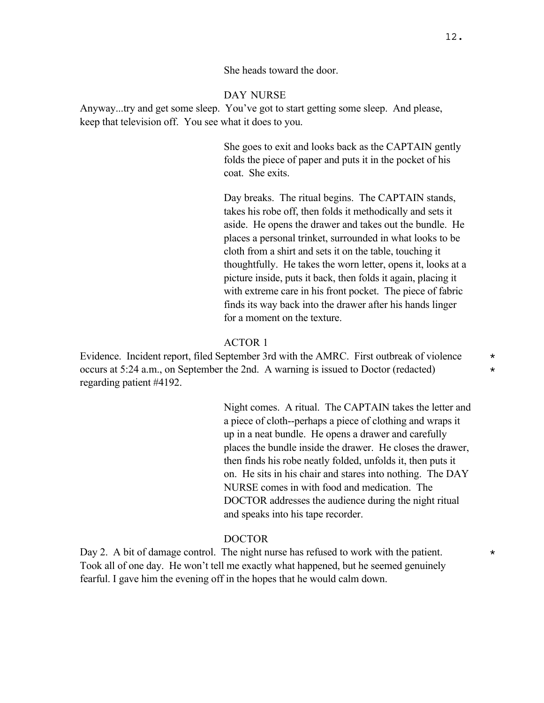She heads toward the door.

### DAY NURSE

Anyway...try and get some sleep. You've got to start getting some sleep. And please, keep that television off. You see what it does to you.

> She goes to exit and looks back as the CAPTAIN gently folds the piece of paper and puts it in the pocket of his coat. She exits.

Day breaks. The ritual begins. The CAPTAIN stands, takes his robe off, then folds it methodically and sets it aside. He opens the drawer and takes out the bundle. He places a personal trinket, surrounded in what looks to be cloth from a shirt and sets it on the table, touching it thoughtfully. He takes the worn letter, opens it, looks at a picture inside, puts it back, then folds it again, placing it with extreme care in his front pocket. The piece of fabric finds its way back into the drawer after his hands linger for a moment on the texture.

### ACTOR 1

Evidence. Incident report, filed September 3rd with the AMRC. First outbreak of violence  $*$ occurs at 5:24 a.m., on September the 2nd. A warning is issued to Doctor (redacted)  $*$ regarding patient #4192.

> Night comes. A ritual. The CAPTAIN takes the letter and a piece of cloth--perhaps a piece of clothing and wraps it up in a neat bundle. He opens a drawer and carefully places the bundle inside the drawer. He closes the drawer, then finds his robe neatly folded, unfolds it, then puts it on. He sits in his chair and stares into nothing. The DAY NURSE comes in with food and medication. The DOCTOR addresses the audience during the night ritual and speaks into his tape recorder.

### DOCTOR

Day 2. A bit of damage control. The night nurse has refused to work with the patient.  $*$ Took all of one day. He won't tell me exactly what happened, but he seemed genuinely fearful. I gave him the evening off in the hopes that he would calm down.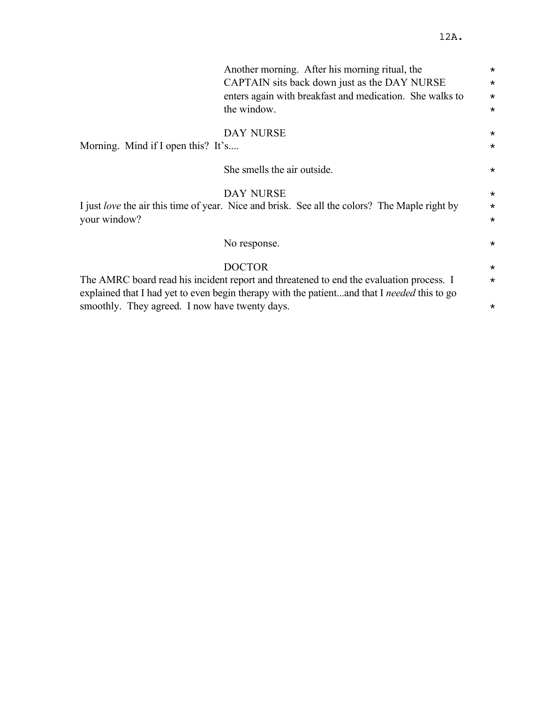|                                                | Another morning. After his morning ritual, the                                                | $\star$  |
|------------------------------------------------|-----------------------------------------------------------------------------------------------|----------|
|                                                | CAPTAIN sits back down just as the DAY NURSE                                                  | $\star$  |
|                                                | enters again with breakfast and medication. She walks to                                      | $\star$  |
|                                                | the window.                                                                                   | $\star$  |
|                                                | <b>DAY NURSE</b>                                                                              | $\star$  |
| Morning. Mind if I open this? It's             |                                                                                               | $\star$  |
|                                                | She smells the air outside.                                                                   | $\star$  |
|                                                | <b>DAY NURSE</b>                                                                              | $\star$  |
|                                                | I just love the air this time of year. Nice and brisk. See all the colors? The Maple right by | $\star$  |
| your window?                                   |                                                                                               | $\star$  |
|                                                | No response.                                                                                  | $\star$  |
|                                                | <b>DOCTOR</b>                                                                                 | $\star$  |
|                                                | The AMRC board read his incident report and threatened to end the evaluation process. I       | $\star$  |
|                                                | explained that I had yet to even begin therapy with the patientand that I needed this to go   |          |
| smoothly. They agreed. I now have twenty days. |                                                                                               | $^\star$ |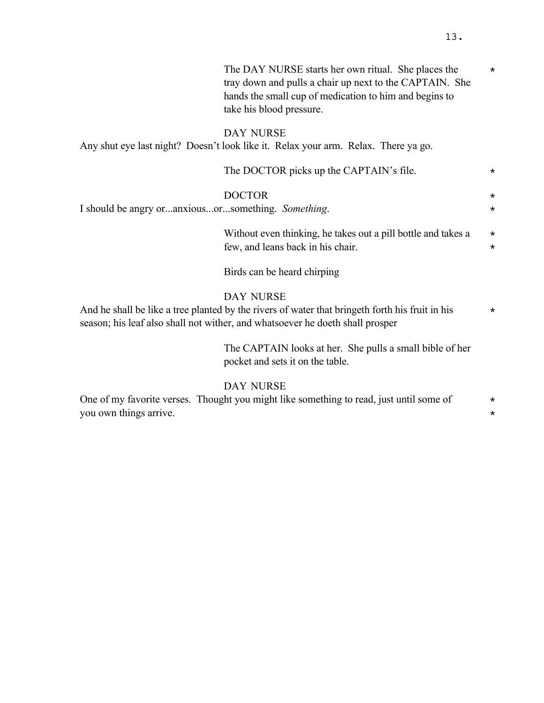The DAY NURSE starts her own ritual. She places the  $*$ tray down and pulls a chair up next to the CAPTAIN. She hands the small cup of medication to him and begins to take his blood pressure.

# DAY NURSE

Any shut eye last night? Doesn't look like it. Relax your arm. Relax. There ya go.

|                                                        | The DOCTOR picks up the CAPTAIN's file.                                                                                                                                                              | $\star$             |
|--------------------------------------------------------|------------------------------------------------------------------------------------------------------------------------------------------------------------------------------------------------------|---------------------|
| I should be angry or  anxiousor  something. Something. | <b>DOCTOR</b>                                                                                                                                                                                        | $\star$<br>$\star$  |
|                                                        | Without even thinking, he takes out a pill bottle and takes a<br>few, and leans back in his chair.                                                                                                   | $\star$<br>$\star$  |
|                                                        | Birds can be heard chirping                                                                                                                                                                          |                     |
|                                                        | <b>DAY NURSE</b><br>And he shall be like a tree planted by the rivers of water that bringeth forth his fruit in his<br>season; his leaf also shall not wither, and whatsoever he doeth shall prosper | $\star$             |
|                                                        | The CAPTAIN looks at her. She pulls a small bible of her<br>pocket and sets it on the table.                                                                                                         |                     |
| you own things arrive.                                 | <b>DAY NURSE</b><br>One of my favorite verses. Thought you might like something to read, just until some of                                                                                          | $\star$<br>$^\star$ |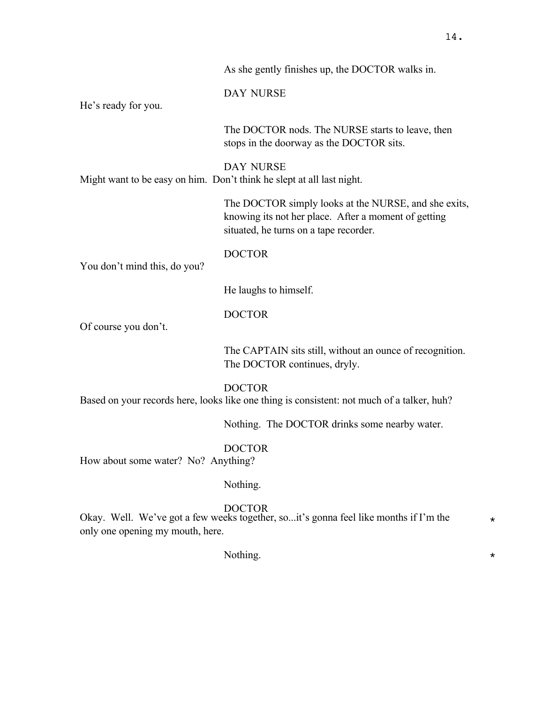|                              | As she gently finishes up, the DOCTOR walks in.                                                                                                        |
|------------------------------|--------------------------------------------------------------------------------------------------------------------------------------------------------|
| He's ready for you.          | DAY NURSE                                                                                                                                              |
|                              | The DOCTOR nods. The NURSE starts to leave, then<br>stops in the doorway as the DOCTOR sits.                                                           |
|                              | <b>DAY NURSE</b><br>Might want to be easy on him. Don't think he slept at all last night.                                                              |
|                              | The DOCTOR simply looks at the NURSE, and she exits,<br>knowing its not her place. After a moment of getting<br>situated, he turns on a tape recorder. |
| You don't mind this, do you? | <b>DOCTOR</b>                                                                                                                                          |
|                              | He laughs to himself.                                                                                                                                  |
| Of course you don't.         | <b>DOCTOR</b>                                                                                                                                          |
|                              | The CAPTAIN sits still, without an ounce of recognition.<br>The DOCTOR continues, dryly.                                                               |
|                              | <b>DOCTOR</b><br>Based on your records here, looks like one thing is consistent: not much of a talker, huh?                                            |
|                              |                                                                                                                                                        |

Nothing. The DOCTOR drinks some nearby water.

DOCTOR How about some water? No? Anything?

# Nothing.

# **DOCTOR**

Okay. Well. We've got a few weeks together, so...it's gonna feel like months if I'm the  $*$ only one opening my mouth, here.

Nothing.  $\star$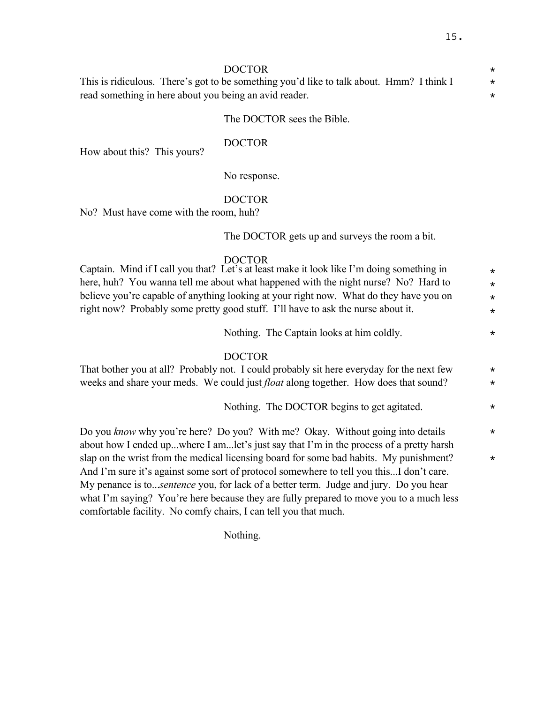DOCTOR \*

This is ridiculous. There's got to be something you'd like to talk about. Hmm? I think I  $*$ read something in here about you being an avid reader.

## The DOCTOR sees the Bible.

### DOCTOR

How about this? This yours?

No response.

# DOCTOR

No? Must have come with the room, huh?

The DOCTOR gets up and surveys the room a bit.

### DOCTOR

Captain. Mind if I call you that? Let's at least make it look like I'm doing something in  $\star$ here, huh? You wanna tell me about what happened with the night nurse? No? Hard to  $*$ believe you're capable of anything looking at your right now. What do they have you on  $*$ right now? Probably some pretty good stuff. I'll have to ask the nurse about it.

Nothing. The Captain looks at him coldly.

### DOCTOR

That bother you at all? Probably not. I could probably sit here everyday for the next few  $*$ weeks and share your meds. We could just *float* along together. How does that sound? \*

Nothing. The DOCTOR begins to get agitated.  $\star$ 

Do you *know* why you're here? Do you? With me? Okay. Without going into details  $*$ about how I ended up...where I am...let's just say that I'm in the process of a pretty harsh slap on the wrist from the medical licensing board for some bad habits. My punishment?  $*$ And I'm sure it's against some sort of protocol somewhere to tell you this...I don't care. My penance is to...*sentence* you, for lack of a better term. Judge and jury. Do you hear what I'm saying? You're here because they are fully prepared to move you to a much less comfortable facility. No comfy chairs, I can tell you that much.

Nothing.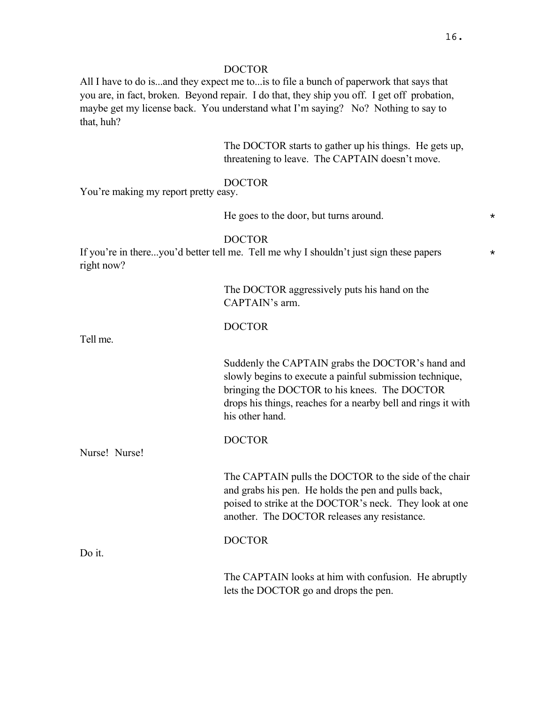All I have to do is...and they expect me to...is to file a bunch of paperwork that says that you are, in fact, broken. Beyond repair. I do that, they ship you off. I get off probation, maybe get my license back. You understand what I'm saying? No? Nothing to say to that, huh?

> The DOCTOR starts to gather up his things. He gets up, threatening to leave. The CAPTAIN doesn't move.

# DOCTOR

You're making my report pretty easy.

He goes to the door, but turns around.  $*$ 

### DOCTOR

If you're in there...you'd better tell me. Tell me why I shouldn't just sign these papers  $*$ right now?

|               | The DOCTOR aggressively puts his hand on the<br>CAPTAIN's arm.                                                                                                                                                                                   |
|---------------|--------------------------------------------------------------------------------------------------------------------------------------------------------------------------------------------------------------------------------------------------|
| Tell me.      | <b>DOCTOR</b>                                                                                                                                                                                                                                    |
|               | Suddenly the CAPTAIN grabs the DOCTOR's hand and<br>slowly begins to execute a painful submission technique,<br>bringing the DOCTOR to his knees. The DOCTOR<br>drops his things, reaches for a nearby bell and rings it with<br>his other hand. |
| Nurse! Nurse! | <b>DOCTOR</b>                                                                                                                                                                                                                                    |
|               |                                                                                                                                                                                                                                                  |
|               | The CAPTAIN pulls the DOCTOR to the side of the chair<br>and grabs his pen. He holds the pen and pulls back,<br>poised to strike at the DOCTOR's neck. They look at one<br>another. The DOCTOR releases any resistance.                          |
|               | <b>DOCTOR</b>                                                                                                                                                                                                                                    |
| Do it.        |                                                                                                                                                                                                                                                  |
|               | The CAPTAIN looks at him with confusion. He abruptly<br>lets the DOCTOR go and drops the pen.                                                                                                                                                    |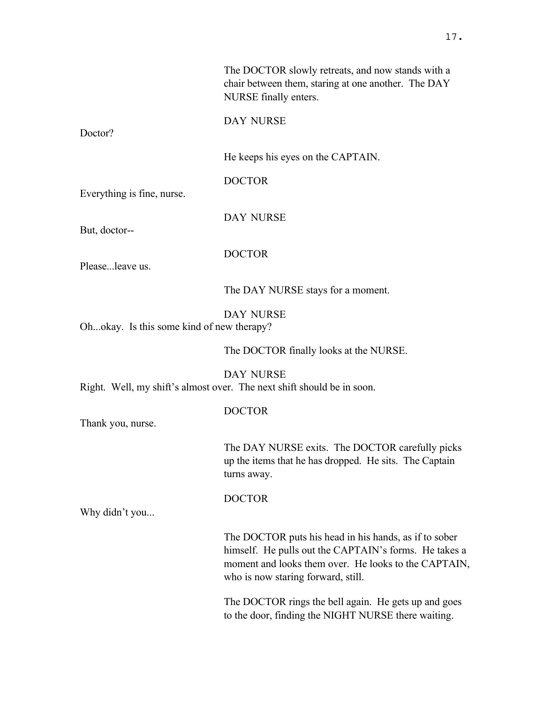|                                           | The DOCTOR slowly retreats, and now stands with a<br>chair between them, staring at one another. The DAY<br>NURSE finally enters.                                                                            |
|-------------------------------------------|--------------------------------------------------------------------------------------------------------------------------------------------------------------------------------------------------------------|
| Doctor?                                   | DAY NURSE                                                                                                                                                                                                    |
|                                           | He keeps his eyes on the CAPTAIN.                                                                                                                                                                            |
| Everything is fine, nurse.                | <b>DOCTOR</b>                                                                                                                                                                                                |
| But, doctor--                             | DAY NURSE                                                                                                                                                                                                    |
| Pleaseleave us.                           | <b>DOCTOR</b>                                                                                                                                                                                                |
|                                           | The DAY NURSE stays for a moment.                                                                                                                                                                            |
| Ohokay. Is this some kind of new therapy? | <b>DAY NURSE</b>                                                                                                                                                                                             |
|                                           | The DOCTOR finally looks at the NURSE.                                                                                                                                                                       |
|                                           | <b>DAY NURSE</b><br>Right. Well, my shift's almost over. The next shift should be in soon.                                                                                                                   |
| Thank you, nurse.                         | <b>DOCTOR</b>                                                                                                                                                                                                |
|                                           | The DAY NURSE exits. The DOCTOR carefully picks<br>up the items that he has dropped. He sits. The Captain<br>turns away.                                                                                     |
| Why didn't you                            | <b>DOCTOR</b>                                                                                                                                                                                                |
|                                           | The DOCTOR puts his head in his hands, as if to sober<br>himself. He pulls out the CAPTAIN's forms. He takes a<br>moment and looks them over. He looks to the CAPTAIN,<br>who is now staring forward, still. |
|                                           | The DOCTOR rings the bell again. He gets up and goes<br>to the door, finding the NIGHT NURSE there waiting.                                                                                                  |
|                                           |                                                                                                                                                                                                              |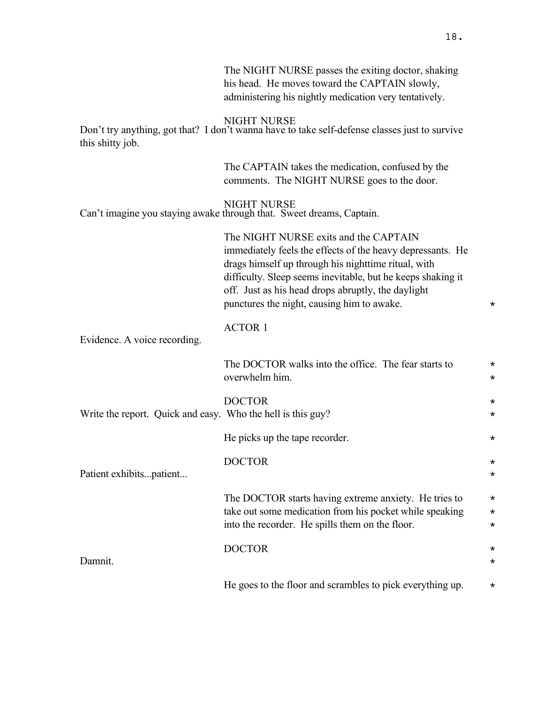|                                                             | The NIGHT NURSE passes the exiting doctor, shaking<br>his head. He moves toward the CAPTAIN slowly,<br>administering his nightly medication very tentatively.                                                                                                                                                                 |                      |
|-------------------------------------------------------------|-------------------------------------------------------------------------------------------------------------------------------------------------------------------------------------------------------------------------------------------------------------------------------------------------------------------------------|----------------------|
| this shitty job.                                            | <b>NIGHT NURSE</b><br>Don't try anything, got that? I don't wanna have to take self-defense classes just to survive                                                                                                                                                                                                           |                      |
|                                                             | The CAPTAIN takes the medication, confused by the<br>comments. The NIGHT NURSE goes to the door.                                                                                                                                                                                                                              |                      |
|                                                             | <b>NIGHT NURSE</b><br>Can't imagine you staying awake through that. Sweet dreams, Captain.                                                                                                                                                                                                                                    |                      |
|                                                             | The NIGHT NURSE exits and the CAPTAIN<br>immediately feels the effects of the heavy depressants. He<br>drags himself up through his nighttime ritual, with<br>difficulty. Sleep seems inevitable, but he keeps shaking it<br>off. Just as his head drops abruptly, the daylight<br>punctures the night, causing him to awake. | $^\star$             |
| Evidence. A voice recording.                                | <b>ACTOR 1</b>                                                                                                                                                                                                                                                                                                                |                      |
|                                                             | The DOCTOR walks into the office. The fear starts to<br>overwhelm him.                                                                                                                                                                                                                                                        | $^\star$<br>$^\star$ |
| Write the report. Quick and easy. Who the hell is this guy? | <b>DOCTOR</b>                                                                                                                                                                                                                                                                                                                 | $^\star$<br>$^\star$ |
|                                                             | He picks up the tape recorder.                                                                                                                                                                                                                                                                                                | $^\star$             |
| Patient exhibitspatient                                     | <b>DOCTOR</b>                                                                                                                                                                                                                                                                                                                 | $^\star$<br>*        |
|                                                             | The DOCTOR starts having extreme anxiety. He tries to<br>take out some medication from his pocket while speaking<br>into the recorder. He spills them on the floor.                                                                                                                                                           | *<br>$^\star$<br>*   |
| Damnit.                                                     | <b>DOCTOR</b>                                                                                                                                                                                                                                                                                                                 | *<br>*               |
|                                                             | He goes to the floor and scrambles to pick everything up.                                                                                                                                                                                                                                                                     | *                    |

18.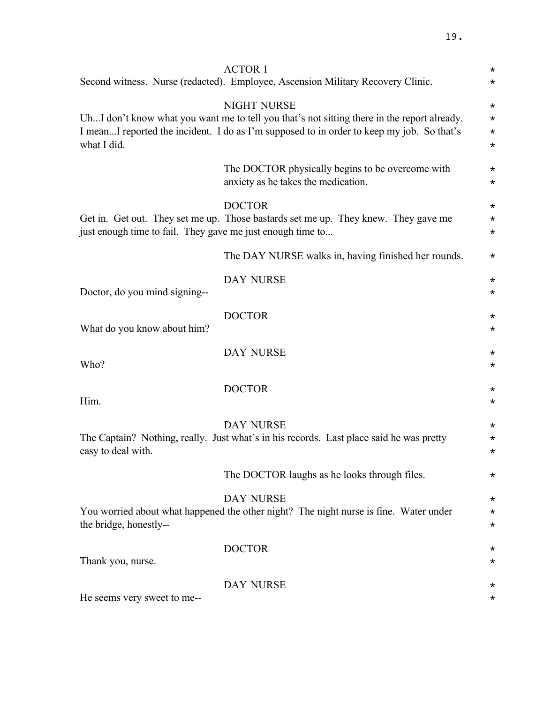|                                                            | <b>ACTOR 1</b>                                                                                              | $^\star$             |
|------------------------------------------------------------|-------------------------------------------------------------------------------------------------------------|----------------------|
|                                                            | Second witness. Nurse (redacted). Employee, Ascension Military Recovery Clinic.                             | $^\star$             |
|                                                            | <b>NIGHT NURSE</b>                                                                                          | $^\star$             |
|                                                            | UhI don't know what you want me to tell you that's not sitting there in the report already.                 | $^\star$             |
| what I did.                                                | I meanI reported the incident. I do as I'm supposed to in order to keep my job. So that's                   | $^\star$<br>$^\star$ |
|                                                            |                                                                                                             |                      |
|                                                            | The DOCTOR physically begins to be overcome with                                                            | $^\star$             |
|                                                            | anxiety as he takes the medication.                                                                         | $^\star$             |
|                                                            | <b>DOCTOR</b>                                                                                               | $^\star$             |
|                                                            | Get in. Get out. They set me up. Those bastards set me up. They knew. They gave me                          | $^\star$             |
| just enough time to fail. They gave me just enough time to |                                                                                                             | $^\star$             |
|                                                            | The DAY NURSE walks in, having finished her rounds.                                                         | $^\star$             |
|                                                            | <b>DAY NURSE</b>                                                                                            | $\star$              |
| Doctor, do you mind signing--                              |                                                                                                             | $^\star$             |
|                                                            | <b>DOCTOR</b>                                                                                               | $^\star$             |
| What do you know about him?                                |                                                                                                             | $^\star$             |
|                                                            |                                                                                                             |                      |
|                                                            | <b>DAY NURSE</b>                                                                                            | $^\star$             |
| Who?                                                       |                                                                                                             | $^\star$             |
|                                                            | <b>DOCTOR</b>                                                                                               | $^\star$             |
| Him.                                                       |                                                                                                             | $^\star$             |
|                                                            |                                                                                                             |                      |
|                                                            | <b>DAY NURSE</b><br>The Captain? Nothing, really. Just what's in his records. Last place said he was pretty | $^\star$<br>$^\star$ |
| easy to deal with.                                         |                                                                                                             | $^\star$             |
|                                                            |                                                                                                             |                      |
|                                                            | The DOCTOR laughs as he looks through files.                                                                | $^\star$             |
|                                                            | <b>DAY NURSE</b>                                                                                            | $^\star$             |
|                                                            | You worried about what happened the other night? The night nurse is fine. Water under                       | $^\star$             |
| the bridge, honestly--                                     |                                                                                                             | $^\star$             |
|                                                            | <b>DOCTOR</b>                                                                                               | $^\star$             |
| Thank you, nurse.                                          |                                                                                                             | $^\star$             |
|                                                            | DAY NURSE                                                                                                   | $^\star$             |
| He seems very sweet to me--                                |                                                                                                             | $^\star$             |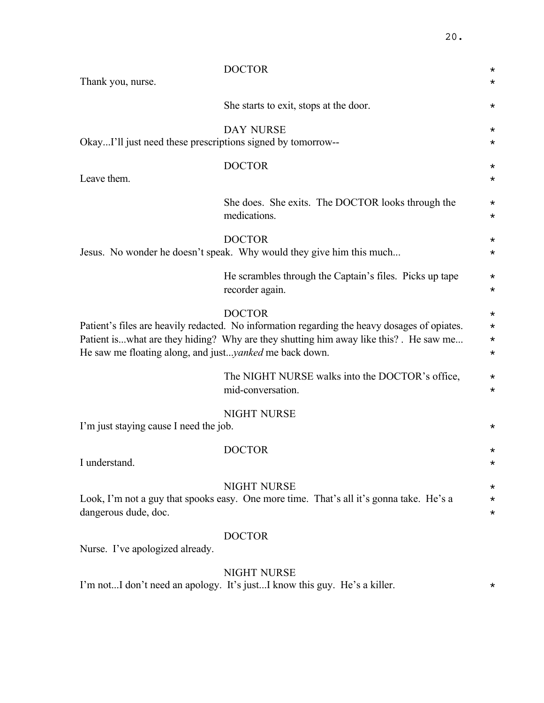| Thank you, nurse.                                                                                                                                                                                                                                                        | <b>DOCTOR</b>                                                                                                 | $^\star$<br>$^\star$                      |
|--------------------------------------------------------------------------------------------------------------------------------------------------------------------------------------------------------------------------------------------------------------------------|---------------------------------------------------------------------------------------------------------------|-------------------------------------------|
|                                                                                                                                                                                                                                                                          | She starts to exit, stops at the door.                                                                        | $^\star$                                  |
| OkayI'll just need these prescriptions signed by tomorrow--                                                                                                                                                                                                              | <b>DAY NURSE</b>                                                                                              | $^\star$<br>$^\star$                      |
| Leave them.                                                                                                                                                                                                                                                              | <b>DOCTOR</b>                                                                                                 | $^\star$<br>$\star$                       |
|                                                                                                                                                                                                                                                                          | She does. She exits. The DOCTOR looks through the<br>medications.                                             | $^\star$<br>$\star$                       |
|                                                                                                                                                                                                                                                                          | <b>DOCTOR</b><br>Jesus. No wonder he doesn't speak. Why would they give him this much                         | $^\star$<br>$^\star$                      |
|                                                                                                                                                                                                                                                                          | He scrambles through the Captain's files. Picks up tape<br>recorder again.                                    | $^\star$<br>$\star$                       |
| <b>DOCTOR</b><br>Patient's files are heavily redacted. No information regarding the heavy dosages of opiates.<br>Patient iswhat are they hiding? Why are they shutting him away like this? . He saw me<br>He saw me floating along, and just <i>yanked</i> me back down. |                                                                                                               | $^\star$<br>$\star$<br>$\star$<br>$\star$ |
|                                                                                                                                                                                                                                                                          | The NIGHT NURSE walks into the DOCTOR's office,<br>mid-conversation.                                          | $\star$<br>$^\star$                       |
| I'm just staying cause I need the job.                                                                                                                                                                                                                                   | <b>NIGHT NURSE</b>                                                                                            | $^\star$                                  |
| I understand.                                                                                                                                                                                                                                                            | <b>DOCTOR</b>                                                                                                 | $^\star$<br>$^\star$                      |
| dangerous dude, doc.                                                                                                                                                                                                                                                     | <b>NIGHT NURSE</b><br>Look, I'm not a guy that spooks easy. One more time. That's all it's gonna take. He's a | $^\star$<br>$^\star$<br>$^\star$          |
| Nurse. I've apologized already.                                                                                                                                                                                                                                          | <b>DOCTOR</b>                                                                                                 |                                           |
|                                                                                                                                                                                                                                                                          | <b>NIGHT NURSE</b><br>I'm notI don't need an apology. It's justI know this guy. He's a killer.                | $^\star$                                  |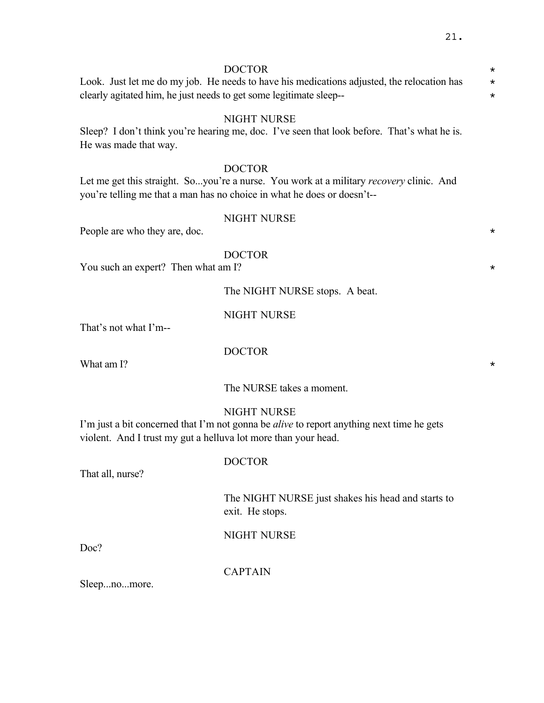DOCTOR \*

Look. Just let me do my job. He needs to have his medications adjusted, the relocation has  $*$ clearly agitated him, he just needs to get some legitimate sleep-- \*

## NIGHT NURSE

Sleep? I don't think you're hearing me, doc. I've seen that look before. That's what he is. He was made that way.

### DOCTOR

Let me get this straight. So...you're a nurse. You work at a military *recovery* clinic. And you're telling me that a man has no choice in what he does or doesn't--

#### NIGHT NURSE

People are who they are, doc.

### DOCTOR

You such an expert? Then what am I?  $\star$ 

### The NIGHT NURSE stops. A beat.

### NIGHT NURSE

That's not what I'm--

What am I?  $\star$ 

DOCTOR

The NURSE takes a moment.

### NIGHT NURSE

I'm just a bit concerned that I'm not gonna be *alive* to report anything next time he gets violent. And I trust my gut a helluva lot more than your head.

#### DOCTOR

That all, nurse?

The NIGHT NURSE just shakes his head and starts to exit. He stops.

NIGHT NURSE

Doc?

CAPTAIN

Sleep...no...more.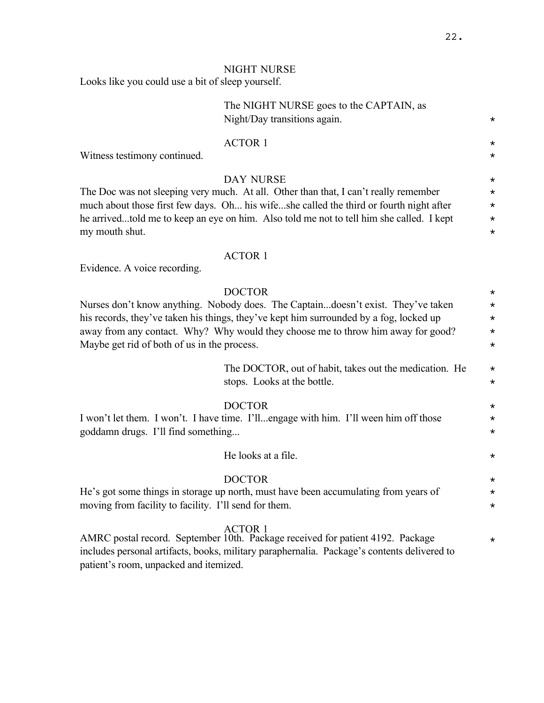# NIGHT NURSE

Looks like you could use a bit of sleep yourself.

|                                                                                                                                                                                                                                                                                                                                | The NIGHT NURSE goes to the CAPTAIN, as<br>Night/Day transitions again.                                                                                                                                                                                                                        | $^\star$                                               |
|--------------------------------------------------------------------------------------------------------------------------------------------------------------------------------------------------------------------------------------------------------------------------------------------------------------------------------|------------------------------------------------------------------------------------------------------------------------------------------------------------------------------------------------------------------------------------------------------------------------------------------------|--------------------------------------------------------|
| Witness testimony continued.                                                                                                                                                                                                                                                                                                   | <b>ACTOR 1</b>                                                                                                                                                                                                                                                                                 | $^\star$<br>$^\star$                                   |
| my mouth shut.                                                                                                                                                                                                                                                                                                                 | <b>DAY NURSE</b><br>The Doc was not sleeping very much. At all. Other than that, I can't really remember<br>much about those first few days. Oh his wifeshe called the third or fourth night after<br>he arrivedtold me to keep an eye on him. Also told me not to tell him she called. I kept | $^\star$<br>$^\star$<br>$\star$<br>$^\star$<br>$\star$ |
| Evidence. A voice recording.                                                                                                                                                                                                                                                                                                   | <b>ACTOR 1</b>                                                                                                                                                                                                                                                                                 |                                                        |
| <b>DOCTOR</b><br>Nurses don't know anything. Nobody does. The Captaindoesn't exist. They've taken<br>his records, they've taken his things, they've kept him surrounded by a fog, locked up<br>away from any contact. Why? Why would they choose me to throw him away for good?<br>Maybe get rid of both of us in the process. |                                                                                                                                                                                                                                                                                                |                                                        |
|                                                                                                                                                                                                                                                                                                                                | The DOCTOR, out of habit, takes out the medication. He<br>stops. Looks at the bottle.                                                                                                                                                                                                          | $^\star$<br>$^\star$                                   |
| <b>DOCTOR</b><br>I won't let them. I won't. I have time. I'llengage with him. I'll ween him off those<br>goddamn drugs. I'll find something                                                                                                                                                                                    |                                                                                                                                                                                                                                                                                                | $^\star$<br>$\star$<br>$^\star$                        |
|                                                                                                                                                                                                                                                                                                                                | He looks at a file.                                                                                                                                                                                                                                                                            | $^\star$                                               |
| <b>DOCTOR</b><br>He's got some things in storage up north, must have been accumulating from years of<br>moving from facility to facility. I'll send for them.                                                                                                                                                                  |                                                                                                                                                                                                                                                                                                | $^\star$<br>$^\star$<br>$^\star$                       |
| <b>ACTOR 1</b><br>AMRC postal record. September 10th. Package received for patient 4192. Package<br>includes personal artifacts, books, military paraphernalia. Package's contents delivered to<br>patient's room, unpacked and itemized.                                                                                      |                                                                                                                                                                                                                                                                                                |                                                        |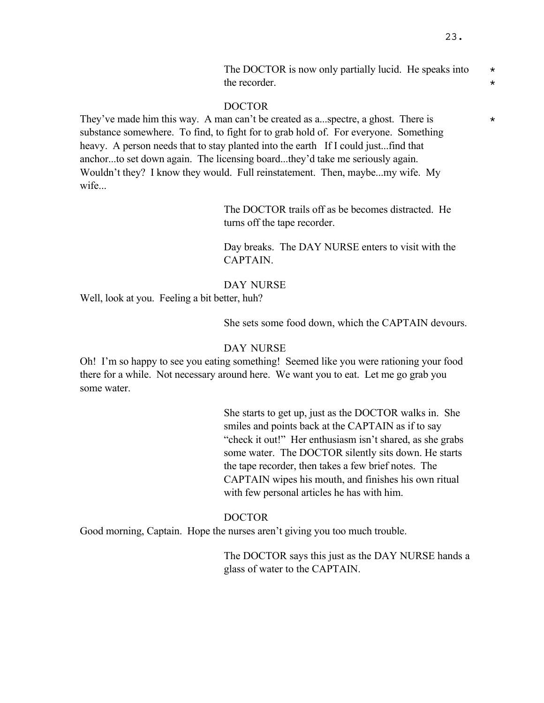They've made him this way. A man can't be created as a...spectre, a ghost. There is  $*$ substance somewhere. To find, to fight for to grab hold of. For everyone. Something heavy. A person needs that to stay planted into the earth If I could just...find that anchor...to set down again. The licensing board...they'd take me seriously again. Wouldn't they? I know they would. Full reinstatement. Then, maybe...my wife. My wife...

> The DOCTOR trails off as be becomes distracted. He turns off the tape recorder.

Day breaks. The DAY NURSE enters to visit with the CAPTAIN.

### DAY NURSE

Well, look at you. Feeling a bit better, huh?

She sets some food down, which the CAPTAIN devours.

# DAY NURSE

Oh! I'm so happy to see you eating something! Seemed like you were rationing your food there for a while. Not necessary around here. We want you to eat. Let me go grab you some water.

> She starts to get up, just as the DOCTOR walks in. She smiles and points back at the CAPTAIN as if to say "check it out!" Her enthusiasm isn't shared, as she grabs some water. The DOCTOR silently sits down. He starts the tape recorder, then takes a few brief notes. The CAPTAIN wipes his mouth, and finishes his own ritual with few personal articles he has with him.

### DOCTOR

Good morning, Captain. Hope the nurses aren't giving you too much trouble.

The DOCTOR says this just as the DAY NURSE hands a glass of water to the CAPTAIN.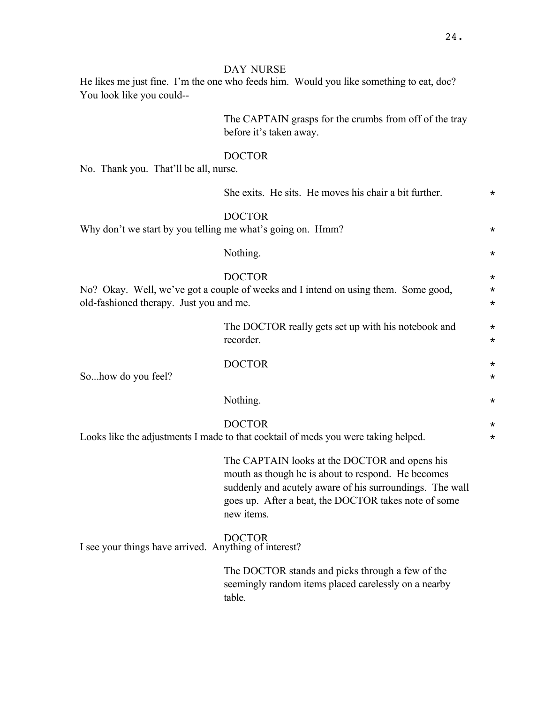# DAY NURSE

He likes me just fine. I'm the one who feeds him. Would you like something to eat, doc? You look like you could--

> The CAPTAIN grasps for the crumbs from off of the tray before it's taken away.

### DOCTOR

No. Thank you. That'll be all, nurse.

|                                                            | She exits. He sits. He moves his chair a bit further.                                                                                                                                                                                 | $^\star$                         |
|------------------------------------------------------------|---------------------------------------------------------------------------------------------------------------------------------------------------------------------------------------------------------------------------------------|----------------------------------|
| Why don't we start by you telling me what's going on. Hmm? | <b>DOCTOR</b>                                                                                                                                                                                                                         | $^\star$                         |
|                                                            | Nothing.                                                                                                                                                                                                                              | $^\star$                         |
| old-fashioned therapy. Just you and me.                    | <b>DOCTOR</b><br>No? Okay. Well, we've got a couple of weeks and I intend on using them. Some good,                                                                                                                                   | $^\star$<br>$^\star$<br>$^\star$ |
|                                                            | The DOCTOR really gets set up with his notebook and<br>recorder.                                                                                                                                                                      | $\star$<br>$\star$               |
| Sohow do you feel?                                         | <b>DOCTOR</b>                                                                                                                                                                                                                         | $^\star$<br>$\star$              |
|                                                            | Nothing.                                                                                                                                                                                                                              | $^\star$                         |
|                                                            | <b>DOCTOR</b><br>Looks like the adjustments I made to that cocktail of meds you were taking helped.                                                                                                                                   | $^\star$<br>$^\star$             |
|                                                            | The CAPTAIN looks at the DOCTOR and opens his<br>mouth as though he is about to respond. He becomes<br>suddenly and acutely aware of his surroundings. The wall<br>goes up. After a beat, the DOCTOR takes note of some<br>new items. |                                  |
| I see your things have arrived. Anything of interest?      | <b>DOCTOR</b>                                                                                                                                                                                                                         |                                  |
|                                                            | The DOCTOR stands and picks through a few of the<br>seemingly random items placed carelessly on a nearby<br>table.                                                                                                                    |                                  |
|                                                            |                                                                                                                                                                                                                                       |                                  |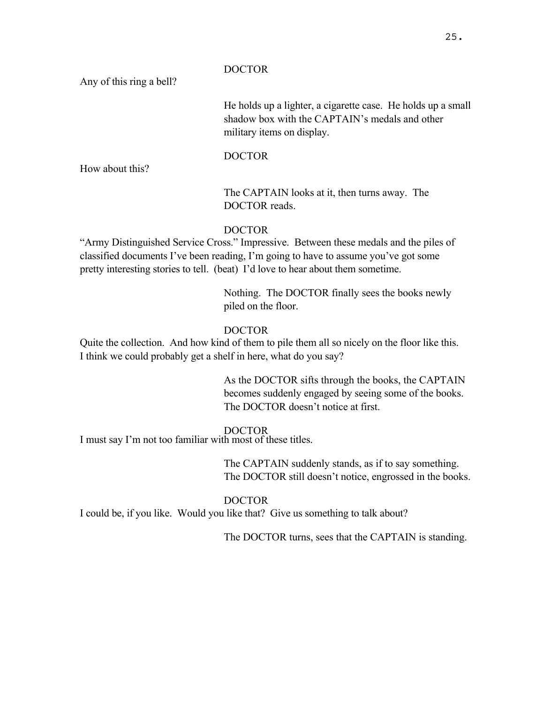Any of this ring a bell?

He holds up a lighter, a cigarette case. He holds up a small shadow box with the CAPTAIN's medals and other military items on display.

# DOCTOR

How about this?

# The CAPTAIN looks at it, then turns away. The DOCTOR reads.

# DOCTOR

"Army Distinguished Service Cross." Impressive. Between these medals and the piles of classified documents I've been reading, I'm going to have to assume you've got some pretty interesting stories to tell. (beat) I'd love to hear about them sometime.

> Nothing. The DOCTOR finally sees the books newly piled on the floor.

# DOCTOR

Quite the collection. And how kind of them to pile them all so nicely on the floor like this. I think we could probably get a shelf in here, what do you say?

> As the DOCTOR sifts through the books, the CAPTAIN becomes suddenly engaged by seeing some of the books. The DOCTOR doesn't notice at first.

# DOCTOR

I must say I'm not too familiar with most of these titles.

The CAPTAIN suddenly stands, as if to say something. The DOCTOR still doesn't notice, engrossed in the books.

# DOCTOR

I could be, if you like. Would you like that? Give us something to talk about?

The DOCTOR turns, sees that the CAPTAIN is standing.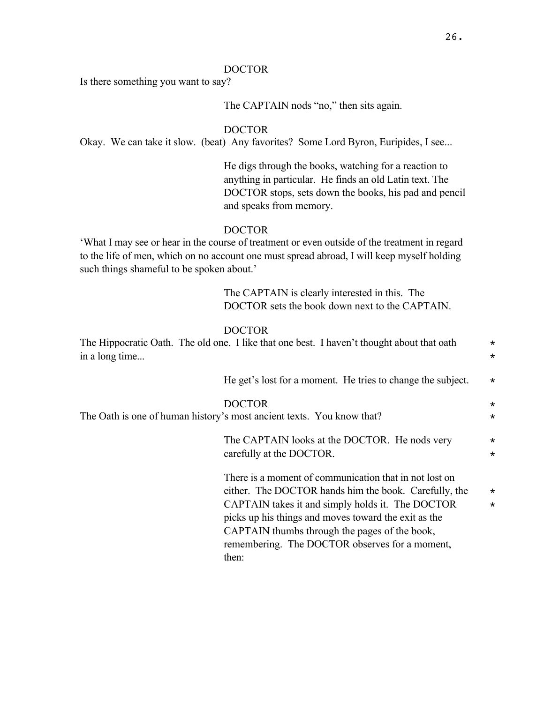Is there something you want to say?

The CAPTAIN nods "no," then sits again.

DOCTOR

Okay. We can take it slow. (beat) Any favorites? Some Lord Byron, Euripides, I see...

He digs through the books, watching for a reaction to anything in particular. He finds an old Latin text. The DOCTOR stops, sets down the books, his pad and pencil and speaks from memory.

# DOCTOR

'What I may see or hear in the course of treatment or even outside of the treatment in regard to the life of men, which on no account one must spread abroad, I will keep myself holding such things shameful to be spoken about.'

> The CAPTAIN is clearly interested in this. The DOCTOR sets the book down next to the CAPTAIN.

### DOCTOR

| in a long time | The Hippocratic Oath. The old one. I like that one best. I haven't thought about that oath                                                                                                                                                                                                                                              | $\star$<br>$\star$ |
|----------------|-----------------------------------------------------------------------------------------------------------------------------------------------------------------------------------------------------------------------------------------------------------------------------------------------------------------------------------------|--------------------|
|                | He get's lost for a moment. He tries to change the subject.                                                                                                                                                                                                                                                                             | $\star$            |
|                | <b>DOCTOR</b><br>The Oath is one of human history's most ancient texts. You know that?                                                                                                                                                                                                                                                  | $\star$<br>$\star$ |
|                | The CAPTAIN looks at the DOCTOR. He nods very<br>carefully at the DOCTOR.                                                                                                                                                                                                                                                               | $\star$<br>$\star$ |
|                | There is a moment of communication that in not lost on<br>either. The DOCTOR hands him the book. Carefully, the<br>CAPTAIN takes it and simply holds it. The DOCTOR<br>picks up his things and moves toward the exit as the<br>CAPTAIN thumbs through the pages of the book,<br>remembering. The DOCTOR observes for a moment,<br>then: | $\star$<br>$\star$ |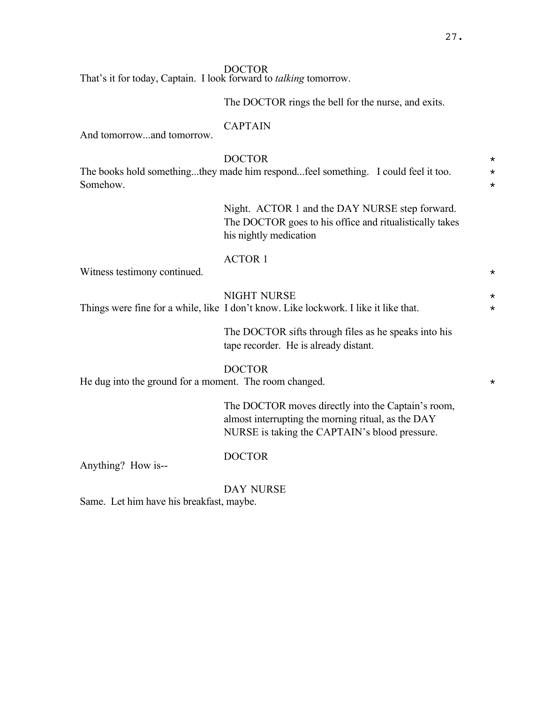That's it for today, Captain. I look forward to *talking* tomorrow.

The DOCTOR rings the bell for the nurse, and exits.

### CAPTAIN

And tomorrow...and tomorrow.

# DOCTOR \*

The books hold something...they made him respond...feel something. I could feel it too.  $\star$ Somehow.  $\star$ 

> Night. ACTOR 1 and the DAY NURSE step forward. The DOCTOR goes to his office and ritualistically takes his nightly medication

### ACTOR 1

Witness testimony continued.  $\star$ 

### NIGHT NURSE  $\star$

Things were fine for a while, like I don't know. Like lockwork. I like it like that.  $*$ 

The DOCTOR sifts through files as he speaks into his tape recorder. He is already distant.

### DOCTOR

He dug into the ground for a moment. The room changed.  $*$ 

The DOCTOR moves directly into the Captain's room, almost interrupting the morning ritual, as the DAY NURSE is taking the CAPTAIN's blood pressure.

Anything? How is--

DOCTOR

DAY NURSE

Same. Let him have his breakfast, maybe.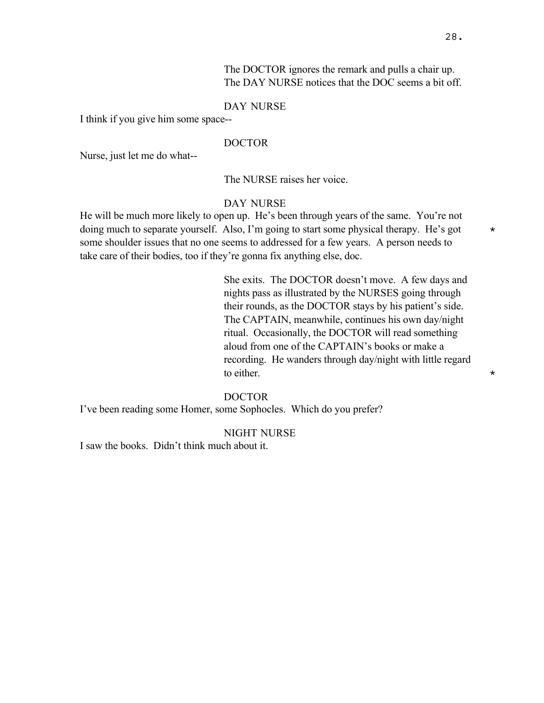The DOCTOR ignores the remark and pulls a chair up. The DAY NURSE notices that the DOC seems a bit off.

### DAY NURSE

I think if you give him some space--

### DOCTOR

Nurse, just let me do what--

The NURSE raises her voice.

### DAY NURSE

He will be much more likely to open up. He's been through years of the same. You're not doing much to separate yourself. Also, I'm going to start some physical therapy. He's got  $*$ some shoulder issues that no one seems to addressed for a few years. A person needs to take care of their bodies, too if they're gonna fix anything else, doc.

> She exits. The DOCTOR doesn't move. A few days and nights pass as illustrated by the NURSES going through their rounds, as the DOCTOR stays by his patient's side. The CAPTAIN, meanwhile, continues his own day/night ritual. Occasionally, the DOCTOR will read something aloud from one of the CAPTAIN's books or make a recording. He wanders through day/night with little regard to either.  $\star$

### DOCTOR

I've been reading some Homer, some Sophocles. Which do you prefer?

#### NIGHT NURSE

I saw the books. Didn't think much about it.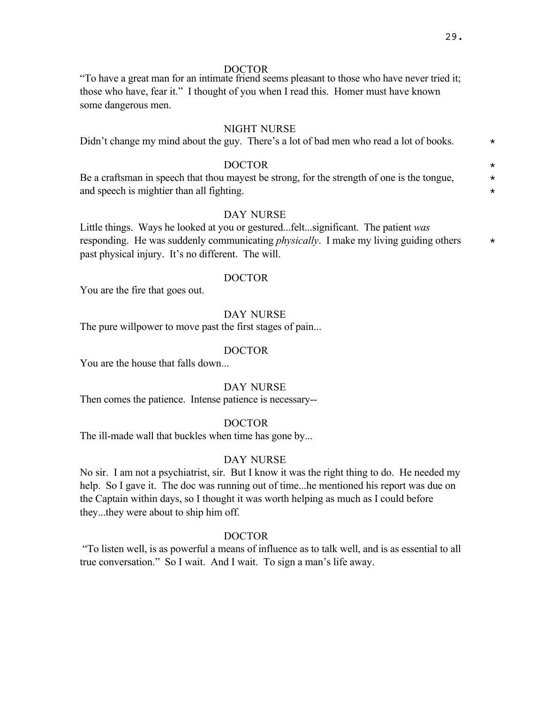"To have a great man for an intimate friend seems pleasant to those who have never tried it; those who have, fear it." I thought of you when I read this. Homer must have known some dangerous men.

#### NIGHT NURSE

| Didn't change my mind about the guy. There's a lot of bad men who read a lot of books.      |         |  |
|---------------------------------------------------------------------------------------------|---------|--|
| <b>DOCTOR</b>                                                                               | $\star$ |  |
| Be a craftsman in speech that thou mayest be strong, for the strength of one is the tongue, |         |  |

and speech is mightier than all fighting.

# DAY NURSE

Little things. Ways he looked at you or gestured...felt...significant. The patient *was* responding. He was suddenly communicating *physically*. I make my living guiding others  $*$ past physical injury. It's no different. The will.

# DOCTOR

You are the fire that goes out.

### DAY NURSE

The pure willpower to move past the first stages of pain...

### DOCTOR

You are the house that falls down...

#### DAY NURSE

Then comes the patience. Intense patience is necessary--

### DOCTOR

The ill-made wall that buckles when time has gone by...

## DAY NURSE

No sir. I am not a psychiatrist, sir. But I know it was the right thing to do. He needed my help. So I gave it. The doc was running out of time...he mentioned his report was due on the Captain within days, so I thought it was worth helping as much as I could before they...they were about to ship him off.

### DOCTOR

 "To listen well, is as powerful a means of influence as to talk well, and is as essential to all true conversation." So I wait. And I wait. To sign a man's life away.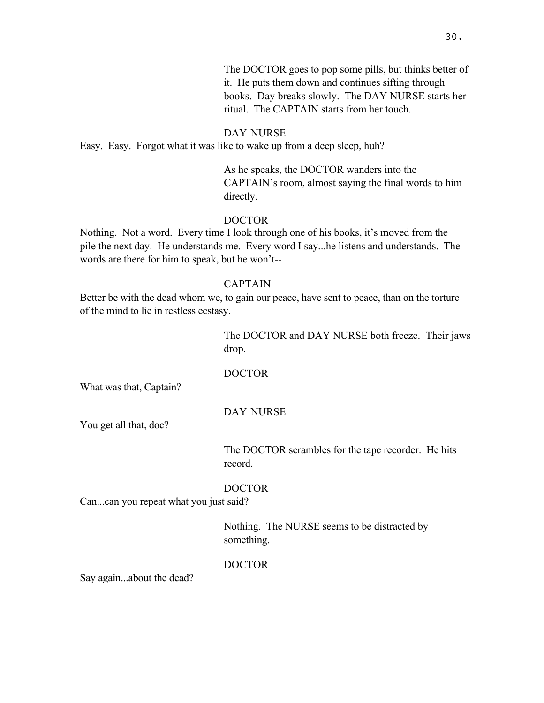### DAY NURSE

Easy. Easy. Forgot what it was like to wake up from a deep sleep, huh?

As he speaks, the DOCTOR wanders into the CAPTAIN's room, almost saying the final words to him directly.

ritual. The CAPTAIN starts from her touch.

# DOCTOR

Nothing. Not a word. Every time I look through one of his books, it's moved from the pile the next day. He understands me. Every word I say...he listens and understands. The words are there for him to speak, but he won't--

# CAPTAIN

Better be with the dead whom we, to gain our peace, have sent to peace, than on the torture of the mind to lie in restless ecstasy.

> The DOCTOR and DAY NURSE both freeze. Their jaws drop.

### DOCTOR

What was that, Captain?

### DAY NURSE

You get all that, doc?

The DOCTOR scrambles for the tape recorder. He hits record.

### DOCTOR

Can...can you repeat what you just said?

Nothing. The NURSE seems to be distracted by something.

### DOCTOR

Say again...about the dead?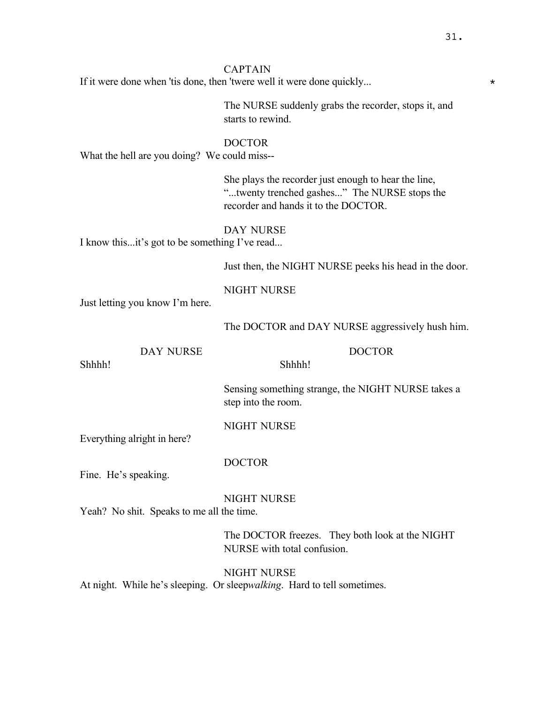# CAPTAIN

If it were done when 'tis done, then 'twere well it were done quickly...  $*$ 

The NURSE suddenly grabs the recorder, stops it, and starts to rewind.

### DOCTOR

What the hell are you doing? We could miss--

She plays the recorder just enough to hear the line, "...twenty trenched gashes..." The NURSE stops the recorder and hands it to the DOCTOR.

### DAY NURSE

I know this...it's got to be something I've read...

Just then, the NIGHT NURSE peeks his head in the door.

# NIGHT NURSE

Just letting you know I'm here.

The DOCTOR and DAY NURSE aggressively hush him.

### DAY NURSE

Shhhh!

DOCTOR

Sensing something strange, the NIGHT NURSE takes a step into the room.

# NIGHT NURSE

Shhhh!

Everything alright in here?

### DOCTOR

Fine. He's speaking.

### NIGHT NURSE

Yeah? No shit. Speaks to me all the time.

The DOCTOR freezes. They both look at the NIGHT NURSE with total confusion.

NIGHT NURSE At night. While he's sleeping. Or sleep*walking*. Hard to tell sometimes.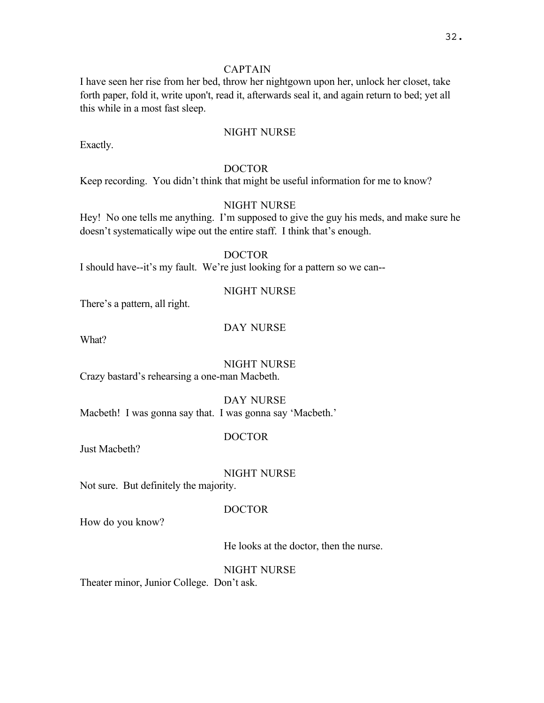# CAPTAIN

I have seen her rise from her bed, throw her nightgown upon her, unlock her closet, take forth paper, fold it, write upon't, read it, afterwards seal it, and again return to bed; yet all this while in a most fast sleep.

# NIGHT NURSE

Exactly.

### DOCTOR

Keep recording. You didn't think that might be useful information for me to know?

# NIGHT NURSE

Hey! No one tells me anything. I'm supposed to give the guy his meds, and make sure he doesn't systematically wipe out the entire staff. I think that's enough.

# DOCTOR

I should have--it's my fault. We're just looking for a pattern so we can--

### NIGHT NURSE

There's a pattern, all right.

# DAY NURSE

What?

# NIGHT NURSE

Crazy bastard's rehearsing a one-man Macbeth.

DAY NURSE Macbeth! I was gonna say that. I was gonna say 'Macbeth.'

### DOCTOR

Just Macbeth?

### NIGHT NURSE

Not sure. But definitely the majority.

### DOCTOR

How do you know?

### He looks at the doctor, then the nurse.

NIGHT NURSE

Theater minor, Junior College. Don't ask.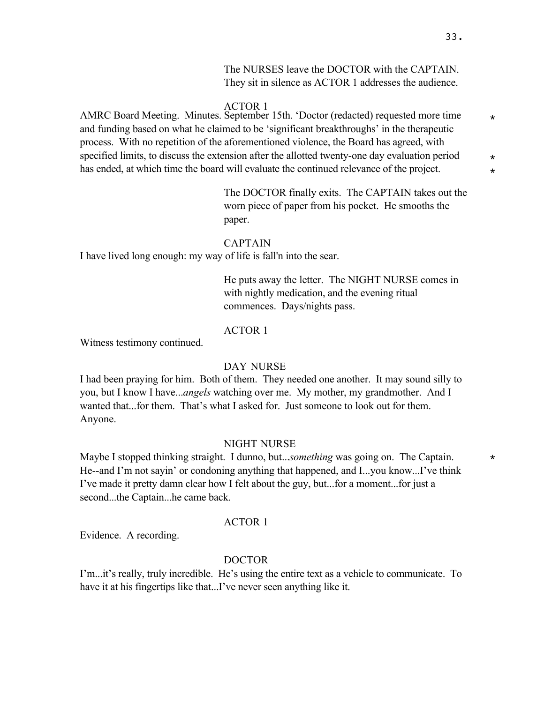The NURSES leave the DOCTOR with the CAPTAIN. They sit in silence as ACTOR 1 addresses the audience.

### ACTOR 1

AMRC Board Meeting. Minutes. September 15th. 'Doctor (redacted) requested more time and funding based on what he claimed to be 'significant breakthroughs' in the therapeutic process. With no repetition of the aforementioned violence, the Board has agreed, with specified limits, to discuss the extension after the allotted twenty-one day evaluation period  $*$ has ended, at which time the board will evaluate the continued relevance of the project.  $\star$ 

> The DOCTOR finally exits. The CAPTAIN takes out the worn piece of paper from his pocket. He smooths the paper.

### CAPTAIN

I have lived long enough: my way of life is fall'n into the sear.

He puts away the letter. The NIGHT NURSE comes in with nightly medication, and the evening ritual commences. Days/nights pass.

### ACTOR 1

Witness testimony continued.

# DAY NURSE

I had been praying for him. Both of them. They needed one another. It may sound silly to you, but I know I have...*angels* watching over me. My mother, my grandmother. And I wanted that...for them. That's what I asked for. Just someone to look out for them. Anyone.

### NIGHT NURSE

Maybe I stopped thinking straight. I dunno, but...*something* was going on. The Captain.  $*$ He--and I'm not sayin' or condoning anything that happened, and I...you know...I've think I've made it pretty damn clear how I felt about the guy, but...for a moment...for just a second...the Captain...he came back.

#### ACTOR 1

Evidence. A recording.

#### DOCTOR

I'm...it's really, truly incredible. He's using the entire text as a vehicle to communicate. To have it at his fingertips like that...I've never seen anything like it.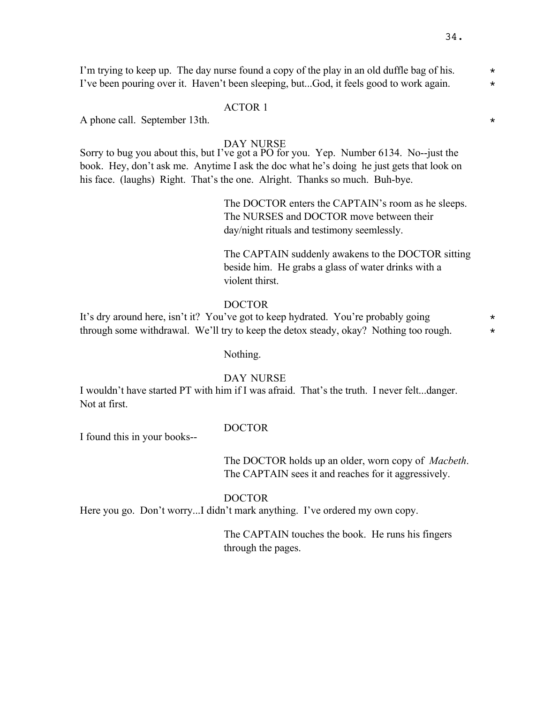I'm trying to keep up. The day nurse found a copy of the play in an old duffle bag of his.  $*$ I've been pouring over it. Haven't been sleeping, but...God, it feels good to work again.  $*$ 

### ACTOR 1

A phone call. September 13th.  $\star$ 

### DAY NURSE

Sorry to bug you about this, but I've got a PO for you. Yep. Number 6134. No--just the book. Hey, don't ask me. Anytime I ask the doc what he's doing he just gets that look on his face. (laughs) Right. That's the one. Alright. Thanks so much. Buh-bye.

> The DOCTOR enters the CAPTAIN's room as he sleeps. The NURSES and DOCTOR move between their day/night rituals and testimony seemlessly.

The CAPTAIN suddenly awakens to the DOCTOR sitting beside him. He grabs a glass of water drinks with a violent thirst.

### DOCTOR

It's dry around here, isn't it? You've got to keep hydrated. You're probably going  $*$ through some withdrawal. We'll try to keep the detox steady, okay? Nothing too rough.  $*$ 

Nothing.

#### DAY NURSE

I wouldn't have started PT with him if I was afraid. That's the truth. I never felt...danger. Not at first.

I found this in your books--

### DOCTOR

The DOCTOR holds up an older, worn copy of *Macbeth*. The CAPTAIN sees it and reaches for it aggressively.

### DOCTOR

Here you go. Don't worry...I didn't mark anything. I've ordered my own copy.

The CAPTAIN touches the book. He runs his fingers through the pages.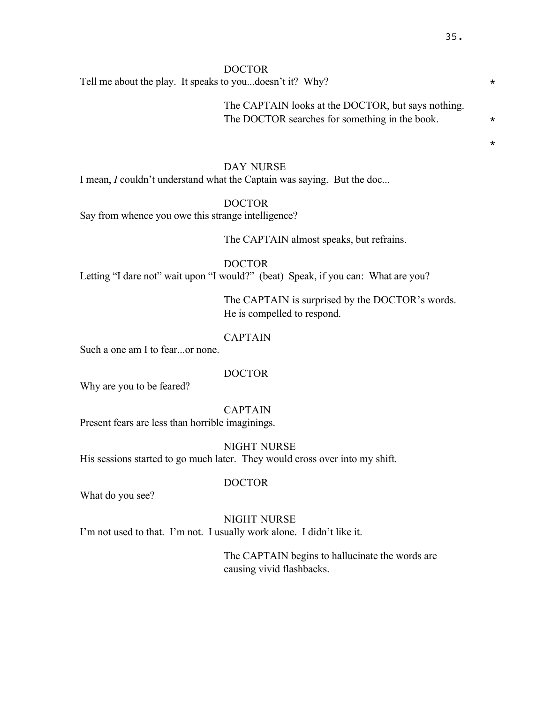\*

## DOCTOR

Tell me about the play. It speaks to you...doesn't it? Why?  $\star$ 

The CAPTAIN looks at the DOCTOR, but says nothing. The DOCTOR searches for something in the book.  $*$ 

#### DAY NURSE

I mean, *I* couldn't understand what the Captain was saying. But the doc...

DOCTOR

Say from whence you owe this strange intelligence?

The CAPTAIN almost speaks, but refrains.

DOCTOR

Letting "I dare not" wait upon "I would?" (beat) Speak, if you can: What are you?

The CAPTAIN is surprised by the DOCTOR's words. He is compelled to respond.

## CAPTAIN

Such a one am I to fear...or none.

#### DOCTOR

Why are you to be feared?

## CAPTAIN

Present fears are less than horrible imaginings.

NIGHT NURSE His sessions started to go much later. They would cross over into my shift.

What do you see?

DOCTOR

# NIGHT NURSE

I'm not used to that. I'm not. I usually work alone. I didn't like it.

The CAPTAIN begins to hallucinate the words are causing vivid flashbacks.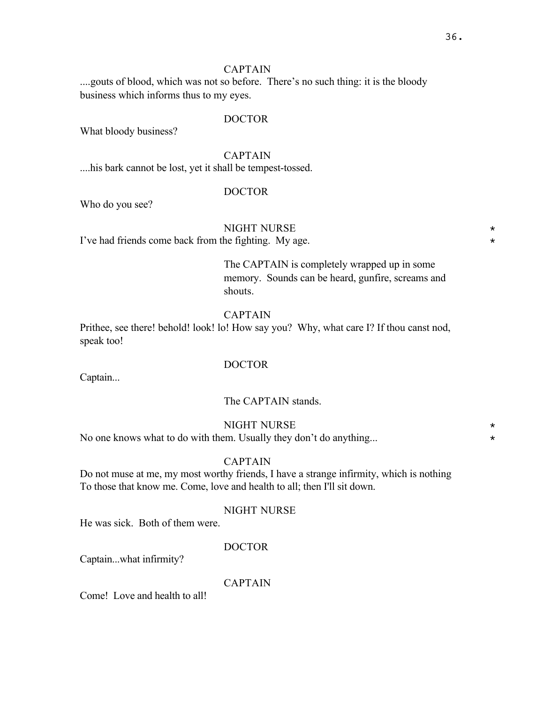## CAPTAIN

....gouts of blood, which was not so before. There's no such thing: it is the bloody business which informs thus to my eyes.

## DOCTOR

What bloody business?

CAPTAIN

....his bark cannot be lost, yet it shall be tempest-tossed.

## DOCTOR

Who do you see?

## NIGHT NURSE  $\star$

I've had friends come back from the fighting. My age.  $*$ 

The CAPTAIN is completely wrapped up in some memory. Sounds can be heard, gunfire, screams and shouts.

## CAPTAIN

Prithee, see there! behold! look! lo! How say you? Why, what care I? If thou canst nod, speak too!

## DOCTOR

Captain...

## The CAPTAIN stands.

## NIGHT NURSE  $\star$

No one knows what to do with them. Usually they don't do anything...  $*$ 

#### CAPTAIN

Do not muse at me, my most worthy friends, I have a strange infirmity, which is nothing To those that know me. Come, love and health to all; then I'll sit down.

#### NIGHT NURSE

He was sick. Both of them were.

## DOCTOR

Captain...what infirmity?

## CAPTAIN

Come! Love and health to all!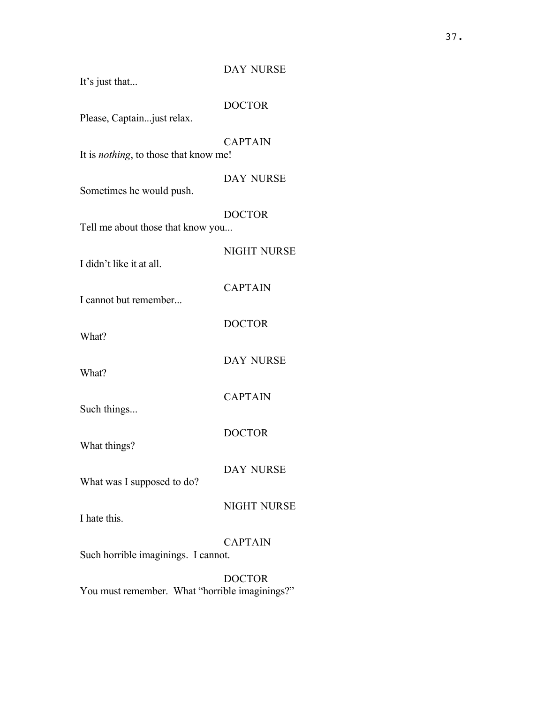| It's just that                                | <b>DAY NURSE</b>   |
|-----------------------------------------------|--------------------|
| Please, Captain just relax.                   | <b>DOCTOR</b>      |
| It is <i>nothing</i> , to those that know me! | <b>CAPTAIN</b>     |
| Sometimes he would push.                      | <b>DAY NURSE</b>   |
| Tell me about those that know you             | <b>DOCTOR</b>      |
| I didn't like it at all.                      | <b>NIGHT NURSE</b> |
| I cannot but remember                         | <b>CAPTAIN</b>     |
| What?                                         | <b>DOCTOR</b>      |
| What?                                         | <b>DAY NURSE</b>   |
| Such things                                   | <b>CAPTAIN</b>     |
| What things?                                  | <b>DOCTOR</b>      |
| What was I supposed to do?                    | <b>DAY NURSE</b>   |
| I hate this.                                  | <b>NIGHT NURSE</b> |
|                                               | <b>CAPTAIN</b>     |
| Such horrible imaginings. I cannot.           | <b>DOCTOR</b>      |

You must remember. What "horrible imaginings?"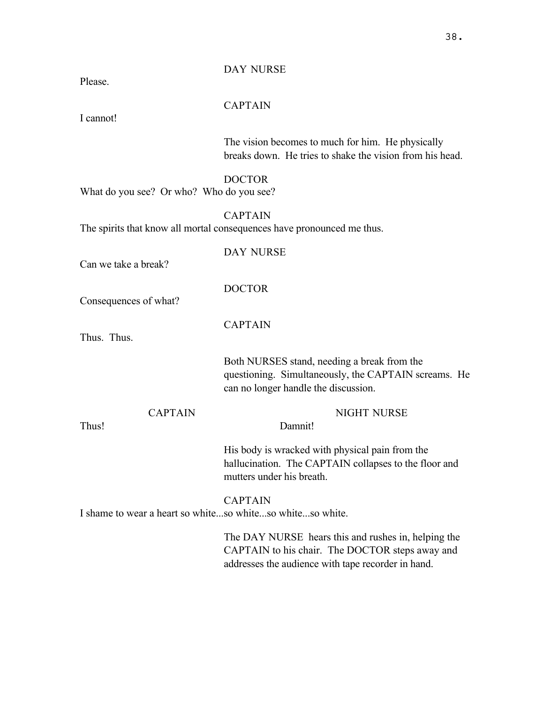Please.

DAY NURSE

## CAPTAIN

I cannot!

The vision becomes to much for him. He physically breaks down. He tries to shake the vision from his head.

DOCTOR

What do you see? Or who? Who do you see?

CAPTAIN

The spirits that know all mortal consequences have pronounced me thus.

Can we take a break?

Consequences of what?

CAPTAIN

DOCTOR

DAY NURSE

Thus. Thus.

Both NURSES stand, needing a break from the questioning. Simultaneously, the CAPTAIN screams. He can no longer handle the discussion.

**CAPTAIN** Thus! NIGHT NURSE Damnit! His body is wracked with physical pain from the hallucination. The CAPTAIN collapses to the floor and mutters under his breath. **CAPTAIN** I shame to wear a heart so white...so white...so white...so white. The DAY NURSE hears this and rushes in, helping the

CAPTAIN to his chair. The DOCTOR steps away and addresses the audience with tape recorder in hand.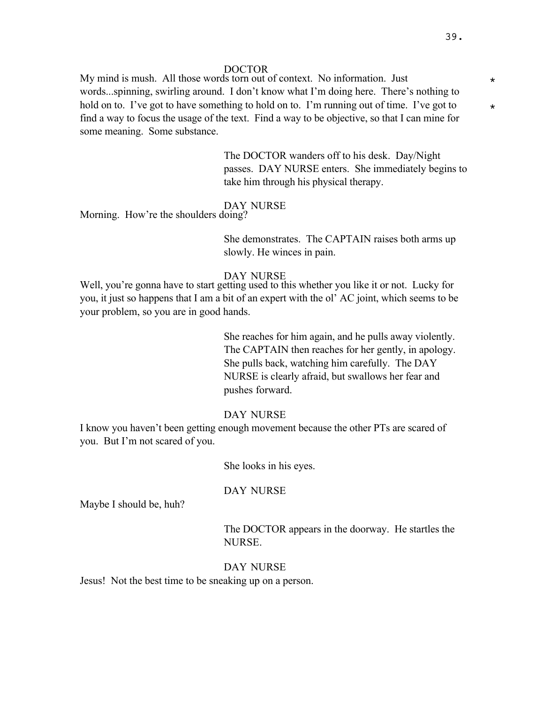My mind is mush. All those words torn out of context. No information. Just  $*$ words...spinning, swirling around. I don't know what I'm doing here. There's nothing to hold on to. I've got to have something to hold on to. I'm running out of time. I've got to  $\star$ find a way to focus the usage of the text. Find a way to be objective, so that I can mine for some meaning. Some substance.

> The DOCTOR wanders off to his desk. Day/Night passes. DAY NURSE enters. She immediately begins to take him through his physical therapy.

## DAY NURSE

Morning. How're the shoulders doing?

She demonstrates. The CAPTAIN raises both arms up slowly. He winces in pain.

#### DAY NURSE

Well, you're gonna have to start getting used to this whether you like it or not. Lucky for you, it just so happens that I am a bit of an expert with the ol' AC joint, which seems to be your problem, so you are in good hands.

> She reaches for him again, and he pulls away violently. The CAPTAIN then reaches for her gently, in apology. She pulls back, watching him carefully. The DAY NURSE is clearly afraid, but swallows her fear and pushes forward.

#### DAY NURSE

I know you haven't been getting enough movement because the other PTs are scared of you. But I'm not scared of you.

She looks in his eyes.

#### DAY NURSE

Maybe I should be, huh?

The DOCTOR appears in the doorway. He startles the NURSE.

### DAY NURSE

Jesus! Not the best time to be sneaking up on a person.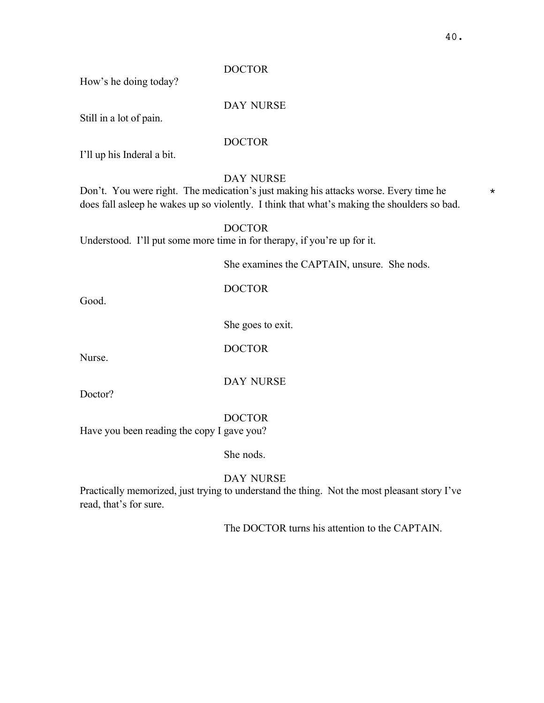How's he doing today?

## DAY NURSE

Still in a lot of pain.

## DOCTOR

I'll up his Inderal a bit.

## DAY NURSE

Don't. You were right. The medication's just making his attacks worse. Every time he  $*$ does fall asleep he wakes up so violently. I think that what's making the shoulders so bad.

### DOCTOR

Understood. I'll put some more time in for therapy, if you're up for it.

She examines the CAPTAIN, unsure. She nods.

## DOCTOR

Good.

She goes to exit.

DOCTOR

Nurse.

Doctor?

DAY NURSE

DOCTOR

Have you been reading the copy I gave you?

She nods.

## DAY NURSE

Practically memorized, just trying to understand the thing. Not the most pleasant story I've read, that's for sure.

The DOCTOR turns his attention to the CAPTAIN.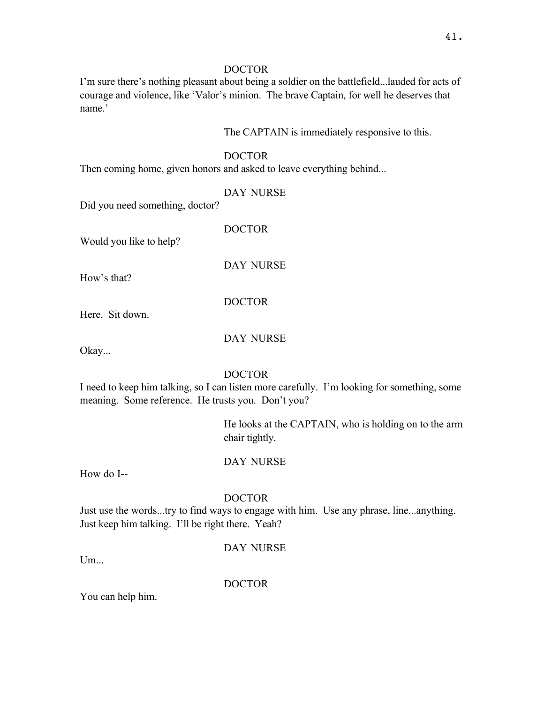I'm sure there's nothing pleasant about being a soldier on the battlefield...lauded for acts of courage and violence, like 'Valor's minion. The brave Captain, for well he deserves that name.'

The CAPTAIN is immediately responsive to this.

## DOCTOR

Then coming home, given honors and asked to leave everything behind...

DAY NURSE

Did you need something, doctor?

DOCTOR

Would you like to help?

DAY NURSE

How's that?

## DOCTOR

Here. Sit down.

DAY NURSE

Okay...

## DOCTOR

I need to keep him talking, so I can listen more carefully. I'm looking for something, some meaning. Some reference. He trusts you. Don't you?

> He looks at the CAPTAIN, who is holding on to the arm chair tightly.

## DAY NURSE

How do I--

## DOCTOR

Just use the words...try to find ways to engage with him. Use any phrase, line...anything. Just keep him talking. I'll be right there. Yeah?

DAY NURSE

 $Um...$ 

DOCTOR

You can help him.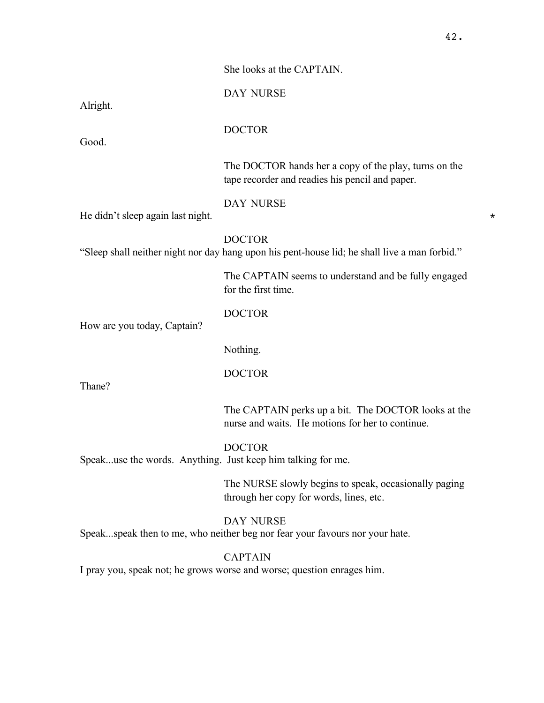She looks at the CAPTAIN.

Alright.

DOCTOR

DAY NURSE

Good.

The DOCTOR hands her a copy of the play, turns on the tape recorder and readies his pencil and paper.

DAY NURSE

He didn't sleep again last night.  $\star$ 

DOCTOR

"Sleep shall neither night nor day hang upon his pent-house lid; he shall live a man forbid."

The CAPTAIN seems to understand and be fully engaged for the first time.

# DOCTOR

How are you today, Captain?

Nothing.

DOCTOR

Thane?

The CAPTAIN perks up a bit. The DOCTOR looks at the nurse and waits. He motions for her to continue.

DOCTOR

Speak...use the words. Anything. Just keep him talking for me.

The NURSE slowly begins to speak, occasionally paging through her copy for words, lines, etc.

DAY NURSE Speak...speak then to me, who neither beg nor fear your favours nor your hate.

## CAPTAIN

I pray you, speak not; he grows worse and worse; question enrages him.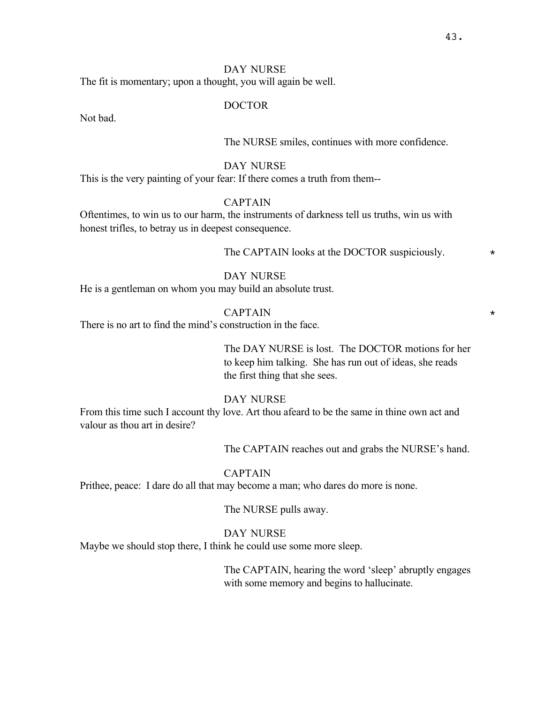## DAY NURSE

The fit is momentary; upon a thought, you will again be well.

#### DOCTOR

Not bad.

The NURSE smiles, continues with more confidence.

#### DAY NURSE

This is the very painting of your fear: If there comes a truth from them--

#### CAPTAIN

Oftentimes, to win us to our harm, the instruments of darkness tell us truths, win us with honest trifles, to betray us in deepest consequence.

The CAPTAIN looks at the DOCTOR suspiciously.  $\star$ 

## DAY NURSE

He is a gentleman on whom you may build an absolute trust.

CAPTAIN \*

There is no art to find the mind's construction in the face.

The DAY NURSE is lost. The DOCTOR motions for her to keep him talking. She has run out of ideas, she reads the first thing that she sees.

#### DAY NURSE

From this time such I account thy love. Art thou afeard to be the same in thine own act and valour as thou art in desire?

The CAPTAIN reaches out and grabs the NURSE's hand.

#### **CAPTAIN**

Prithee, peace: I dare do all that may become a man; who dares do more is none.

The NURSE pulls away.

## DAY NURSE

Maybe we should stop there, I think he could use some more sleep.

The CAPTAIN, hearing the word 'sleep' abruptly engages with some memory and begins to hallucinate.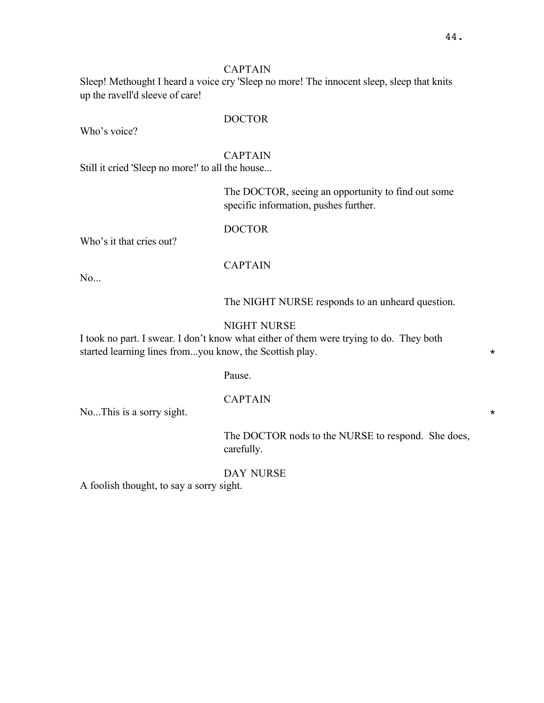## CAPTAIN

Sleep! Methought I heard a voice cry 'Sleep no more! The innocent sleep, sleep that knits up the ravell'd sleeve of care!

## DOCTOR

Who's voice?

#### CAPTAIN

Still it cried 'Sleep no more!' to all the house...

The DOCTOR, seeing an opportunity to find out some specific information, pushes further.

#### DOCTOR

Who's it that cries out?

## CAPTAIN

No...

The NIGHT NURSE responds to an unheard question.

## NIGHT NURSE

I took no part. I swear. I don't know what either of them were trying to do. They both started learning lines from...you know, the Scottish play.

#### Pause.

#### CAPTAIN

No...This is a sorry sight.  $\star$ 

The DOCTOR nods to the NURSE to respond. She does, carefully.

## DAY NURSE

A foolish thought, to say a sorry sight.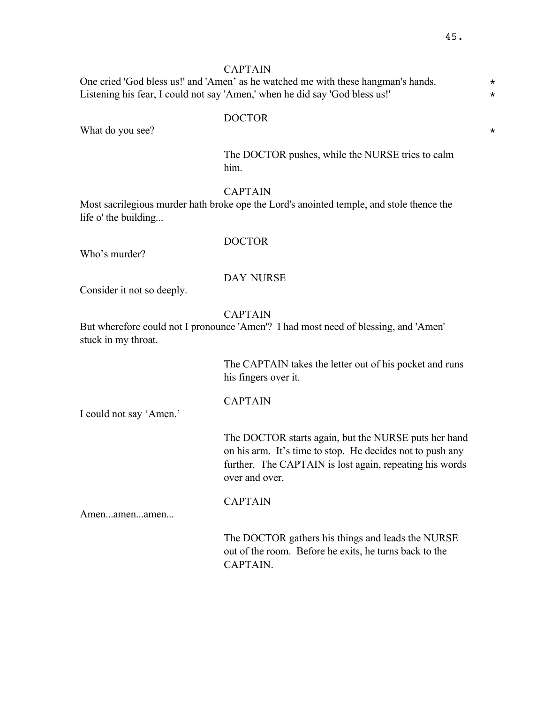## CAPTAIN

One cried 'God bless us!' and 'Amen' as he watched me with these hangman's hands. Listening his fear, I could not say 'Amen,' when he did say 'God bless us!'  $*$ 

## DOCTOR

What do you see?  $\star$ 

The DOCTOR pushes, while the NURSE tries to calm him.

# CAPTAIN

Most sacrilegious murder hath broke ope the Lord's anointed temple, and stole thence the life o' the building...

## DOCTOR

Who's murder?

## DAY NURSE

Consider it not so deeply.

## CAPTAIN

But wherefore could not I pronounce 'Amen'? I had most need of blessing, and 'Amen' stuck in my throat.

> The CAPTAIN takes the letter out of his pocket and runs his fingers over it.

## CAPTAIN

CAPTAIN

I could not say 'Amen.'

The DOCTOR starts again, but the NURSE puts her hand on his arm. It's time to stop. He decides not to push any further. The CAPTAIN is lost again, repeating his words over and over.

Amen...amen...amen...

The DOCTOR gathers his things and leads the NURSE out of the room. Before he exits, he turns back to the CAPTAIN.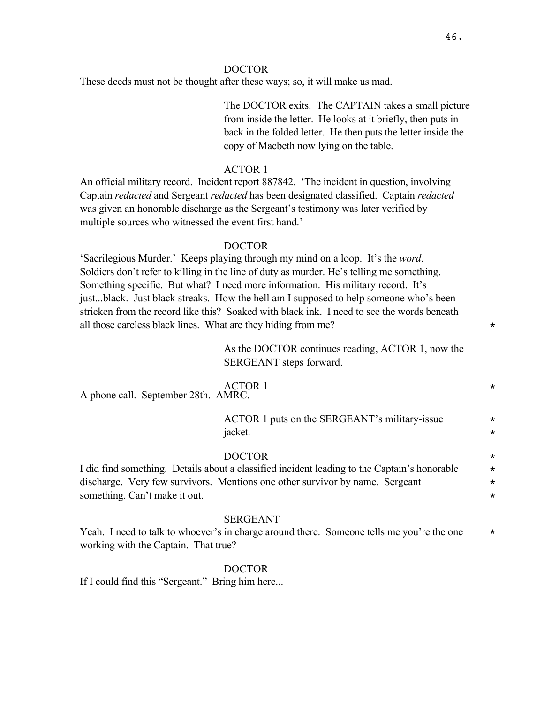These deeds must not be thought after these ways; so, it will make us mad.

The DOCTOR exits. The CAPTAIN takes a small picture from inside the letter. He looks at it briefly, then puts in back in the folded letter. He then puts the letter inside the copy of Macbeth now lying on the table.

## ACTOR 1

An official military record. Incident report 887842. 'The incident in question, involving Captain *redacted* and Sergeant *redacted* has been designated classified. Captain *redacted* was given an honorable discharge as the Sergeant's testimony was later verified by multiple sources who witnessed the event first hand.'

#### DOCTOR

'Sacrilegious Murder.' Keeps playing through my mind on a loop. It's the *word*. Soldiers don't refer to killing in the line of duty as murder. He's telling me something. Something specific. But what? I need more information. His military record. It's just...black. Just black streaks. How the hell am I supposed to help someone who's been stricken from the record like this? Soaked with black ink. I need to see the words beneath all those careless black lines. What are they hiding from me?

> As the DOCTOR continues reading, ACTOR 1, now the SERGEANT steps forward.

| A phone call. September 28th. AMRC.  | <b>ACTOR 1</b>                                                                               | $^\star$ |
|--------------------------------------|----------------------------------------------------------------------------------------------|----------|
|                                      | ACTOR 1 puts on the SERGEANT's military-issue                                                | $\star$  |
|                                      | jacket.                                                                                      | $\star$  |
|                                      | <b>DOCTOR</b>                                                                                | $\star$  |
|                                      | I did find something. Details about a classified incident leading to the Captain's honorable | $\star$  |
|                                      | discharge. Very few survivors. Mentions one other survivor by name. Sergeant                 | $\star$  |
| something. Can't make it out.        |                                                                                              | $\star$  |
|                                      | <b>SERGEANT</b>                                                                              |          |
|                                      | Yeah. I need to talk to whoever's in charge around there. Someone tells me you're the one    | $\star$  |
| working with the Captain. That true? |                                                                                              |          |

#### DOCTOR

If I could find this "Sergeant." Bring him here...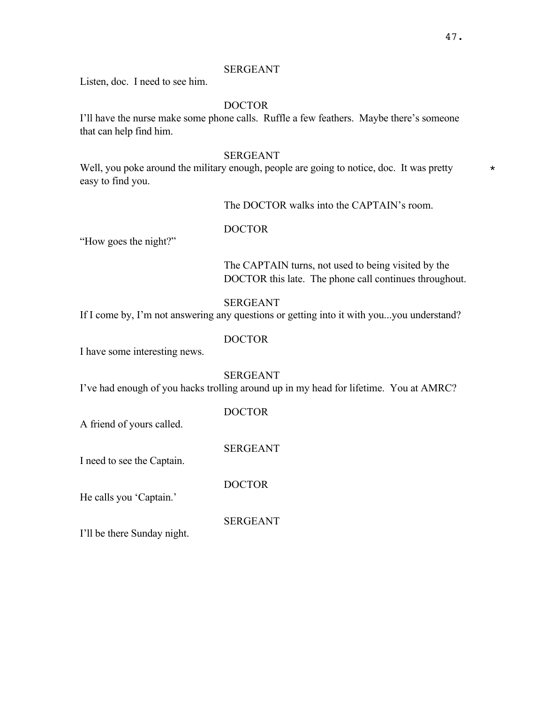## SERGEANT

Listen, doc. I need to see him.

## DOCTOR

I'll have the nurse make some phone calls. Ruffle a few feathers. Maybe there's someone that can help find him.

#### SERGEANT

Well, you poke around the military enough, people are going to notice, doc. It was pretty  $*$ easy to find you.

The DOCTOR walks into the CAPTAIN's room.

# DOCTOR

"How goes the night?"

The CAPTAIN turns, not used to being visited by the DOCTOR this late. The phone call continues throughout.

## SERGEANT

If I come by, I'm not answering any questions or getting into it with you...you understand?

## DOCTOR

I have some interesting news.

#### SERGEANT

I've had enough of you hacks trolling around up in my head for lifetime. You at AMRC?

DOCTOR

SERGEANT

A friend of yours called.

I need to see the Captain.

DOCTOR

He calls you 'Captain.'

SERGEANT

I'll be there Sunday night.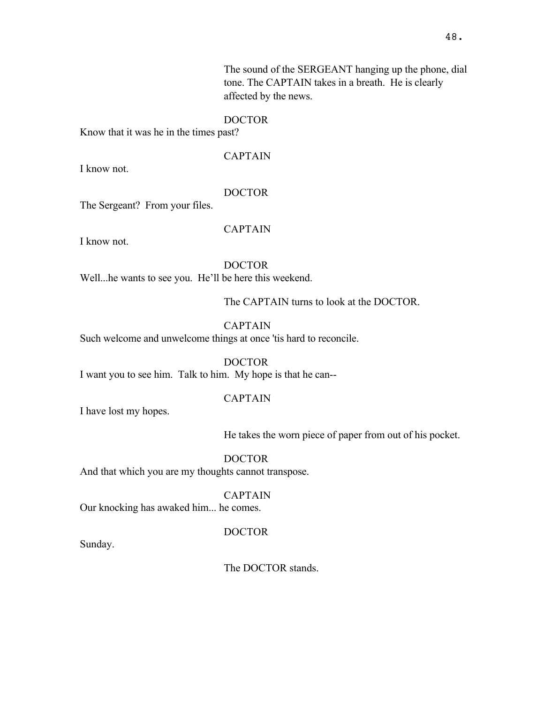The sound of the SERGEANT hanging up the phone, dial tone. The CAPTAIN takes in a breath. He is clearly affected by the news.

## DOCTOR

Know that it was he in the times past?

I know not.

CAPTAIN

# DOCTOR

The Sergeant? From your files.

CAPTAIN

I know not.

DOCTOR

Well...he wants to see you. He'll be here this weekend.

The CAPTAIN turns to look at the DOCTOR.

CAPTAIN

Such welcome and unwelcome things at once 'tis hard to reconcile.

DOCTOR I want you to see him. Talk to him. My hope is that he can--

## CAPTAIN

I have lost my hopes.

He takes the worn piece of paper from out of his pocket.

DOCTOR And that which you are my thoughts cannot transpose.

CAPTAIN

Our knocking has awaked him... he comes.

## DOCTOR

Sunday.

The DOCTOR stands.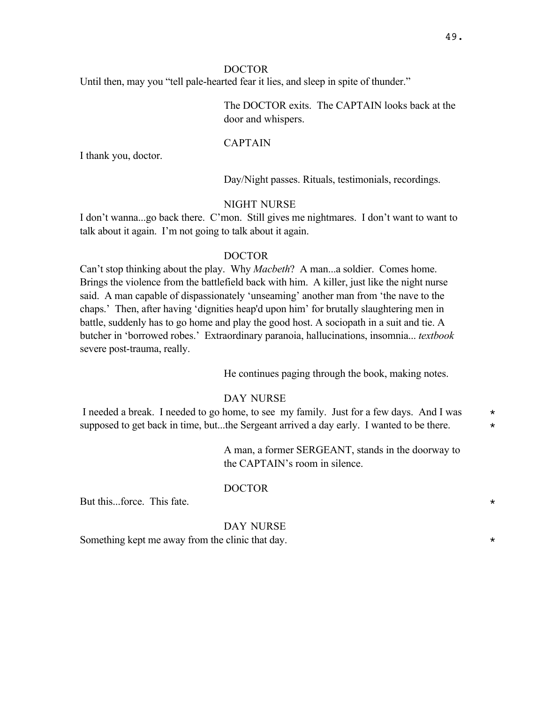Until then, may you "tell pale-hearted fear it lies, and sleep in spite of thunder."

The DOCTOR exits. The CAPTAIN looks back at the door and whispers.

#### CAPTAIN

I thank you, doctor.

Day/Night passes. Rituals, testimonials, recordings.

### NIGHT NURSE

I don't wanna...go back there. C'mon. Still gives me nightmares. I don't want to want to talk about it again. I'm not going to talk about it again.

#### DOCTOR

Can't stop thinking about the play. Why *Macbeth*? A man...a soldier. Comes home. Brings the violence from the battlefield back with him. A killer, just like the night nurse said. A man capable of dispassionately 'unseaming' another man from 'the nave to the chaps.' Then, after having 'dignities heap'd upon him' for brutally slaughtering men in battle, suddenly has to go home and play the good host. A sociopath in a suit and tie. A butcher in 'borrowed robes.' Extraordinary paranoia, hallucinations, insomnia... *textbook* severe post-trauma, really.

He continues paging through the book, making notes.

#### DAY NURSE

I needed a break. I needed to go home, to see my family. Just for a few days. And I was  $*$ supposed to get back in time, but...the Sergeant arrived a day early. I wanted to be there.  $*$ 

> A man, a former SERGEANT, stands in the doorway to the CAPTAIN's room in silence.

#### DOCTOR

But this...force. This fate.  $\star$ 

#### DAY NURSE

Something kept me away from the clinic that day.  $\star$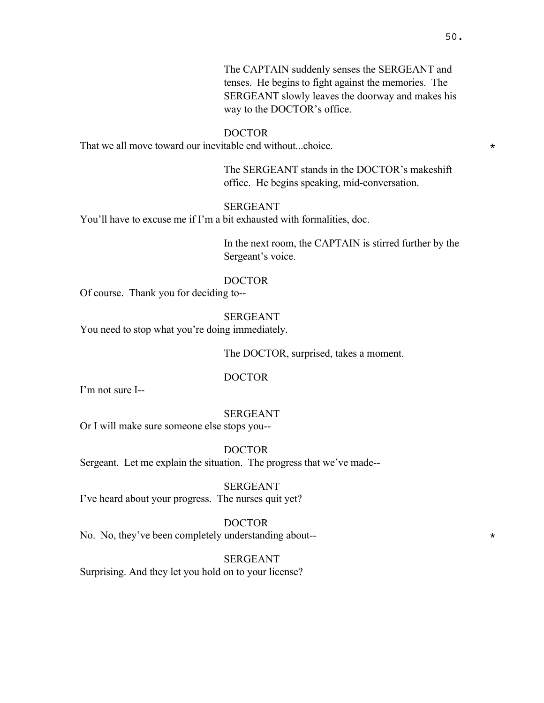The CAPTAIN suddenly senses the SERGEANT and tenses. He begins to fight against the memories. The SERGEANT slowly leaves the doorway and makes his way to the DOCTOR's office.

#### DOCTOR

That we all move toward our inevitable end without...choice.  $*$ 

The SERGEANT stands in the DOCTOR's makeshift office. He begins speaking, mid-conversation.

## SERGEANT

You'll have to excuse me if I'm a bit exhausted with formalities, doc.

In the next room, the CAPTAIN is stirred further by the Sergeant's voice.

## DOCTOR

Of course. Thank you for deciding to--

SERGEANT

You need to stop what you're doing immediately.

The DOCTOR, surprised, takes a moment.

#### DOCTOR

I'm not sure I--

#### SERGEANT

Or I will make sure someone else stops you--

DOCTOR Sergeant. Let me explain the situation. The progress that we've made--

SERGEANT I've heard about your progress. The nurses quit yet?

#### DOCTOR

No. No, they've been completely understanding about-- $*$ 

SERGEANT

Surprising. And they let you hold on to your license?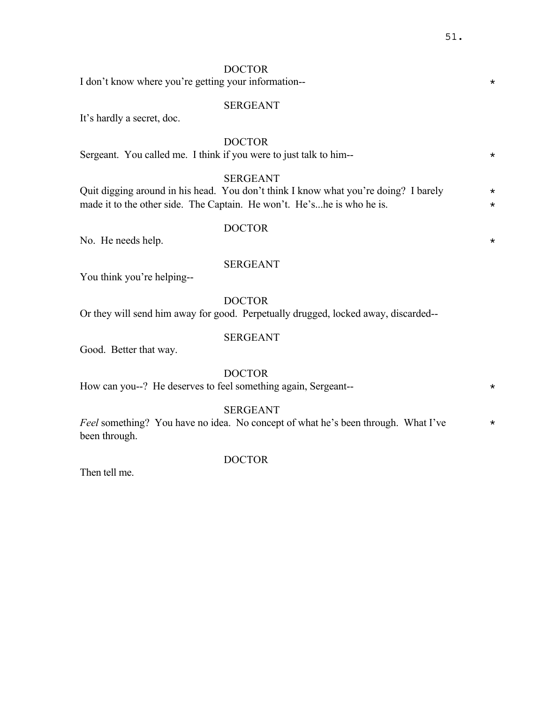I don't know where you're getting your information--

#### SERGEANT

It's hardly a secret, doc.

# DOCTOR

Sergeant. You called me. I think if you were to just talk to him-- $*$ 

## SERGEANT

Quit digging around in his head. You don't think I know what you're doing? I barely  $*$ made it to the other side. The Captain. He won't. He's...he is who he is.  $\star$ 

#### DOCTOR

No. He needs help.  $\star$ 

## SERGEANT

You think you're helping--

#### DOCTOR

Or they will send him away for good. Perpetually drugged, locked away, discarded--

## SERGEANT

Good. Better that way.

#### DOCTOR

How can you--? He deserves to feel something again, Sergeant-- \*

#### SERGEANT

*Feel* something? You have no idea. No concept of what he's been through. What I've  $*$ been through.

#### Then tell me.

## DOCTOR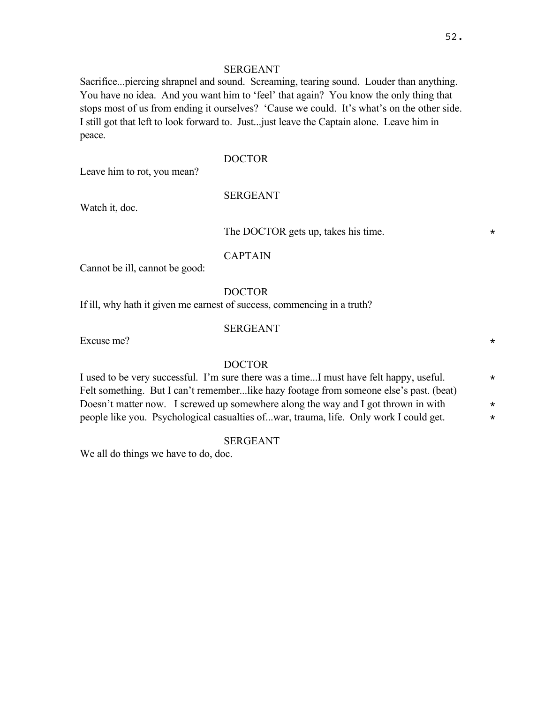## SERGEANT

Sacrifice...piercing shrapnel and sound. Screaming, tearing sound. Louder than anything. You have no idea. And you want him to 'feel' that again? You know the only thing that stops most of us from ending it ourselves? 'Cause we could. It's what's on the other side. I still got that left to look forward to. Just...just leave the Captain alone. Leave him in peace.

# DOCTOR

Leave him to rot, you mean?

## SERGEANT

Watch it, doc.

#### The DOCTOR gets up, takes his time.  $*$

CAPTAIN

Cannot be ill, cannot be good:

#### DOCTOR

If ill, why hath it given me earnest of success, commencing in a truth?

#### SERGEANT

Excuse me?  $\star$ 

## DOCTOR

I used to be very successful. I'm sure there was a time...I must have felt happy, useful.  $*$ Felt something. But I can't remember...like hazy footage from someone else's past. (beat) Doesn't matter now. I screwed up somewhere along the way and I got thrown in with  $*$ people like you. Psychological casualties of...war, trauma, life. Only work I could get. \*

#### SERGEANT

We all do things we have to do, doc.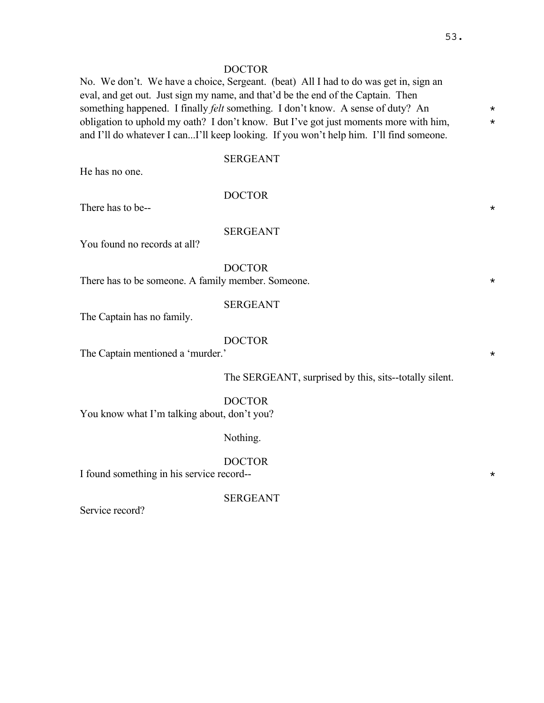No. We don't. We have a choice, Sergeant. (beat) All I had to do was get in, sign an eval, and get out. Just sign my name, and that'd be the end of the Captain. Then something happened. I finally *felt* something. I don't know. A sense of duty? An  $*$ obligation to uphold my oath? I don't know. But I've got just moments more with him,  $*$ and I'll do whatever I can...I'll keep looking. If you won't help him. I'll find someone.

## SERGEANT

He has no one.

## DOCTOR

There has to be-- $*$ 

## SERGEANT

You found no records at all?

DOCTOR

There has to be someone. A family member. Someone.  $*$ 

## SERGEANT

The Captain has no family.

### DOCTOR

The Captain mentioned a 'murder.'  $\star$ 

The SERGEANT, surprised by this, sits--totally silent.

## DOCTOR You know what I'm talking about, don't you?

## Nothing.

DOCTOR

I found something in his service record--

SERGEANT

Service record?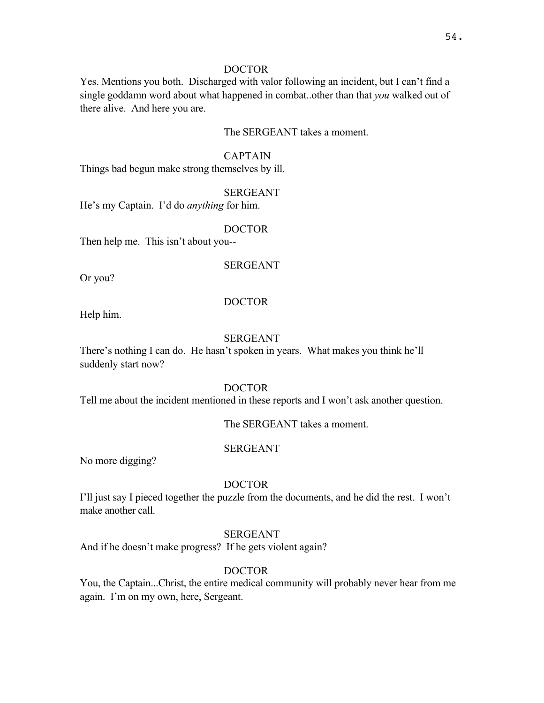Yes. Mentions you both. Discharged with valor following an incident, but I can't find a single goddamn word about what happened in combat..other than that *you* walked out of there alive. And here you are.

## The SERGEANT takes a moment.

## CAPTAIN

Things bad begun make strong themselves by ill.

## SERGEANT

He's my Captain. I'd do *anything* for him.

### DOCTOR

Then help me. This isn't about you--

## SERGEANT

Or you?

## DOCTOR

Help him.

## SERGEANT

There's nothing I can do. He hasn't spoken in years. What makes you think he'll suddenly start now?

## DOCTOR

Tell me about the incident mentioned in these reports and I won't ask another question.

The SERGEANT takes a moment.

## SERGEANT

No more digging?

## DOCTOR

I'll just say I pieced together the puzzle from the documents, and he did the rest. I won't make another call.

# SERGEANT

And if he doesn't make progress? If he gets violent again?

# DOCTOR

You, the Captain...Christ, the entire medical community will probably never hear from me again. I'm on my own, here, Sergeant.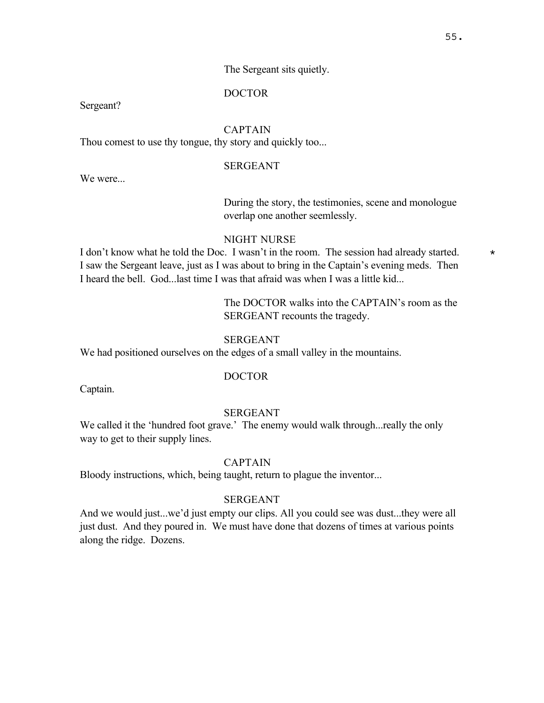## The Sergeant sits quietly.

## DOCTOR

Sergeant?

## CAPTAIN

Thou comest to use thy tongue, thy story and quickly too...

## SERGEANT

We were...

## During the story, the testimonies, scene and monologue overlap one another seemlessly.

## NIGHT NURSE

I don't know what he told the Doc. I wasn't in the room. The session had already started.  $*$ I saw the Sergeant leave, just as I was about to bring in the Captain's evening meds. Then I heard the bell. God...last time I was that afraid was when I was a little kid...

> The DOCTOR walks into the CAPTAIN's room as the SERGEANT recounts the tragedy.

#### **SERGEANT**

We had positioned ourselves on the edges of a small valley in the mountains.

## DOCTOR

Captain.

#### **SERGEANT**

We called it the 'hundred foot grave.' The enemy would walk through... really the only way to get to their supply lines.

#### CAPTAIN

Bloody instructions, which, being taught, return to plague the inventor...

#### SERGEANT

And we would just...we'd just empty our clips. All you could see was dust...they were all just dust. And they poured in. We must have done that dozens of times at various points along the ridge. Dozens.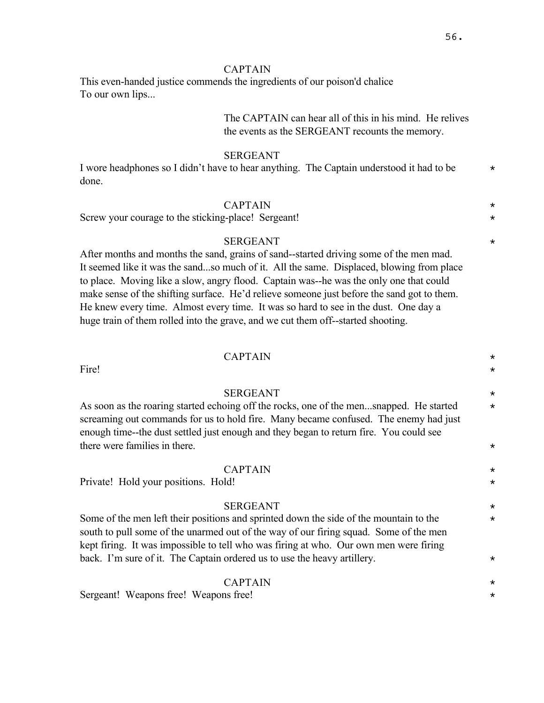## CAPTAIN

This even-handed justice commends the ingredients of our poison'd chalice To our own lips...

# The CAPTAIN can hear all of this in his mind. He relives the events as the SERGEANT recounts the memory.

CAPTAIN \*

SERGEANT  $\star$ 

#### SERGEANT

I wore headphones so I didn't have to hear anything. The Captain understood it had to be  $*$ done.

## CAPTAIN \*

Screw your courage to the sticking-place! Sergeant!

#### SERGEANT  $\star$

After months and months the sand, grains of sand--started driving some of the men mad. It seemed like it was the sand...so much of it. All the same. Displaced, blowing from place to place. Moving like a slow, angry flood. Captain was--he was the only one that could make sense of the shifting surface. He'd relieve someone just before the sand got to them. He knew every time. Almost every time. It was so hard to see in the dust. One day a huge train of them rolled into the grave, and we cut them off--started shooting.

# Fire!  $\star$

As soon as the roaring started echoing off the rocks, one of the men...snapped. He started  $*$ screaming out commands for us to hold fire. Many became confused. The enemy had just enough time--the dust settled just enough and they began to return fire. You could see there were families in there.  $\star$ 

## CAPTAIN \*

Private! Hold your positions. Hold!  $\star$ 

#### SERGEANT  $\star$

Some of the men left their positions and sprinted down the side of the mountain to the  $*$ south to pull some of the unarmed out of the way of our firing squad. Some of the men kept firing. It was impossible to tell who was firing at who. Our own men were firing back. I'm sure of it. The Captain ordered us to use the heavy artillery.  $\star$ 

## CAPTAIN \*

Sergeant! Weapons free! Weapons free!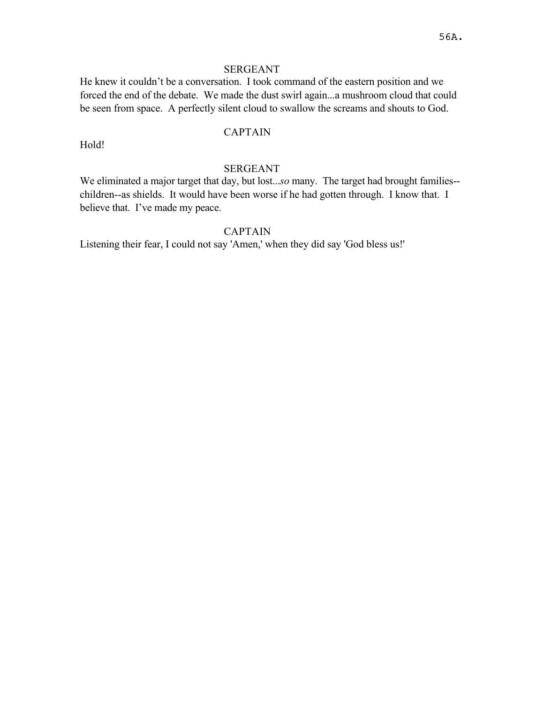## SERGEANT

He knew it couldn't be a conversation. I took command of the eastern position and we forced the end of the debate. We made the dust swirl again...a mushroom cloud that could be seen from space. A perfectly silent cloud to swallow the screams and shouts to God.

## CAPTAIN

Hold!

## SERGEANT

We eliminated a major target that day, but lost...*so* many. The target had brought families- children--as shields. It would have been worse if he had gotten through. I know that. I believe that. I've made my peace.

# CAPTAIN

Listening their fear, I could not say 'Amen,' when they did say 'God bless us!'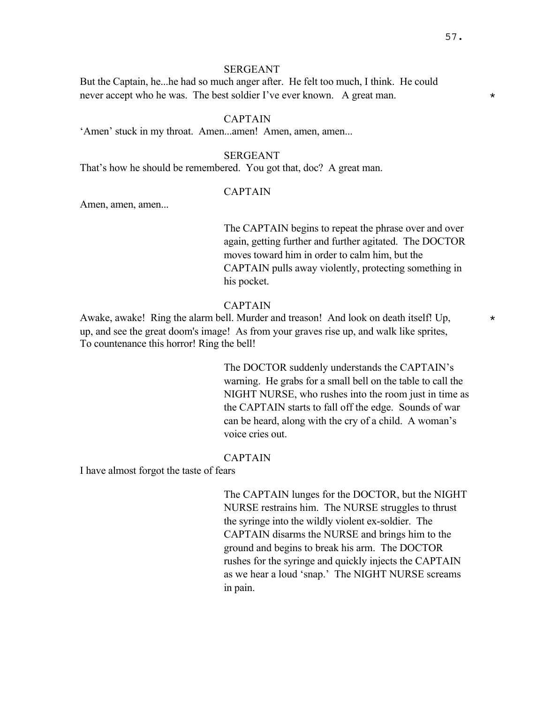#### SERGEANT

But the Captain, he...he had so much anger after. He felt too much, I think. He could never accept who he was. The best soldier I've ever known. A great man.  $*$ 

## CAPTAIN

'Amen' stuck in my throat. Amen...amen! Amen, amen, amen...

## SERGEANT

That's how he should be remembered. You got that, doc? A great man.

## CAPTAIN

Amen, amen, amen...

The CAPTAIN begins to repeat the phrase over and over again, getting further and further agitated. The DOCTOR moves toward him in order to calm him, but the CAPTAIN pulls away violently, protecting something in his pocket.

#### CAPTAIN

Awake, awake! Ring the alarm bell. Murder and treason! And look on death itself! Up,  $\star$ up, and see the great doom's image! As from your graves rise up, and walk like sprites, To countenance this horror! Ring the bell!

> The DOCTOR suddenly understands the CAPTAIN's warning. He grabs for a small bell on the table to call the NIGHT NURSE, who rushes into the room just in time as the CAPTAIN starts to fall off the edge. Sounds of war can be heard, along with the cry of a child. A woman's voice cries out.

## CAPTAIN

I have almost forgot the taste of fears

The CAPTAIN lunges for the DOCTOR, but the NIGHT NURSE restrains him. The NURSE struggles to thrust the syringe into the wildly violent ex-soldier. The CAPTAIN disarms the NURSE and brings him to the ground and begins to break his arm. The DOCTOR rushes for the syringe and quickly injects the CAPTAIN as we hear a loud 'snap.' The NIGHT NURSE screams in pain.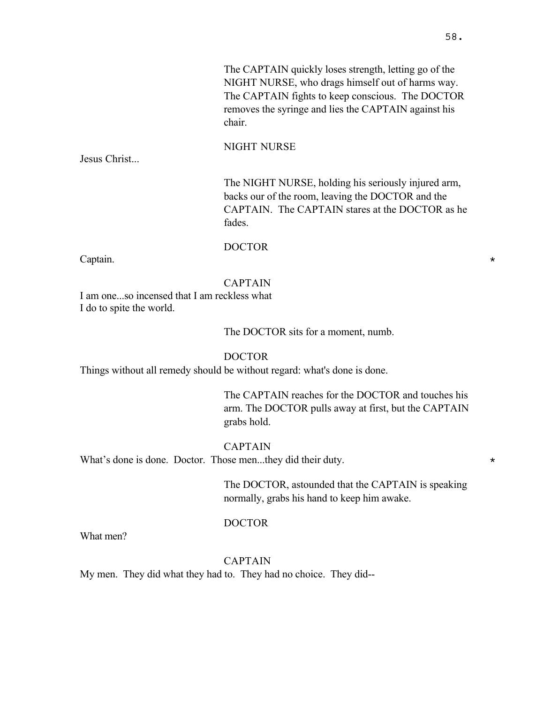The CAPTAIN quickly loses strength, letting go of the NIGHT NURSE, who drags himself out of harms way. The CAPTAIN fights to keep conscious. The DOCTOR removes the syringe and lies the CAPTAIN against his chair.

NIGHT NURSE

Jesus Christ...

The NIGHT NURSE, holding his seriously injured arm, backs our of the room, leaving the DOCTOR and the CAPTAIN. The CAPTAIN stares at the DOCTOR as he fades.

### DOCTOR

Captain.  $\star$ 

## CAPTAIN

I am one...so incensed that I am reckless what I do to spite the world.

The DOCTOR sits for a moment, numb.

### DOCTOR

Things without all remedy should be without regard: what's done is done.

The CAPTAIN reaches for the DOCTOR and touches his arm. The DOCTOR pulls away at first, but the CAPTAIN grabs hold.

### CAPTAIN

What's done is done. Doctor. Those men...they did their duty.  $\star$ 

The DOCTOR, astounded that the CAPTAIN is speaking normally, grabs his hand to keep him awake.

### DOCTOR

What men?

## CAPTAIN

My men. They did what they had to. They had no choice. They did--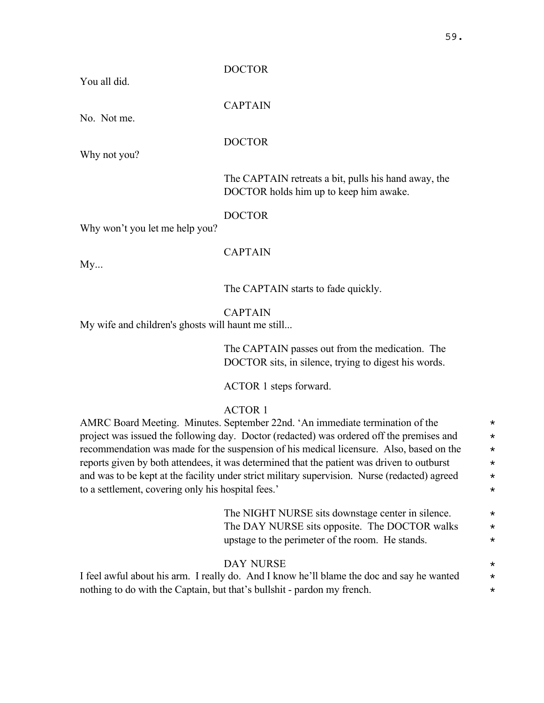# You all did.

DOCTOR

CAPTAIN

DOCTOR

No. Not me.

Why not you?

The CAPTAIN retreats a bit, pulls his hand away, the DOCTOR holds him up to keep him awake.

DOCTOR

Why won't you let me help you?

CAPTAIN

 $My...$ 

The CAPTAIN starts to fade quickly.

CAPTAIN

My wife and children's ghosts will haunt me still...

The CAPTAIN passes out from the medication. The DOCTOR sits, in silence, trying to digest his words.

ACTOR 1 steps forward.

ACTOR 1

AMRC Board Meeting. Minutes. September 22nd. 'An immediate termination of the  $*$ project was issued the following day. Doctor (redacted) was ordered off the premises and  $*$ recommendation was made for the suspension of his medical licensure. Also, based on the  $*$ reports given by both attendees, it was determined that the patient was driven to outburst  $*$ and was to be kept at the facility under strict military supervision. Nurse (redacted) agreed  $*$ to a settlement, covering only his hospital fees.' \*

> The NIGHT NURSE sits downstage center in silence.  $\star$ The DAY NURSE sits opposite. The DOCTOR walks  $\star$ upstage to the perimeter of the room. He stands.  $\star$

# DAY NURSE  $\star$

I feel awful about his arm. I really do. And I know he'll blame the doc and say he wanted  $*$ nothing to do with the Captain, but that's bullshit - pardon my french.  $*$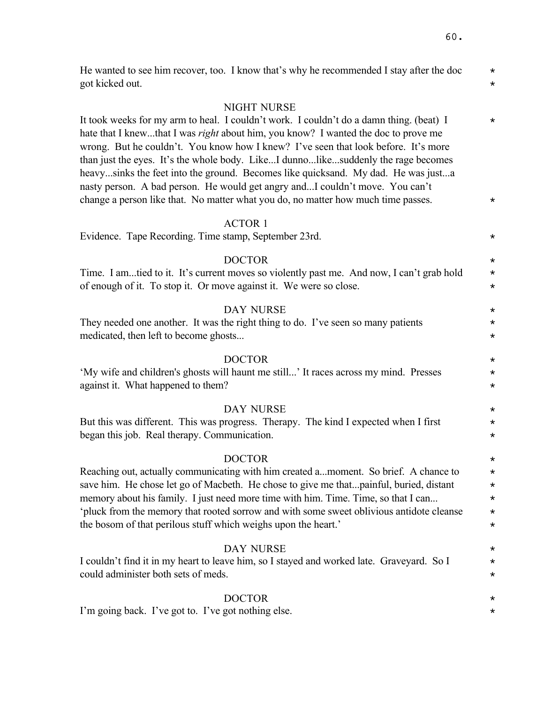| He wanted to see him recover, too. I know that's why he recommended I stay after the doc                                                                                                                                                                                                                                                                                                                                                                                                                                                                                                                                                 | $\star$              |
|------------------------------------------------------------------------------------------------------------------------------------------------------------------------------------------------------------------------------------------------------------------------------------------------------------------------------------------------------------------------------------------------------------------------------------------------------------------------------------------------------------------------------------------------------------------------------------------------------------------------------------------|----------------------|
| got kicked out.                                                                                                                                                                                                                                                                                                                                                                                                                                                                                                                                                                                                                          | $^\star$             |
| NIGHT NURSE<br>It took weeks for my arm to heal. I couldn't work. I couldn't do a damn thing. (beat) I<br>hate that I knewthat I was <i>right</i> about him, you know? I wanted the doc to prove me<br>wrong. But he couldn't. You know how I knew? I've seen that look before. It's more<br>than just the eyes. It's the whole body. LikeI dunnolikesuddenly the rage becomes<br>heavysinks the feet into the ground. Becomes like quicksand. My dad. He was justa<br>nasty person. A bad person. He would get angry andI couldn't move. You can't<br>change a person like that. No matter what you do, no matter how much time passes. | $^\star$<br>$^\star$ |
| <b>ACTOR 1</b><br>Evidence. Tape Recording. Time stamp, September 23rd.                                                                                                                                                                                                                                                                                                                                                                                                                                                                                                                                                                  | $^\star$             |
| <b>DOCTOR</b>                                                                                                                                                                                                                                                                                                                                                                                                                                                                                                                                                                                                                            | $\star$              |
| Time. I amtied to it. It's current moves so violently past me. And now, I can't grab hold                                                                                                                                                                                                                                                                                                                                                                                                                                                                                                                                                | $\star$              |
| of enough of it. To stop it. Or move against it. We were so close.                                                                                                                                                                                                                                                                                                                                                                                                                                                                                                                                                                       | $^\star$             |
| <b>DAY NURSE</b>                                                                                                                                                                                                                                                                                                                                                                                                                                                                                                                                                                                                                         | $^\star$             |
| They needed one another. It was the right thing to do. I've seen so many patients                                                                                                                                                                                                                                                                                                                                                                                                                                                                                                                                                        | $^\star$             |
| medicated, then left to become ghosts                                                                                                                                                                                                                                                                                                                                                                                                                                                                                                                                                                                                    | $\star$              |
| <b>DOCTOR</b>                                                                                                                                                                                                                                                                                                                                                                                                                                                                                                                                                                                                                            | $\star$              |
| 'My wife and children's ghosts will haunt me still' It races across my mind. Presses                                                                                                                                                                                                                                                                                                                                                                                                                                                                                                                                                     | $^\star$             |
| against it. What happened to them?                                                                                                                                                                                                                                                                                                                                                                                                                                                                                                                                                                                                       | $\star$              |
| <b>DAY NURSE</b>                                                                                                                                                                                                                                                                                                                                                                                                                                                                                                                                                                                                                         | $^\star$             |
| But this was different. This was progress. Therapy. The kind I expected when I first                                                                                                                                                                                                                                                                                                                                                                                                                                                                                                                                                     | $\star$              |
| began this job. Real therapy. Communication.                                                                                                                                                                                                                                                                                                                                                                                                                                                                                                                                                                                             | $^\star$             |
| <b>DOCTOR</b>                                                                                                                                                                                                                                                                                                                                                                                                                                                                                                                                                                                                                            | $\star$              |
| Reaching out, actually communicating with him created amoment. So brief. A chance to                                                                                                                                                                                                                                                                                                                                                                                                                                                                                                                                                     | $^\star$             |
| save him. He chose let go of Macbeth. He chose to give me thatpainful, buried, distant                                                                                                                                                                                                                                                                                                                                                                                                                                                                                                                                                   | $\star$              |
| memory about his family. I just need more time with him. Time. Time, so that I can                                                                                                                                                                                                                                                                                                                                                                                                                                                                                                                                                       | $\star$              |
| 'pluck from the memory that rooted sorrow and with some sweet oblivious antidote cleanse                                                                                                                                                                                                                                                                                                                                                                                                                                                                                                                                                 | $\star$              |
| the bosom of that perilous stuff which weighs upon the heart.'                                                                                                                                                                                                                                                                                                                                                                                                                                                                                                                                                                           | $^\star$             |
| <b>DAY NURSE</b>                                                                                                                                                                                                                                                                                                                                                                                                                                                                                                                                                                                                                         | $^\star$             |
| I couldn't find it in my heart to leave him, so I stayed and worked late. Graveyard. So I                                                                                                                                                                                                                                                                                                                                                                                                                                                                                                                                                | $^\star$             |
| could administer both sets of meds.                                                                                                                                                                                                                                                                                                                                                                                                                                                                                                                                                                                                      | $^\star$             |
| <b>DOCTOR</b>                                                                                                                                                                                                                                                                                                                                                                                                                                                                                                                                                                                                                            | $^\star$             |
| I'm going back. I've got to. I've got nothing else.                                                                                                                                                                                                                                                                                                                                                                                                                                                                                                                                                                                      | *                    |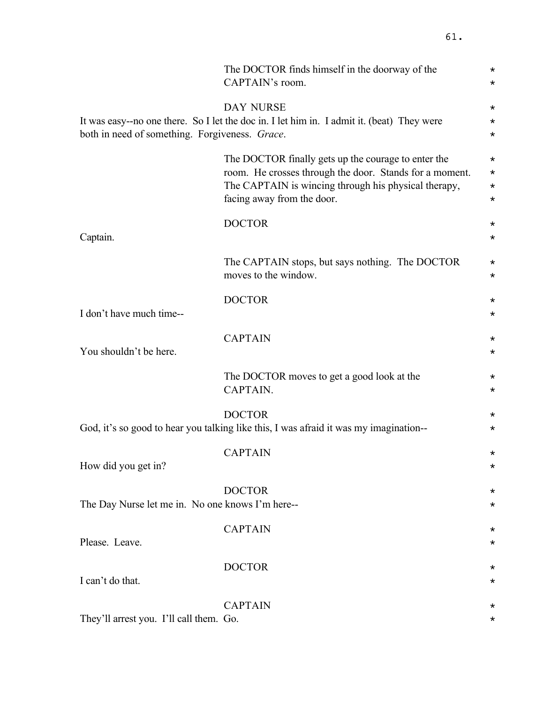|                                                  | The DOCTOR finds himself in the doorway of the<br>CAPTAIN's room.                                                                                                                                    | $^\star$<br>$\star$                          |
|--------------------------------------------------|------------------------------------------------------------------------------------------------------------------------------------------------------------------------------------------------------|----------------------------------------------|
| both in need of something. Forgiveness. Grace.   | <b>DAY NURSE</b><br>It was easy--no one there. So I let the doc in. I let him in. I admit it. (beat) They were                                                                                       | $^\star$<br>$\star$<br>$^\star$              |
|                                                  | The DOCTOR finally gets up the courage to enter the<br>room. He crosses through the door. Stands for a moment.<br>The CAPTAIN is wincing through his physical therapy,<br>facing away from the door. | $^\star$<br>$^\star$<br>$^\star$<br>$^\star$ |
| Captain.                                         | <b>DOCTOR</b>                                                                                                                                                                                        | $^\star$<br>$^\star$                         |
|                                                  | The CAPTAIN stops, but says nothing. The DOCTOR<br>moves to the window.                                                                                                                              | $^\star$<br>$^\star$                         |
| I don't have much time--                         | <b>DOCTOR</b>                                                                                                                                                                                        | $^\star$<br>$^\star$                         |
| You shouldn't be here.                           | <b>CAPTAIN</b>                                                                                                                                                                                       | $^\star$<br>$^\star$                         |
|                                                  | The DOCTOR moves to get a good look at the<br>CAPTAIN.                                                                                                                                               | $^\star$<br>$^\star$                         |
|                                                  | <b>DOCTOR</b><br>God, it's so good to hear you talking like this, I was afraid it was my imagination--                                                                                               | $^\star$<br>$^\star$                         |
| How did you get in?                              | <b>CAPTAIN</b>                                                                                                                                                                                       | $^\star$<br>$^\star$                         |
| The Day Nurse let me in. No one knows I'm here-- | <b>DOCTOR</b>                                                                                                                                                                                        | $^\star$<br>$^\star$                         |
| Please. Leave.                                   | <b>CAPTAIN</b>                                                                                                                                                                                       | $^\star$<br>$^\star$                         |
| I can't do that.                                 | <b>DOCTOR</b>                                                                                                                                                                                        | $^\star$<br>$^\star$                         |
| They'll arrest you. I'll call them. Go.          | <b>CAPTAIN</b>                                                                                                                                                                                       | $^\star$                                     |
|                                                  |                                                                                                                                                                                                      |                                              |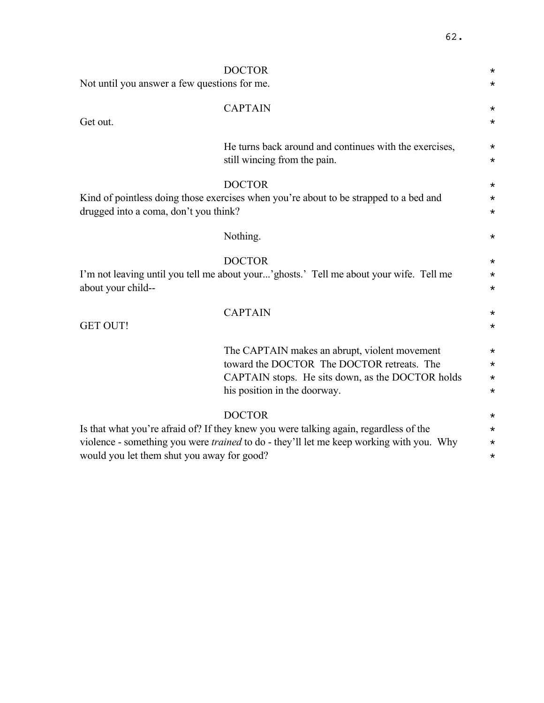| Not until you answer a few questions for me.                                                                                  | <b>DOCTOR</b>                                                                                                                                                                                     | $^\star$<br>$^\star$                       |
|-------------------------------------------------------------------------------------------------------------------------------|---------------------------------------------------------------------------------------------------------------------------------------------------------------------------------------------------|--------------------------------------------|
| Get out.                                                                                                                      | <b>CAPTAIN</b>                                                                                                                                                                                    | $^\star$<br>$^\star$                       |
|                                                                                                                               | He turns back around and continues with the exercises,<br>still wincing from the pain.                                                                                                            | $^\star$<br>$^\star$                       |
| drugged into a coma, don't you think?                                                                                         | <b>DOCTOR</b><br>Kind of pointless doing those exercises when you're about to be strapped to a bed and                                                                                            | $^\star$<br>$^\star$<br>$\star$            |
|                                                                                                                               | Nothing.                                                                                                                                                                                          | $^\star$                                   |
| <b>DOCTOR</b><br>I'm not leaving until you tell me about your'ghosts.' Tell me about your wife. Tell me<br>about your child-- |                                                                                                                                                                                                   | $^\star$<br>$^\star$<br>$\star$            |
| <b>GET OUT!</b>                                                                                                               | <b>CAPTAIN</b>                                                                                                                                                                                    | $^\star$<br>$^\star$                       |
|                                                                                                                               | The CAPTAIN makes an abrupt, violent movement<br>toward the DOCTOR The DOCTOR retreats. The<br>CAPTAIN stops. He sits down, as the DOCTOR holds<br>his position in the doorway.                   | $^\star$<br>$\star$<br>$\star$<br>$^\star$ |
| would you let them shut you away for good?                                                                                    | <b>DOCTOR</b><br>Is that what you're afraid of? If they knew you were talking again, regardless of the<br>violence - something you were trained to do - they'll let me keep working with you. Why | $^\star$<br>$\star$<br>$^\star$<br>$\star$ |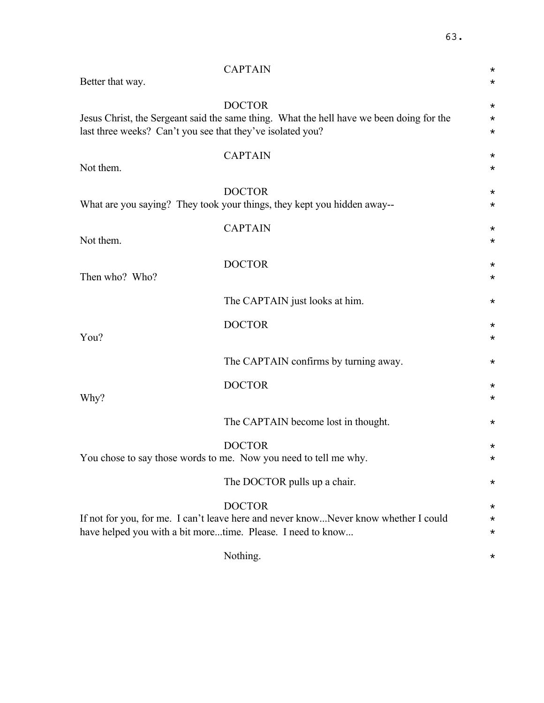|                                                             | <b>CAPTAIN</b>                                                                                            | $^\star$                         |
|-------------------------------------------------------------|-----------------------------------------------------------------------------------------------------------|----------------------------------|
| Better that way.                                            |                                                                                                           | $^\star$                         |
| last three weeks? Can't you see that they've isolated you?  | <b>DOCTOR</b><br>Jesus Christ, the Sergeant said the same thing. What the hell have we been doing for the | $^\star$<br>$^\star$<br>$^\star$ |
| Not them.                                                   | <b>CAPTAIN</b>                                                                                            | $^\star$<br>$^\star$             |
|                                                             | <b>DOCTOR</b><br>What are you saying? They took your things, they kept you hidden away--                  | $^\star$<br>$^\star$             |
| Not them.                                                   | <b>CAPTAIN</b>                                                                                            | $^\star$<br>$^\star$             |
| Then who? Who?                                              | <b>DOCTOR</b>                                                                                             | $^\star$<br>$^\star$             |
|                                                             | The CAPTAIN just looks at him.                                                                            | $^\star$                         |
| You?                                                        | <b>DOCTOR</b>                                                                                             | $^\star$<br>$^\star$             |
|                                                             | The CAPTAIN confirms by turning away.                                                                     | $^\star$                         |
| Why?                                                        | <b>DOCTOR</b>                                                                                             | $^\star$<br>$^\star$             |
|                                                             | The CAPTAIN become lost in thought.                                                                       | $^\star$                         |
|                                                             | <b>DOCTOR</b><br>You chose to say those words to me. Now you need to tell me why.                         | $^\star$<br>$^\star$             |
|                                                             | The DOCTOR pulls up a chair.                                                                              | $^\star$                         |
| have helped you with a bit moretime. Please. I need to know | <b>DOCTOR</b><br>If not for you, for me. I can't leave here and never knowNever know whether I could      | $^\star$<br>$^\star$<br>$^\star$ |
|                                                             | Nothing.                                                                                                  | $^\star$                         |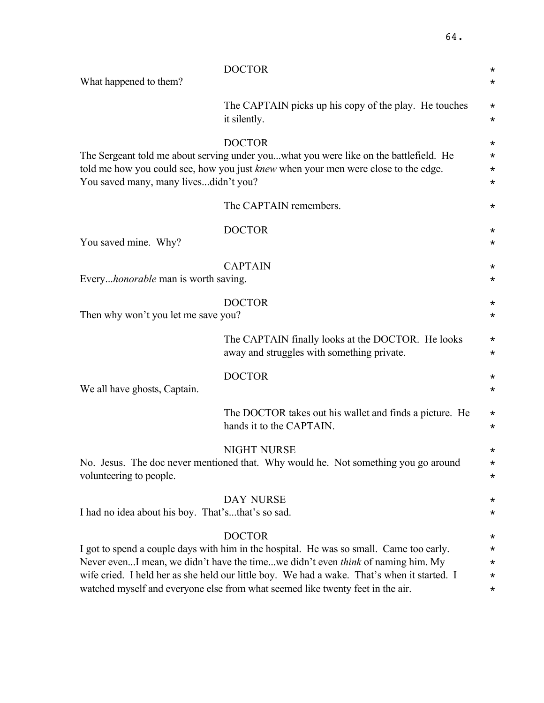| What happened to them?                            | <b>DOCTOR</b>                                                                                                                                                                                                                                                                                                                                                                       | $^\star$<br>$^\star$                                     |
|---------------------------------------------------|-------------------------------------------------------------------------------------------------------------------------------------------------------------------------------------------------------------------------------------------------------------------------------------------------------------------------------------------------------------------------------------|----------------------------------------------------------|
|                                                   |                                                                                                                                                                                                                                                                                                                                                                                     |                                                          |
|                                                   | The CAPTAIN picks up his copy of the play. He touches<br>it silently.                                                                                                                                                                                                                                                                                                               | $^\star$<br>$^\star$                                     |
| You saved many, many livesdidn't you?             | <b>DOCTOR</b><br>The Sergeant told me about serving under youwhat you were like on the battlefield. He<br>told me how you could see, how you just <i>knew</i> when your men were close to the edge.                                                                                                                                                                                 | $^\star$<br>$^\star$<br>$^\star$<br>$^\star$             |
|                                                   | The CAPTAIN remembers.                                                                                                                                                                                                                                                                                                                                                              | $^\star$                                                 |
| You saved mine. Why?                              | <b>DOCTOR</b>                                                                                                                                                                                                                                                                                                                                                                       | $^\star$<br>$^\star$                                     |
| Every <i>honorable</i> man is worth saving.       | <b>CAPTAIN</b>                                                                                                                                                                                                                                                                                                                                                                      | $^\star$<br>$^\star$                                     |
| Then why won't you let me save you?               | <b>DOCTOR</b>                                                                                                                                                                                                                                                                                                                                                                       | $^\star$<br>$^\star$                                     |
|                                                   | The CAPTAIN finally looks at the DOCTOR. He looks<br>away and struggles with something private.                                                                                                                                                                                                                                                                                     | $^\star$<br>$^\star$                                     |
| We all have ghosts, Captain.                      | <b>DOCTOR</b>                                                                                                                                                                                                                                                                                                                                                                       | $^\star$<br>$^\star$                                     |
|                                                   | The DOCTOR takes out his wallet and finds a picture. He<br>hands it to the CAPTAIN.                                                                                                                                                                                                                                                                                                 | $^\star$<br>$^\star$                                     |
| volunteering to people.                           | <b>NIGHT NURSE</b><br>No. Jesus. The doc never mentioned that. Why would he. Not something you go around                                                                                                                                                                                                                                                                            | *<br>$^\star$<br>$^\star$                                |
| I had no idea about his boy. That'sthat's so sad. | <b>DAY NURSE</b>                                                                                                                                                                                                                                                                                                                                                                    | *<br>$^\star$                                            |
|                                                   | <b>DOCTOR</b><br>I got to spend a couple days with him in the hospital. He was so small. Came too early.<br>Never evenI mean, we didn't have the timewe didn't even <i>think</i> of naming him. My<br>wife cried. I held her as she held our little boy. We had a wake. That's when it started. I<br>watched myself and everyone else from what seemed like twenty feet in the air. | $^\star$<br>$^\star$<br>$^\star$<br>$^\star$<br>$^\star$ |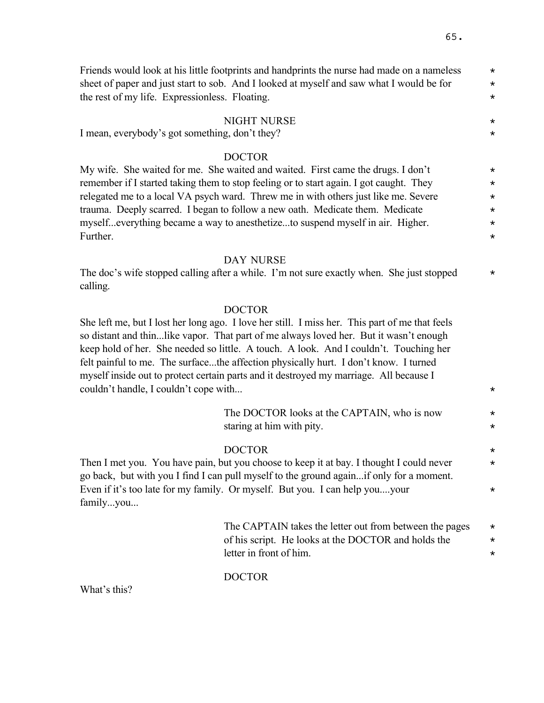Friends would look at his little footprints and handprints the nurse had made on a nameless  $*$ sheet of paper and just start to sob. And I looked at myself and saw what I would be for  $*$ the rest of my life. Expressionless. Floating.  $\star$ 

#### NIGHT NURSE  $\star$

I mean, everybody's got something, don't they?

#### DOCTOR

My wife. She waited for me. She waited and waited. First came the drugs. I don't  $*$ remember if I started taking them to stop feeling or to start again. I got caught. They  $*$ relegated me to a local VA psych ward. Threw me in with others just like me. Severe  $*$ trauma. Deeply scarred. I began to follow a new oath. Medicate them. Medicate  $*$ myself...everything became a way to anesthetize...to suspend myself in air. Higher. \* Further.  $\star$ 

#### DAY NURSE

The doc's wife stopped calling after a while. I'm not sure exactly when. She just stopped  $*$ calling.

#### DOCTOR

She left me, but I lost her long ago. I love her still. I miss her. This part of me that feels so distant and thin...like vapor. That part of me always loved her. But it wasn't enough keep hold of her. She needed so little. A touch. A look. And I couldn't. Touching her felt painful to me. The surface...the affection physically hurt. I don't know. I turned myself inside out to protect certain parts and it destroyed my marriage. All because I couldn't handle. I couldn't cope with...  $\star$ 

| The DOCTOR looks at the CAPTAIN, who is now |  |
|---------------------------------------------|--|
| staring at him with pity.                   |  |

#### DOCTOR \*

Then I met you. You have pain, but you choose to keep it at bay. I thought I could never  $*$ go back, but with you I find I can pull myself to the ground again...if only for a moment. Even if it's too late for my family. Or myself. But you. I can help you....your  $*$ family...you...

> The CAPTAIN takes the letter out from between the pages  $*$ of his script. He looks at the DOCTOR and holds the  $\star$ letter in front of him.

#### DOCTOR

What's this?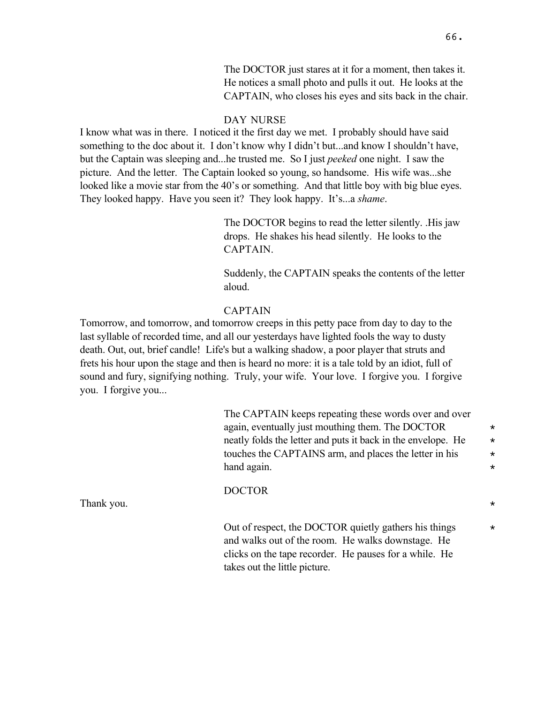The DOCTOR just stares at it for a moment, then takes it. He notices a small photo and pulls it out. He looks at the CAPTAIN, who closes his eyes and sits back in the chair.

## DAY NURSE

I know what was in there. I noticed it the first day we met. I probably should have said something to the doc about it. I don't know why I didn't but...and know I shouldn't have, but the Captain was sleeping and...he trusted me. So I just *peeked* one night. I saw the picture. And the letter. The Captain looked so young, so handsome. His wife was...she looked like a movie star from the 40's or something. And that little boy with big blue eyes. They looked happy. Have you seen it? They look happy. It's...a *shame*.

> The DOCTOR begins to read the letter silently. .His jaw drops. He shakes his head silently. He looks to the CAPTAIN.

Suddenly, the CAPTAIN speaks the contents of the letter aloud.

## CAPTAIN

Tomorrow, and tomorrow, and tomorrow creeps in this petty pace from day to day to the last syllable of recorded time, and all our yesterdays have lighted fools the way to dusty death. Out, out, brief candle! Life's but a walking shadow, a poor player that struts and frets his hour upon the stage and then is heard no more: it is a tale told by an idiot, full of sound and fury, signifying nothing. Truly, your wife. Your love. I forgive you. I forgive you. I forgive you...

> The CAPTAIN keeps repeating these words over and over again, eventually just mouthing them. The DOCTOR  $*$ neatly folds the letter and puts it back in the envelope. He  $\star$ touches the CAPTAINS arm, and places the letter in his  $*$ hand again.  $\star$

DOCTOR

Thank you.  $\star$ 

Out of respect, the DOCTOR quietly gathers his things  $*$ and walks out of the room. He walks downstage. He clicks on the tape recorder. He pauses for a while. He takes out the little picture.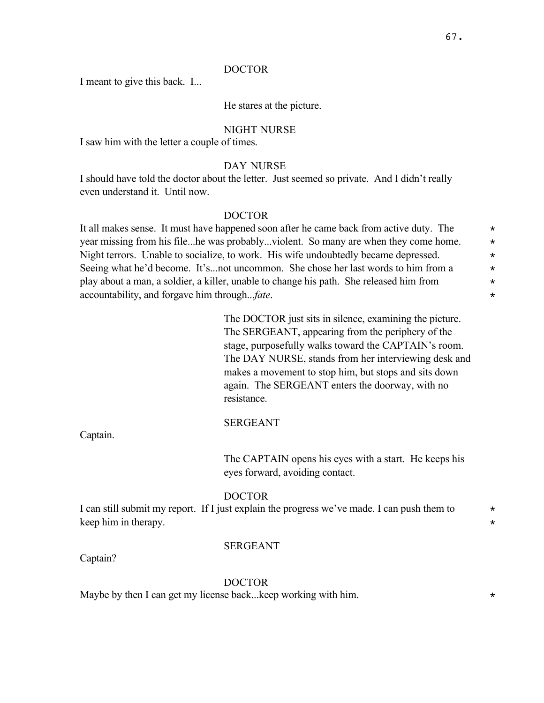I meant to give this back. I...

#### He stares at the picture.

#### NIGHT NURSE

I saw him with the letter a couple of times.

#### DAY NURSE

I should have told the doctor about the letter. Just seemed so private. And I didn't really even understand it. Until now.

## DOCTOR

It all makes sense. It must have happened soon after he came back from active duty. The  $\star$ year missing from his file...he was probably...violent. So many are when they come home.  $*$ Night terrors. Unable to socialize, to work. His wife undoubtedly became depressed.  $*$ Seeing what he'd become. It's...not uncommon. She chose her last words to him from a  $*$ play about a man, a soldier, a killer, unable to change his path. She released him from \* accountability, and forgave him through...*fate*. \*

> The DOCTOR just sits in silence, examining the picture. The SERGEANT, appearing from the periphery of the stage, purposefully walks toward the CAPTAIN's room. The DAY NURSE, stands from her interviewing desk and makes a movement to stop him, but stops and sits down again. The SERGEANT enters the doorway, with no resistance.

### SERGEANT

The CAPTAIN opens his eyes with a start. He keeps his eyes forward, avoiding contact.

#### DOCTOR

I can still submit my report. If I just explain the progress we've made. I can push them to  $*$ keep him in therapy.

#### SERGEANT

Captain?

Captain.

## DOCTOR

Maybe by then I can get my license back...keep working with him.  $*$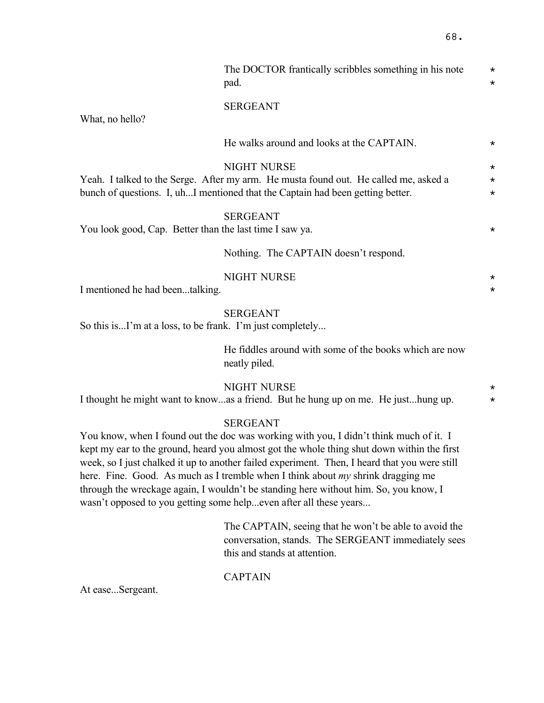|                                                           | The DOCTOR frantically scribbles something in his note<br>pad.                                                                                                                                                                                                                                                                                                                                                                                                                     | $\star$<br>$\star$              |
|-----------------------------------------------------------|------------------------------------------------------------------------------------------------------------------------------------------------------------------------------------------------------------------------------------------------------------------------------------------------------------------------------------------------------------------------------------------------------------------------------------------------------------------------------------|---------------------------------|
| What, no hello?                                           | <b>SERGEANT</b>                                                                                                                                                                                                                                                                                                                                                                                                                                                                    |                                 |
|                                                           | He walks around and looks at the CAPTAIN.                                                                                                                                                                                                                                                                                                                                                                                                                                          | $^\star$                        |
|                                                           | <b>NIGHT NURSE</b><br>Yeah. I talked to the Serge. After my arm. He musta found out. He called me, asked a<br>bunch of questions. I, uhI mentioned that the Captain had been getting better.                                                                                                                                                                                                                                                                                       | $^\star$<br>$\star$<br>$^\star$ |
| You look good, Cap. Better than the last time I saw ya.   | <b>SERGEANT</b>                                                                                                                                                                                                                                                                                                                                                                                                                                                                    | $^\star$                        |
|                                                           | Nothing. The CAPTAIN doesn't respond.                                                                                                                                                                                                                                                                                                                                                                                                                                              |                                 |
| I mentioned he had beentalking.                           | <b>NIGHT NURSE</b>                                                                                                                                                                                                                                                                                                                                                                                                                                                                 | $^\star$<br>$\star$             |
| So this isI'm at a loss, to be frank. I'm just completely | <b>SERGEANT</b>                                                                                                                                                                                                                                                                                                                                                                                                                                                                    |                                 |
|                                                           | He fiddles around with some of the books which are now<br>neatly piled.                                                                                                                                                                                                                                                                                                                                                                                                            |                                 |
|                                                           | <b>NIGHT NURSE</b><br>I thought he might want to knowas a friend. But he hung up on me. He justhung up.                                                                                                                                                                                                                                                                                                                                                                            | $\star$<br>$\star$              |
|                                                           | <b>SERGEANT</b><br>You know, when I found out the doc was working with you, I didn't think much of it. I<br>kept my ear to the ground, heard you almost got the whole thing shut down within the first<br>week, so I just chalked it up to another failed experiment. Then, I heard that you were still<br>here. Fine. Good. As much as I tremble when I think about my shrink dragging me<br>through the wreckage again, I wouldn't be standing here without him. So, you know, I |                                 |

The CAPTAIN, seeing that he won't be able to avoid the conversation, stands. The SERGEANT immediately sees this and stands at attention.

# **CAPTAIN**

wasn't opposed to you getting some help...even after all these years...

At ease...Sergeant.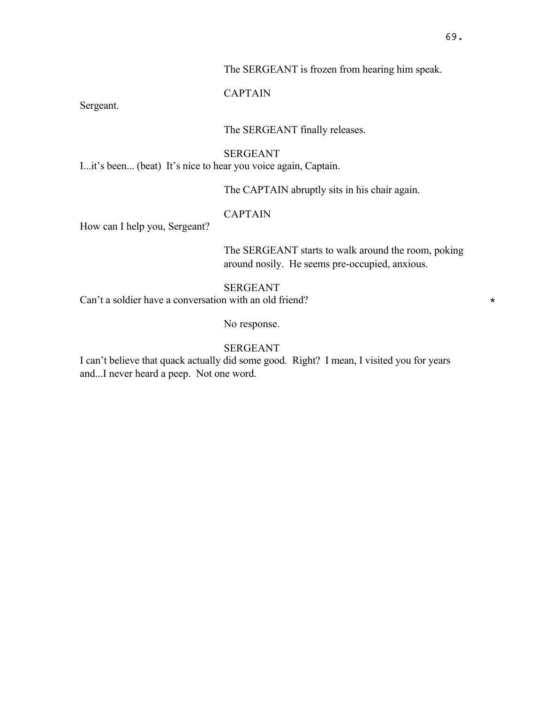## The SERGEANT is frozen from hearing him speak.

# CAPTAIN

Sergeant.

# The SERGEANT finally releases.

## SERGEANT

I...it's been... (beat) It's nice to hear you voice again, Captain.

The CAPTAIN abruptly sits in his chair again.

## CAPTAIN

How can I help you, Sergeant?

The SERGEANT starts to walk around the room, poking around nosily. He seems pre-occupied, anxious.

# SERGEANT

Can't a soldier have a conversation with an old friend?  $*$ 

No response.

# SERGEANT

I can't believe that quack actually did some good. Right? I mean, I visited you for years and...I never heard a peep. Not one word.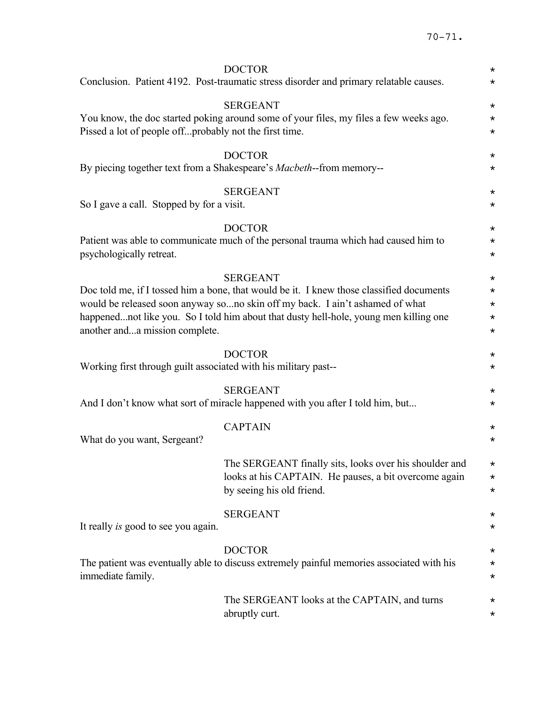|                                                                 | <b>DOCTOR</b><br>Conclusion. Patient 4192. Post-traumatic stress disorder and primary relatable causes.                                                                                                                                                                              | $\star$<br>$\star$                                     |
|-----------------------------------------------------------------|--------------------------------------------------------------------------------------------------------------------------------------------------------------------------------------------------------------------------------------------------------------------------------------|--------------------------------------------------------|
| Pissed a lot of people offprobably not the first time.          | <b>SERGEANT</b><br>You know, the doc started poking around some of your files, my files a few weeks ago.                                                                                                                                                                             | $^\star$<br>$^\star$<br>$^\star$                       |
|                                                                 | <b>DOCTOR</b><br>By piecing together text from a Shakespeare's Macbeth--from memory--                                                                                                                                                                                                | $^\star$<br>$^\star$                                   |
| So I gave a call. Stopped by for a visit.                       | <b>SERGEANT</b>                                                                                                                                                                                                                                                                      | $^\star$<br>$^\star$                                   |
| psychologically retreat.                                        | <b>DOCTOR</b><br>Patient was able to communicate much of the personal trauma which had caused him to                                                                                                                                                                                 | $^\star$<br>$^\star$<br>$\star$                        |
| another anda mission complete.                                  | <b>SERGEANT</b><br>Doc told me, if I tossed him a bone, that would be it. I knew those classified documents<br>would be released soon anyway sono skin off my back. I ain't ashamed of what<br>happenednot like you. So I told him about that dusty hell-hole, young men killing one | $^\star$<br>$\star$<br>$^\star$<br>$\star$<br>$^\star$ |
| Working first through guilt associated with his military past-- | <b>DOCTOR</b>                                                                                                                                                                                                                                                                        | $^\star$<br>$\star$                                    |
|                                                                 | <b>SERGEANT</b><br>And I don't know what sort of miracle happened with you after I told him, but                                                                                                                                                                                     | $^\star$<br>$^\star$                                   |
| What do you want, Sergeant?                                     | <b>CAPTAIN</b>                                                                                                                                                                                                                                                                       | $^\star$<br>$^\star$                                   |
|                                                                 | The SERGEANT finally sits, looks over his shoulder and<br>looks at his CAPTAIN. He pauses, a bit overcome again<br>by seeing his old friend.                                                                                                                                         | $^\star$<br>$^\star$<br>$^\star$                       |
| It really is good to see you again.                             | <b>SERGEANT</b>                                                                                                                                                                                                                                                                      | $^\star$<br>$^\star$                                   |
| immediate family.                                               | <b>DOCTOR</b><br>The patient was eventually able to discuss extremely painful memories associated with his                                                                                                                                                                           | $^\star$<br>$^\star$<br>$^\star$                       |
|                                                                 | The SERGEANT looks at the CAPTAIN, and turns<br>abruptly curt.                                                                                                                                                                                                                       | $^\star$<br>$^\star$                                   |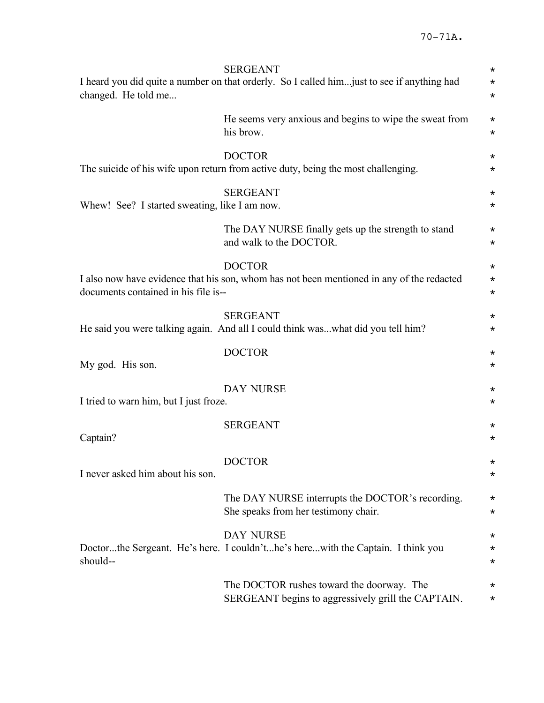| changed. He told me                           | <b>SERGEANT</b><br>I heard you did quite a number on that orderly. So I called him just to see if anything had | $^\star$<br>$\star$<br>$^\star$  |
|-----------------------------------------------|----------------------------------------------------------------------------------------------------------------|----------------------------------|
|                                               | He seems very anxious and begins to wipe the sweat from<br>his brow.                                           | $^\star$<br>$^\star$             |
|                                               | <b>DOCTOR</b><br>The suicide of his wife upon return from active duty, being the most challenging.             | $\star$<br>$\star$               |
| Whew! See? I started sweating, like I am now. | <b>SERGEANT</b>                                                                                                | $^\star$<br>$^\star$             |
|                                               | The DAY NURSE finally gets up the strength to stand<br>and walk to the DOCTOR.                                 | $^\star$<br>$\star$              |
| documents contained in his file is--          | <b>DOCTOR</b><br>I also now have evidence that his son, whom has not been mentioned in any of the redacted     | $^\star$<br>$\star$<br>$^\star$  |
|                                               | <b>SERGEANT</b><br>He said you were talking again. And all I could think waswhat did you tell him?             | $^\star$<br>$^\star$             |
| My god. His son.                              | <b>DOCTOR</b>                                                                                                  | $^\star$<br>$^\star$             |
| I tried to warn him, but I just froze.        | <b>DAY NURSE</b>                                                                                               | $^\star$<br>$^\star$             |
| Captain?                                      | <b>SERGEANT</b>                                                                                                | $^\star$<br>$^\star$             |
| I never asked him about his son.              | <b>DOCTOR</b>                                                                                                  | $^\star$<br>$^\star$             |
|                                               | The DAY NURSE interrupts the DOCTOR's recording.<br>She speaks from her testimony chair.                       | $^\star$<br>$^\star$             |
| should--                                      | <b>DAY NURSE</b><br>Doctorthe Sergeant. He's here. I couldn'the's herewith the Captain. I think you            | $^\star$<br>$^\star$<br>$^\star$ |
|                                               | The DOCTOR rushes toward the doorway. The<br>SERGEANT begins to aggressively grill the CAPTAIN.                | $^\star$<br>$^\star$             |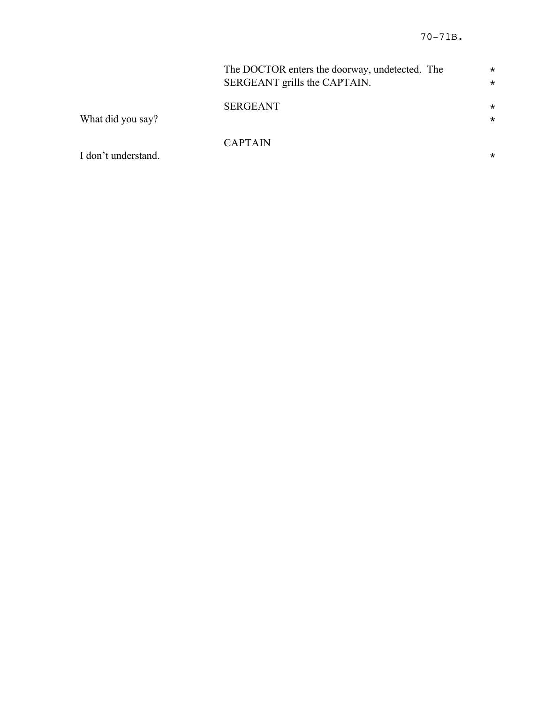|                     | The DOCTOR enters the doorway, undetected. The<br>SERGEANT grills the CAPTAIN. | $\star$<br>$\star$  |
|---------------------|--------------------------------------------------------------------------------|---------------------|
| What did you say?   | <b>SERGEANT</b>                                                                | $^\star$<br>$\star$ |
| I don't understand. | <b>CAPTAIN</b>                                                                 | $^\star$            |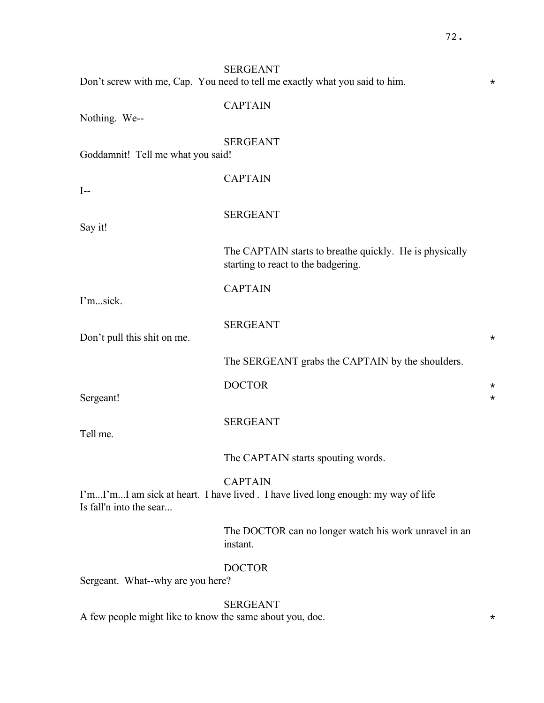|                                                          | <b>SERGEANT</b><br>Don't screw with me, Cap. You need to tell me exactly what you said to him.     | $^\star$             |
|----------------------------------------------------------|----------------------------------------------------------------------------------------------------|----------------------|
| Nothing. We--                                            | <b>CAPTAIN</b>                                                                                     |                      |
| Goddamnit! Tell me what you said!                        | <b>SERGEANT</b>                                                                                    |                      |
| $I-$                                                     | <b>CAPTAIN</b>                                                                                     |                      |
| Say it!                                                  | <b>SERGEANT</b>                                                                                    |                      |
|                                                          | The CAPTAIN starts to breathe quickly. He is physically<br>starting to react to the badgering.     |                      |
| I'msick.                                                 | <b>CAPTAIN</b>                                                                                     |                      |
| Don't pull this shit on me.                              | <b>SERGEANT</b>                                                                                    | $^\star$             |
|                                                          | The SERGEANT grabs the CAPTAIN by the shoulders.                                                   |                      |
| Sergeant!                                                | <b>DOCTOR</b>                                                                                      | $^\star$<br>$^\star$ |
| Tell me.                                                 | <b>SERGEANT</b>                                                                                    |                      |
|                                                          | The CAPTAIN starts spouting words.                                                                 |                      |
| Is fall'n into the sear                                  | <b>CAPTAIN</b><br>I'mI'mI am sick at heart. I have lived. I have lived long enough: my way of life |                      |
|                                                          | The DOCTOR can no longer watch his work unravel in an<br>instant.                                  |                      |
| Sergeant. What--why are you here?                        | <b>DOCTOR</b>                                                                                      |                      |
| A few people might like to know the same about you, doc. | <b>SERGEANT</b>                                                                                    | $^\star$             |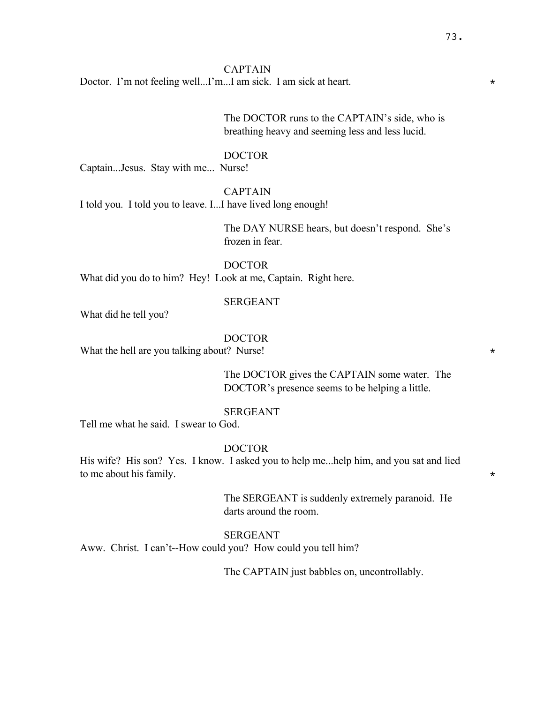#### CAPTAIN

Doctor. I'm not feeling well...I'm...I am sick. I am sick at heart.

The DOCTOR runs to the CAPTAIN's side, who is breathing heavy and seeming less and less lucid.

#### DOCTOR

Captain...Jesus. Stay with me... Nurse!

CAPTAIN

I told you. I told you to leave. I...I have lived long enough!

The DAY NURSE hears, but doesn't respond. She's frozen in fear.

DOCTOR What did you do to him? Hey! Look at me, Captain. Right here.

#### SERGEANT

What did he tell you?

### DOCTOR

What the hell are you talking about? Nurse!  $*$ 

The DOCTOR gives the CAPTAIN some water. The DOCTOR's presence seems to be helping a little.

# SERGEANT

Tell me what he said. I swear to God.

#### DOCTOR

His wife? His son? Yes. I know. I asked you to help me...help him, and you sat and lied to me about his family.

> The SERGEANT is suddenly extremely paranoid. He darts around the room.

### SERGEANT

Aww. Christ. I can't--How could you? How could you tell him?

The CAPTAIN just babbles on, uncontrollably.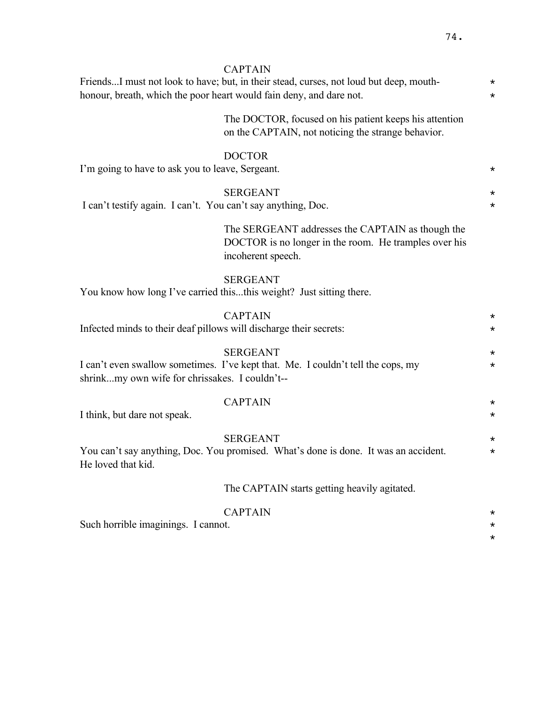\*

|                                                                    | <b>CAPTAIN</b><br>FriendsI must not look to have; but, in their stead, curses, not loud but deep, mouth-                        | $^\star$             |
|--------------------------------------------------------------------|---------------------------------------------------------------------------------------------------------------------------------|----------------------|
|                                                                    | honour, breath, which the poor heart would fain deny, and dare not.                                                             | $^\star$             |
|                                                                    | The DOCTOR, focused on his patient keeps his attention<br>on the CAPTAIN, not noticing the strange behavior.                    |                      |
| I'm going to have to ask you to leave, Sergeant.                   | <b>DOCTOR</b>                                                                                                                   | $^\star$             |
| I can't testify again. I can't. You can't say anything, Doc.       | <b>SERGEANT</b>                                                                                                                 | $^\star$<br>$^\star$ |
|                                                                    | The SERGEANT addresses the CAPTAIN as though the<br>DOCTOR is no longer in the room. He tramples over his<br>incoherent speech. |                      |
|                                                                    | <b>SERGEANT</b><br>You know how long I've carried thisthis weight? Just sitting there.                                          |                      |
| Infected minds to their deaf pillows will discharge their secrets: | <b>CAPTAIN</b>                                                                                                                  | $^\star$<br>$^\star$ |
| shrinkmy own wife for chrissakes. I couldn't--                     | <b>SERGEANT</b><br>I can't even swallow sometimes. I've kept that. Me. I couldn't tell the cops, my                             | $^\star$<br>$\star$  |
| I think, but dare not speak.                                       | <b>CAPTAIN</b>                                                                                                                  | $^\star$<br>$^\star$ |
| He loved that kid.                                                 | <b>SERGEANT</b><br>You can't say anything, Doc. You promised. What's done is done. It was an accident.                          | $^\star$<br>$^\star$ |
|                                                                    | The CAPTAIN starts getting heavily agitated.                                                                                    |                      |
| Such horrible imaginings. I cannot.                                | <b>CAPTAIN</b>                                                                                                                  | $^\star$<br>$^\star$ |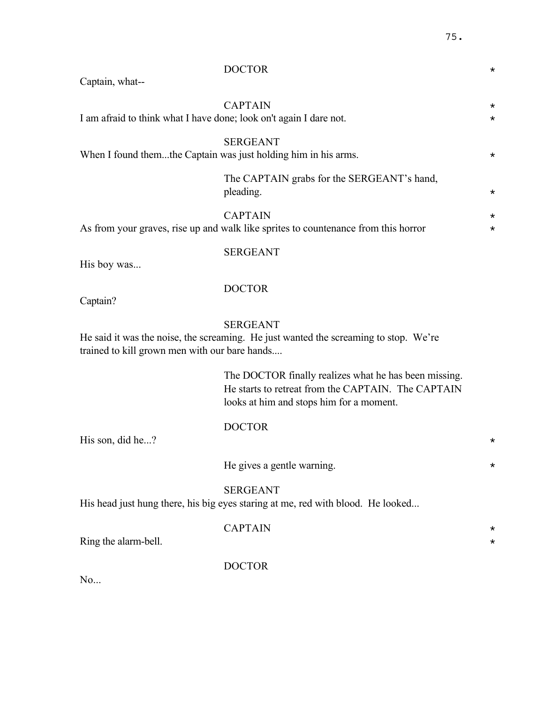| Captain, what--                                                                                                                                          | <b>DOCTOR</b>                                                                                                                                           | $^\star$             |
|----------------------------------------------------------------------------------------------------------------------------------------------------------|---------------------------------------------------------------------------------------------------------------------------------------------------------|----------------------|
| I am afraid to think what I have done; look on't again I dare not.                                                                                       | <b>CAPTAIN</b>                                                                                                                                          | $^\star$<br>$^\star$ |
| When I found themthe Captain was just holding him in his arms.                                                                                           | <b>SERGEANT</b>                                                                                                                                         | $^\star$             |
|                                                                                                                                                          | The CAPTAIN grabs for the SERGEANT's hand,<br>pleading.                                                                                                 | $\star$              |
|                                                                                                                                                          | <b>CAPTAIN</b><br>As from your graves, rise up and walk like sprites to countenance from this horror                                                    | $^\star$<br>$^\star$ |
| His boy was                                                                                                                                              | <b>SERGEANT</b>                                                                                                                                         |                      |
| Captain?                                                                                                                                                 | <b>DOCTOR</b>                                                                                                                                           |                      |
| <b>SERGEANT</b><br>He said it was the noise, the screaming. He just wanted the screaming to stop. We're<br>trained to kill grown men with our bare hands |                                                                                                                                                         |                      |
|                                                                                                                                                          | The DOCTOR finally realizes what he has been missing.<br>He starts to retreat from the CAPTAIN. The CAPTAIN<br>looks at him and stops him for a moment. |                      |
| His son, did he?                                                                                                                                         | <b>DOCTOR</b>                                                                                                                                           | $^\star$             |
|                                                                                                                                                          | He gives a gentle warning.                                                                                                                              | $^\star$             |
|                                                                                                                                                          | <b>SERGEANT</b><br>His head just hung there, his big eyes staring at me, red with blood. He looked                                                      |                      |
| Ring the alarm-bell.                                                                                                                                     | <b>CAPTAIN</b>                                                                                                                                          | $^\star$             |
| No                                                                                                                                                       | <b>DOCTOR</b>                                                                                                                                           |                      |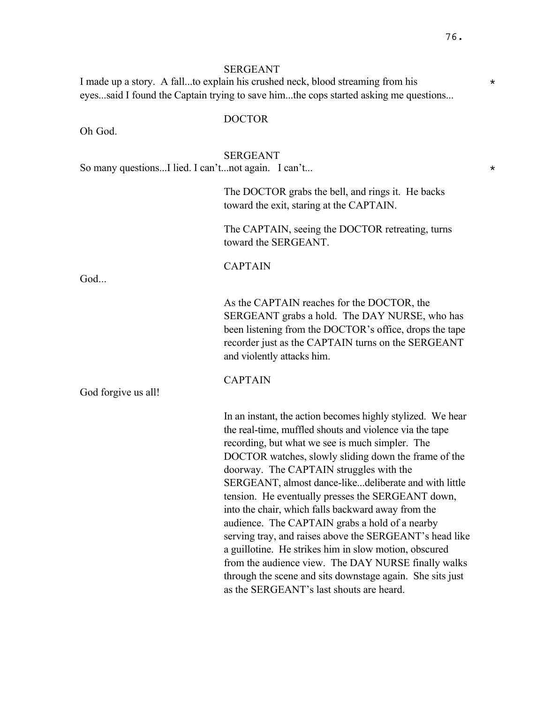#### SERGEANT

I made up a story. A fall...to explain his crushed neck, blood streaming from his  $*$ eyes...said I found the Captain trying to save him...the cops started asking me questions...

Oh God.

# DOCTOR

#### SERGEANT

So many questions...I lied. I can't...not again. I can't...

The DOCTOR grabs the bell, and rings it. He backs toward the exit, staring at the CAPTAIN.

The CAPTAIN, seeing the DOCTOR retreating, turns toward the SERGEANT.

God...

CAPTAIN

CAPTAIN

As the CAPTAIN reaches for the DOCTOR, the SERGEANT grabs a hold. The DAY NURSE, who has been listening from the DOCTOR's office, drops the tape recorder just as the CAPTAIN turns on the SERGEANT and violently attacks him.

God forgive us all!

In an instant, the action becomes highly stylized. We hear the real-time, muffled shouts and violence via the tape recording, but what we see is much simpler. The DOCTOR watches, slowly sliding down the frame of the doorway. The CAPTAIN struggles with the SERGEANT, almost dance-like...deliberate and with little tension. He eventually presses the SERGEANT down, into the chair, which falls backward away from the audience. The CAPTAIN grabs a hold of a nearby serving tray, and raises above the SERGEANT's head like a guillotine. He strikes him in slow motion, obscured from the audience view. The DAY NURSE finally walks through the scene and sits downstage again. She sits just as the SERGEANT's last shouts are heard.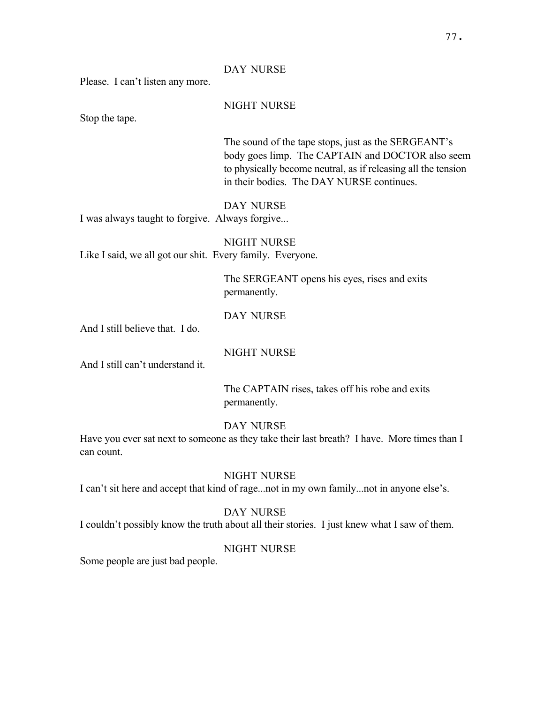### DAY NURSE

Please. I can't listen any more.

### NIGHT NURSE

Stop the tape.

The sound of the tape stops, just as the SERGEANT's body goes limp. The CAPTAIN and DOCTOR also seem to physically become neutral, as if releasing all the tension in their bodies. The DAY NURSE continues.

### DAY NURSE

I was always taught to forgive. Always forgive...

NIGHT NURSE Like I said, we all got our shit. Every family. Everyone.

> The SERGEANT opens his eyes, rises and exits permanently.

### DAY NURSE

And I still believe that. I do.

NIGHT NURSE

And I still can't understand it.

The CAPTAIN rises, takes off his robe and exits permanently.

# DAY NURSE

Have you ever sat next to someone as they take their last breath? I have. More times than I can count.

# NIGHT NURSE

I can't sit here and accept that kind of rage...not in my own family...not in anyone else's.

# DAY NURSE

I couldn't possibly know the truth about all their stories. I just knew what I saw of them.

### NIGHT NURSE

Some people are just bad people.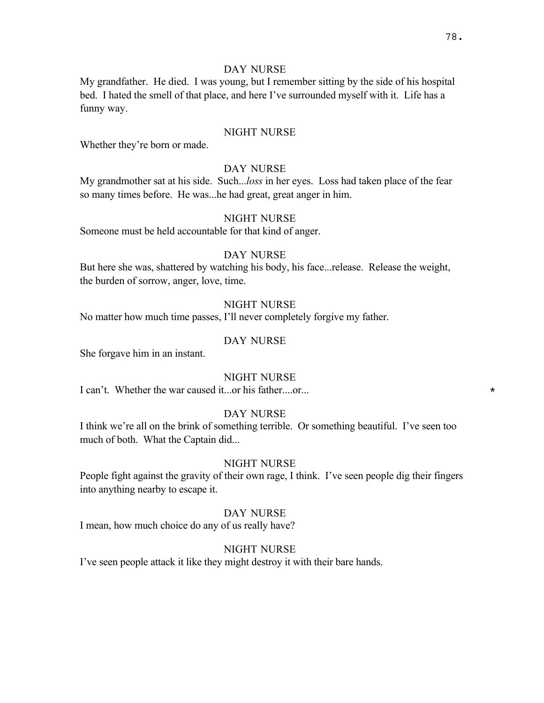### DAY NURSE

My grandfather. He died. I was young, but I remember sitting by the side of his hospital bed. I hated the smell of that place, and here I've surrounded myself with it. Life has a funny way.

## NIGHT NURSE

Whether they're born or made.

### DAY NURSE

My grandmother sat at his side. Such...*loss* in her eyes. Loss had taken place of the fear so many times before. He was...he had great, great anger in him.

### NIGHT NURSE

Someone must be held accountable for that kind of anger.

### DAY NURSE

But here she was, shattered by watching his body, his face...release. Release the weight, the burden of sorrow, anger, love, time.

# NIGHT NURSE

No matter how much time passes, I'll never completely forgive my father.

### DAY NURSE

She forgave him in an instant.

# NIGHT NURSE

I can't. Whether the war caused it...or his father....or...  $\star$ 

### DAY NURSE

I think we're all on the brink of something terrible. Or something beautiful. I've seen too much of both. What the Captain did...

### NIGHT NURSE

People fight against the gravity of their own rage, I think. I've seen people dig their fingers into anything nearby to escape it.

### DAY NURSE

I mean, how much choice do any of us really have?

#### NIGHT NURSE

I've seen people attack it like they might destroy it with their bare hands.